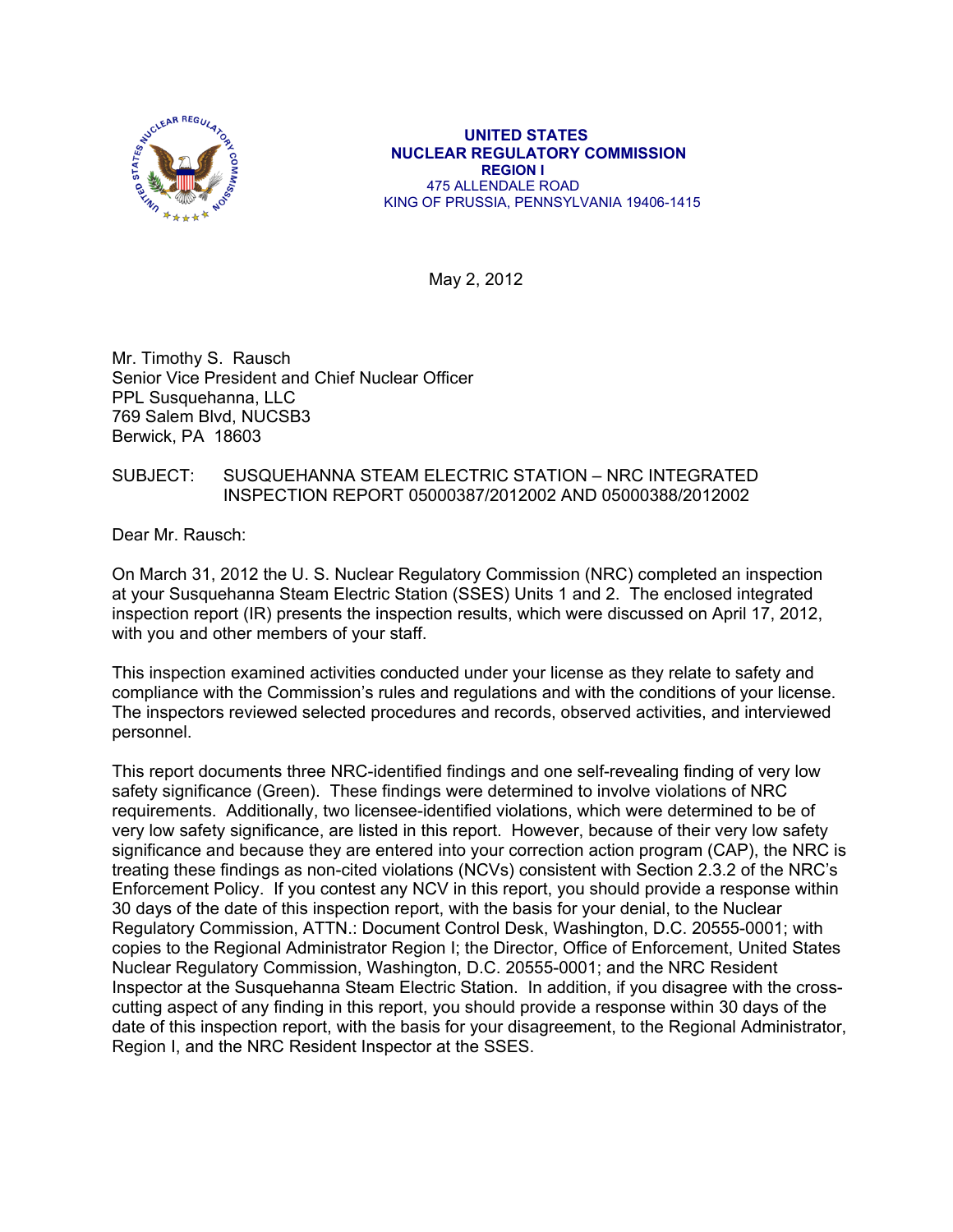

 **UNITED STATES NUCLEAR REGULATORY COMMISSION REGION I**  475 ALLENDALE ROAD KING OF PRUSSIA, PENNSYLVANIA 19406-1415

May 2, 2012

Mr. Timothy S. Rausch Senior Vice President and Chief Nuclear Officer PPL Susquehanna, LLC 769 Salem Blvd, NUCSB3 Berwick, PA 18603

# SUBJECT: SUSQUEHANNA STEAM ELECTRIC STATION – NRC INTEGRATED INSPECTION REPORT 05000387/2012002 AND 05000388/2012002

Dear Mr. Rausch:

On March 31, 2012 the U. S. Nuclear Regulatory Commission (NRC) completed an inspection at your Susquehanna Steam Electric Station (SSES) Units 1 and 2. The enclosed integrated inspection report (IR) presents the inspection results, which were discussed on April 17, 2012, with you and other members of your staff.

This inspection examined activities conducted under your license as they relate to safety and compliance with the Commission's rules and regulations and with the conditions of your license. The inspectors reviewed selected procedures and records, observed activities, and interviewed personnel.

This report documents three NRC-identified findings and one self-revealing finding of very low safety significance (Green). These findings were determined to involve violations of NRC requirements. Additionally, two licensee-identified violations, which were determined to be of very low safety significance, are listed in this report. However, because of their very low safety significance and because they are entered into your correction action program (CAP), the NRC is treating these findings as non-cited violations (NCVs) consistent with Section 2.3.2 of the NRC's Enforcement Policy. If you contest any NCV in this report, you should provide a response within 30 days of the date of this inspection report, with the basis for your denial, to the Nuclear Regulatory Commission, ATTN.: Document Control Desk, Washington, D.C. 20555-0001; with copies to the Regional Administrator Region I; the Director, Office of Enforcement, United States Nuclear Regulatory Commission, Washington, D.C. 20555-0001; and the NRC Resident Inspector at the Susquehanna Steam Electric Station. In addition, if you disagree with the crosscutting aspect of any finding in this report, you should provide a response within 30 days of the date of this inspection report, with the basis for your disagreement, to the Regional Administrator, Region I, and the NRC Resident Inspector at the SSES.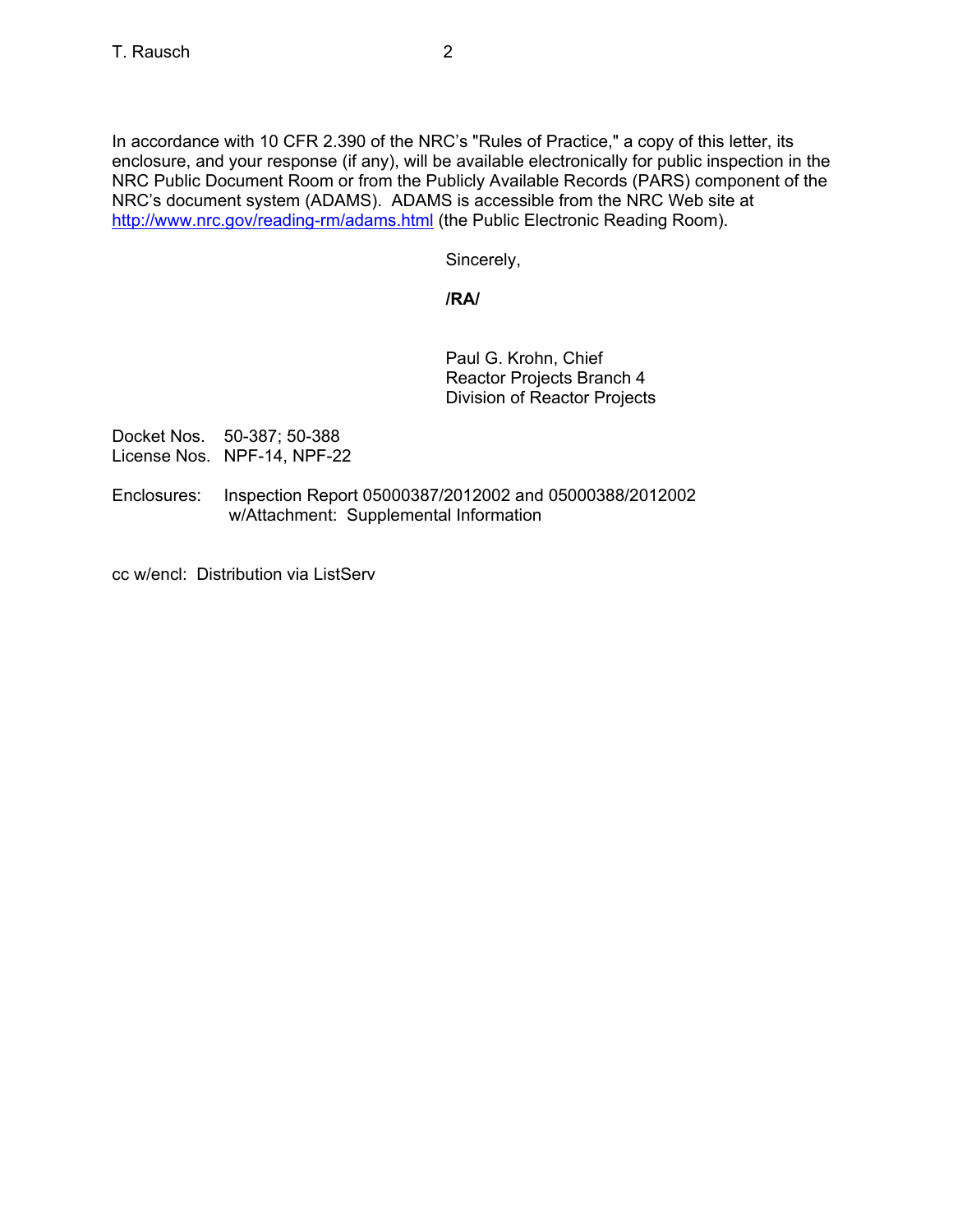In accordance with 10 CFR 2.390 of the NRC's "Rules of Practice," a copy of this letter, its enclosure, and your response (if any), will be available electronically for public inspection in the NRC Public Document Room or from the Publicly Available Records (PARS) component of the NRC's document system (ADAMS). ADAMS is accessible from the NRC Web site at http://www.nrc.gov/reading-rm/adams.html (the Public Electronic Reading Room).

Sincerely,

# **/RA/**

Paul G. Krohn, Chief Reactor Projects Branch 4 Division of Reactor Projects

Docket Nos. 50-387; 50-388 License Nos. NPF-14, NPF-22

Enclosures: Inspection Report 05000387/2012002 and 05000388/2012002 w/Attachment: Supplemental Information

cc w/encl: Distribution via ListServ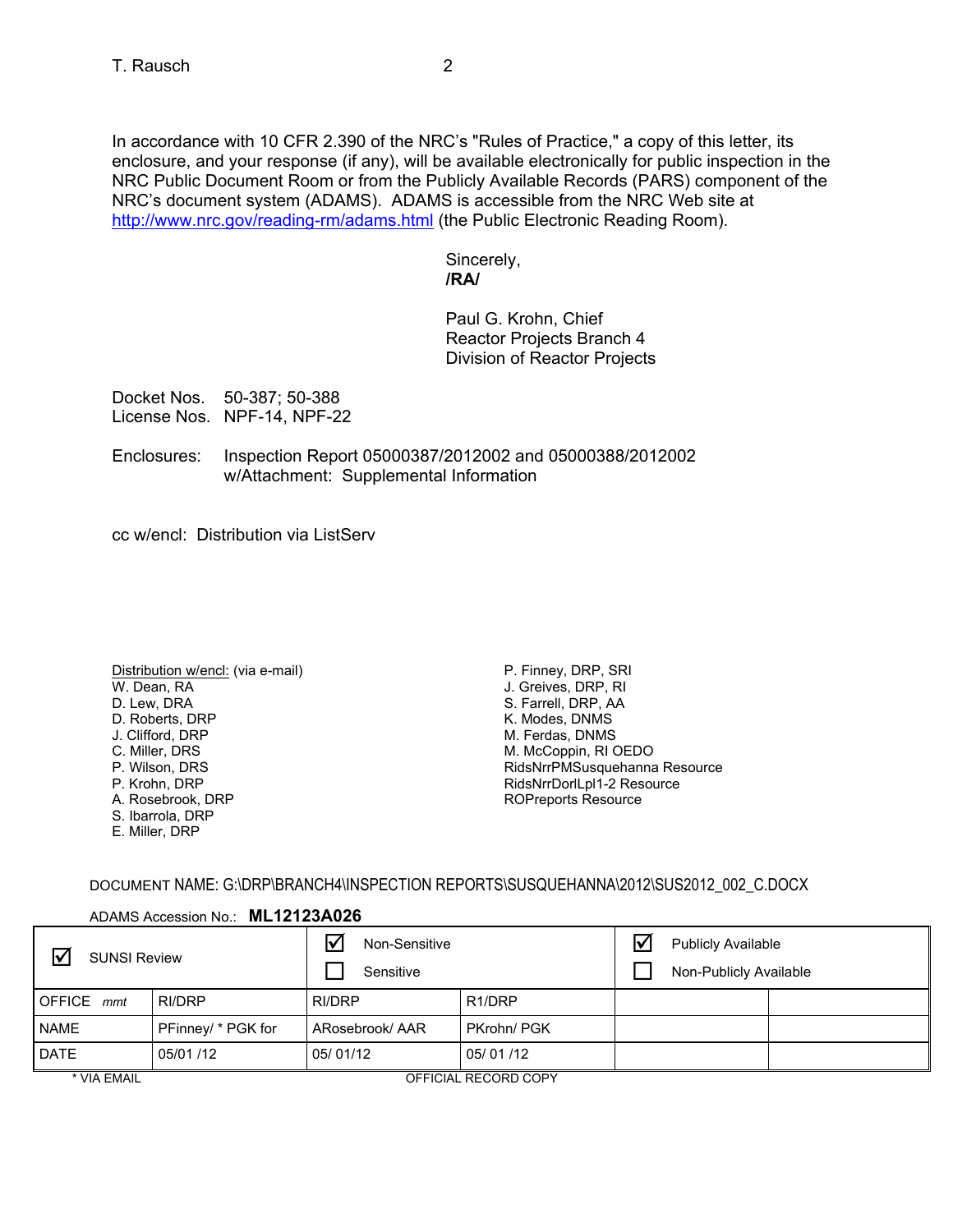In accordance with 10 CFR 2.390 of the NRC's "Rules of Practice," a copy of this letter, its enclosure, and your response (if any), will be available electronically for public inspection in the NRC Public Document Room or from the Publicly Available Records (PARS) component of the NRC's document system (ADAMS). ADAMS is accessible from the NRC Web site at http://www.nrc.gov/reading-rm/adams.html (the Public Electronic Reading Room).

> Sincerely, **/RA/**

Paul G. Krohn, Chief Reactor Projects Branch 4 Division of Reactor Projects

Docket Nos. 50-387; 50-388 License Nos. NPF-14, NPF-22

Enclosures: Inspection Report 05000387/2012002 and 05000388/2012002 w/Attachment: Supplemental Information

cc w/encl: Distribution via ListServ

- Distribution w/encl: (via e-mail) W. Dean, RA D. Lew, DRA D. Roberts, DRP J. Clifford, DRP C. Miller, DRS P. Wilson, DRS P. Krohn, DRP A. Rosebrook, DRP S. Ibarrola, DRP
- E. Miller, DRP

P. Finney, DRP, SRI J. Greives, DRP, RI S. Farrell, DRP, AA K. Modes, DNMS M. Ferdas, DNMS M. McCoppin, RI OEDO RidsNrrPMSusquehanna Resource RidsNrrDorlLpl1-2 Resource ROPreports Resource

DOCUMENT NAME: G:\DRP\BRANCH4\INSPECTION REPORTS\SUSQUEHANNA\2012\SUS2012\_002\_C.DOCX

# ADAMS Accession No.: **ML12123A026**

| ∇<br><b>SUNSI Review</b>    |                    | Non-Sensitive<br>Sensitive |                      | $\mathsf{I} \checkmark$ | <b>Publicly Available</b><br>Non-Publicly Available |  |
|-----------------------------|--------------------|----------------------------|----------------------|-------------------------|-----------------------------------------------------|--|
| $\blacksquare$ OFFICE $mmt$ | RI/DRP             | RI/DRP                     | R <sub>1</sub> /DRP  |                         |                                                     |  |
| <b>NAME</b>                 | PFinney/ * PGK for | ARosebrook/AAR             | PKrohn/PGK           |                         |                                                     |  |
| <b>DATE</b>                 | 05/01/12           | 05/01/12                   | 05/01/12             |                         |                                                     |  |
| * VIA EMAIL                 |                    |                            | OFFICIAL RECORD COPY |                         |                                                     |  |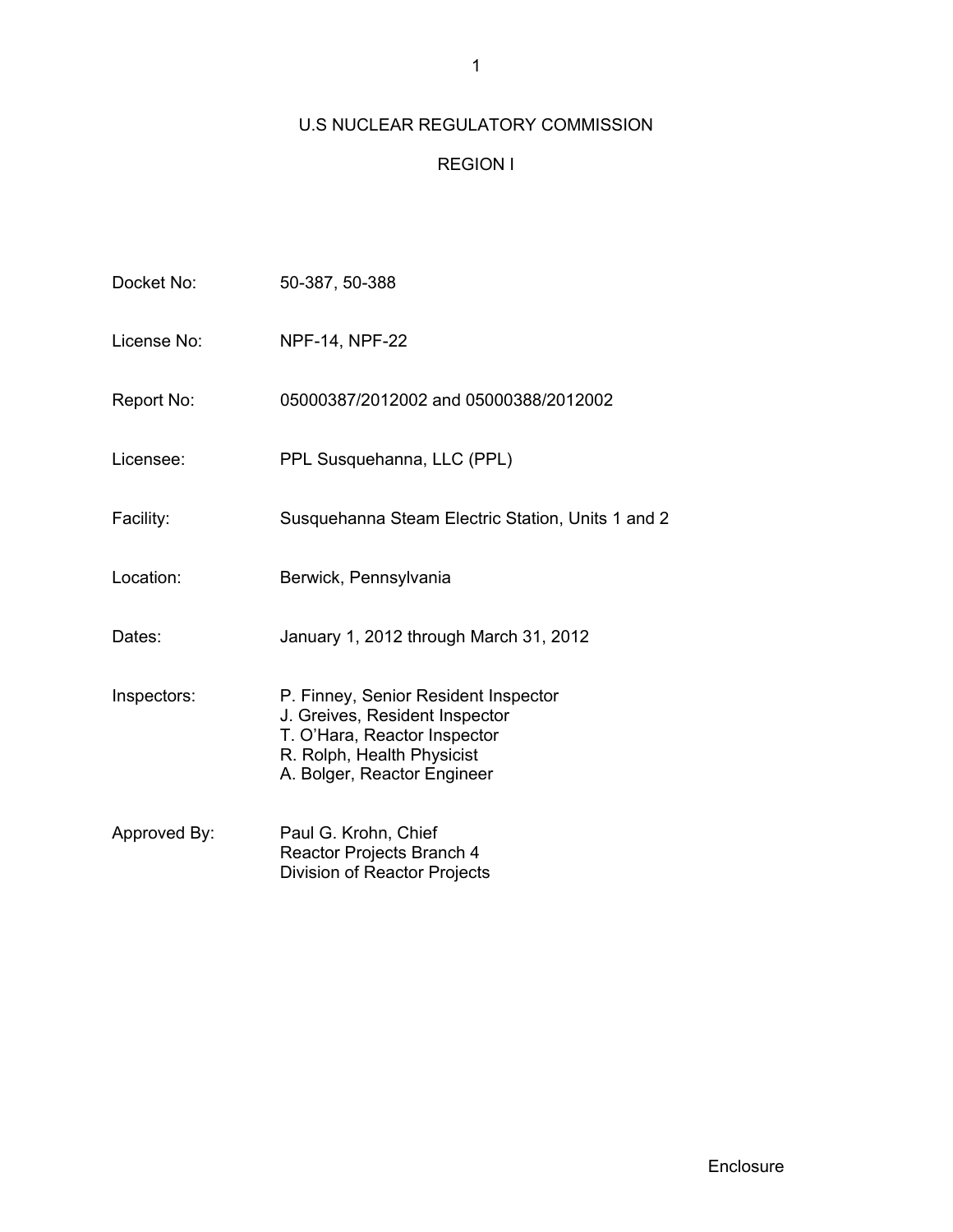# U.S NUCLEAR REGULATORY COMMISSION

# REGION I

| Docket No:   | 50-387, 50-388                                                                                                                                                      |
|--------------|---------------------------------------------------------------------------------------------------------------------------------------------------------------------|
| License No:  | <b>NPF-14, NPF-22</b>                                                                                                                                               |
| Report No:   | 05000387/2012002 and 05000388/2012002                                                                                                                               |
| Licensee:    | PPL Susquehanna, LLC (PPL)                                                                                                                                          |
| Facility:    | Susquehanna Steam Electric Station, Units 1 and 2                                                                                                                   |
| Location:    | Berwick, Pennsylvania                                                                                                                                               |
| Dates:       | January 1, 2012 through March 31, 2012                                                                                                                              |
| Inspectors:  | P. Finney, Senior Resident Inspector<br>J. Greives, Resident Inspector<br>T. O'Hara, Reactor Inspector<br>R. Rolph, Health Physicist<br>A. Bolger, Reactor Engineer |
| Approved By: | Paul G. Krohn, Chief<br>Reactor Projects Branch 4<br><b>Division of Reactor Projects</b>                                                                            |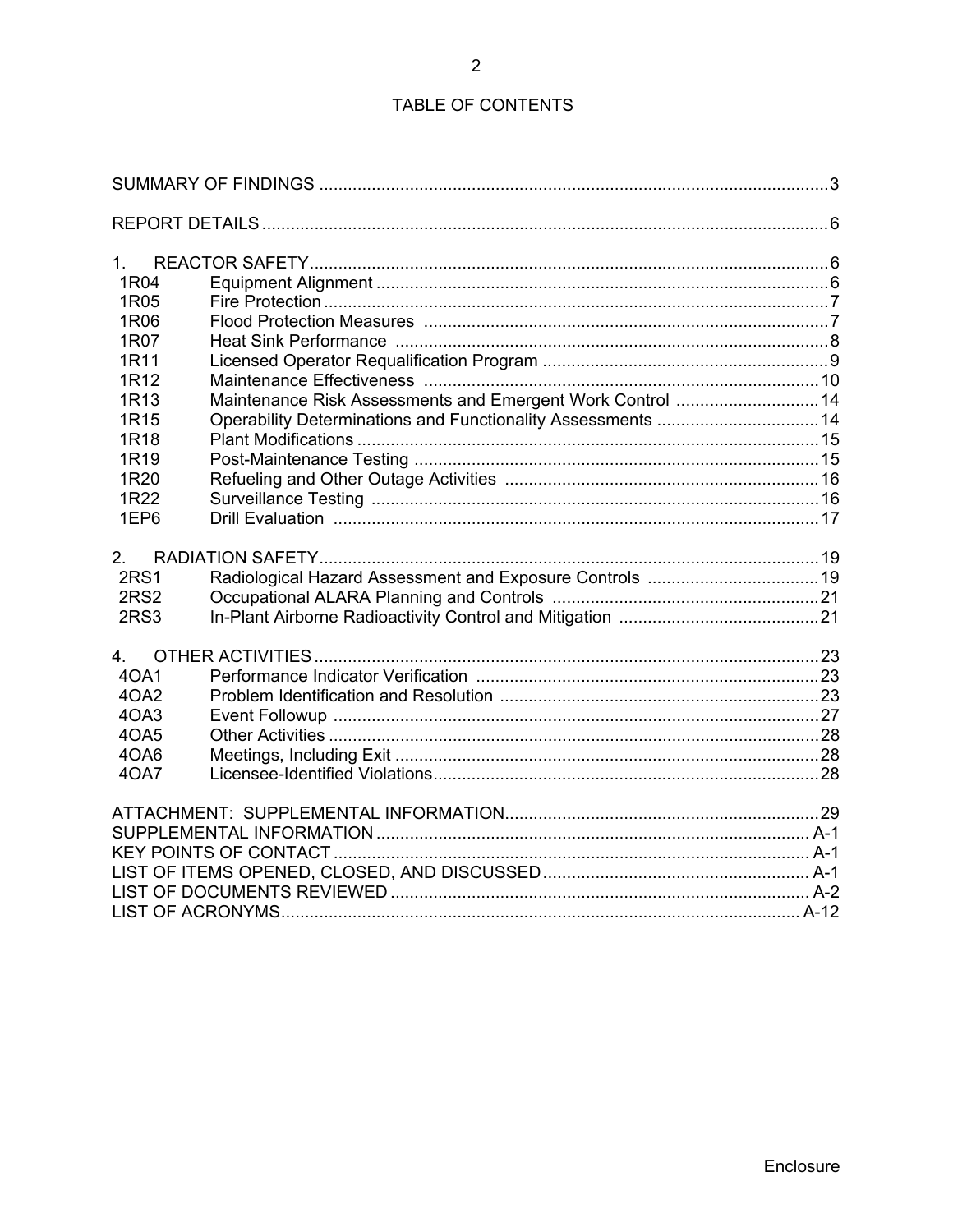# TABLE OF CONTENTS

 $\overline{2}$ 

| 1 <sup>1</sup>                                                       |  |
|----------------------------------------------------------------------|--|
| 1R04                                                                 |  |
| 1R05                                                                 |  |
| 1R06                                                                 |  |
| 1R07                                                                 |  |
| 1R11                                                                 |  |
| 1R12                                                                 |  |
| Maintenance Risk Assessments and Emergent Work Control  14<br>1R13   |  |
| Operability Determinations and Functionality Assessments  14<br>1R15 |  |
| 1R18                                                                 |  |
| 1R <sub>19</sub>                                                     |  |
| 1R <sub>20</sub>                                                     |  |
| 1R22                                                                 |  |
| 1EP6                                                                 |  |
|                                                                      |  |
| 2.<br><b>2RS1</b>                                                    |  |
| <b>2RS2</b>                                                          |  |
| 2RS3                                                                 |  |
|                                                                      |  |
| 4.                                                                   |  |
| 40A1                                                                 |  |
| 4OA2                                                                 |  |
| 4OA3                                                                 |  |
| 4OA5                                                                 |  |
| 4OA6                                                                 |  |
| 40A7                                                                 |  |
|                                                                      |  |
|                                                                      |  |
|                                                                      |  |
|                                                                      |  |
|                                                                      |  |
|                                                                      |  |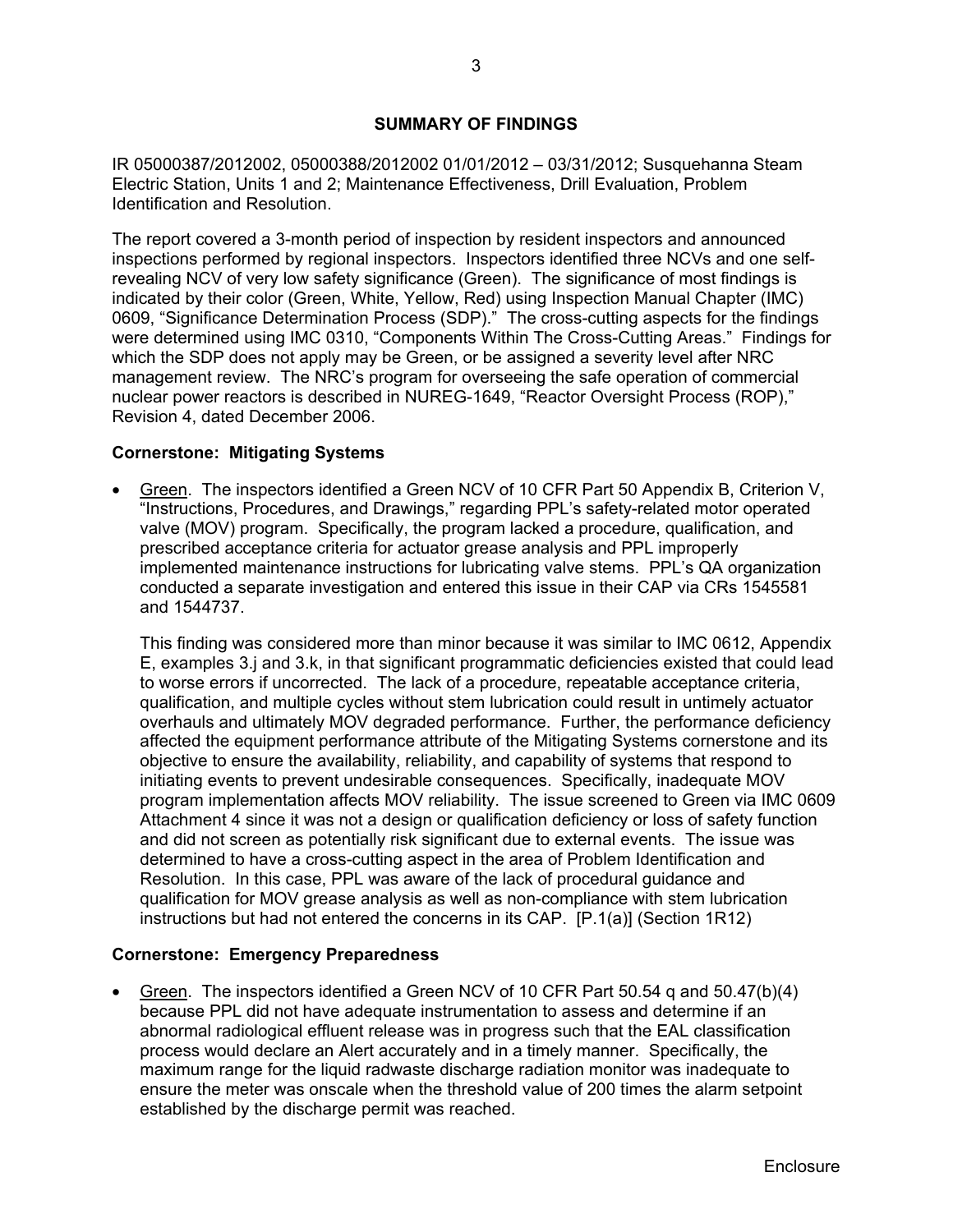# **SUMMARY OF FINDINGS**

IR 05000387/2012002, 05000388/2012002 01/01/2012 – 03/31/2012; Susquehanna Steam Electric Station, Units 1 and 2; Maintenance Effectiveness, Drill Evaluation, Problem Identification and Resolution.

The report covered a 3-month period of inspection by resident inspectors and announced inspections performed by regional inspectors. Inspectors identified three NCVs and one selfrevealing NCV of very low safety significance (Green). The significance of most findings is indicated by their color (Green, White, Yellow, Red) using Inspection Manual Chapter (IMC) 0609, "Significance Determination Process (SDP)." The cross-cutting aspects for the findings were determined using IMC 0310, "Components Within The Cross-Cutting Areas." Findings for which the SDP does not apply may be Green, or be assigned a severity level after NRC management review. The NRC's program for overseeing the safe operation of commercial nuclear power reactors is described in NUREG-1649, "Reactor Oversight Process (ROP)," Revision 4, dated December 2006.

# **Cornerstone: Mitigating Systems**

• Green. The inspectors identified a Green NCV of 10 CFR Part 50 Appendix B, Criterion V, "Instructions, Procedures, and Drawings," regarding PPL's safety-related motor operated valve (MOV) program. Specifically, the program lacked a procedure, qualification, and prescribed acceptance criteria for actuator grease analysis and PPL improperly implemented maintenance instructions for lubricating valve stems. PPL's QA organization conducted a separate investigation and entered this issue in their CAP via CRs 1545581 and 1544737.

This finding was considered more than minor because it was similar to IMC 0612, Appendix E, examples 3.j and 3.k, in that significant programmatic deficiencies existed that could lead to worse errors if uncorrected. The lack of a procedure, repeatable acceptance criteria, qualification, and multiple cycles without stem lubrication could result in untimely actuator overhauls and ultimately MOV degraded performance. Further, the performance deficiency affected the equipment performance attribute of the Mitigating Systems cornerstone and its objective to ensure the availability, reliability, and capability of systems that respond to initiating events to prevent undesirable consequences. Specifically, inadequate MOV program implementation affects MOV reliability. The issue screened to Green via IMC 0609 Attachment 4 since it was not a design or qualification deficiency or loss of safety function and did not screen as potentially risk significant due to external events. The issue was determined to have a cross-cutting aspect in the area of Problem Identification and Resolution. In this case, PPL was aware of the lack of procedural guidance and qualification for MOV grease analysis as well as non-compliance with stem lubrication instructions but had not entered the concerns in its CAP. [P.1(a)] (Section 1R12)

## **Cornerstone: Emergency Preparedness**

• Green. The inspectors identified a Green NCV of 10 CFR Part 50.54 q and 50.47(b)(4) because PPL did not have adequate instrumentation to assess and determine if an abnormal radiological effluent release was in progress such that the EAL classification process would declare an Alert accurately and in a timely manner. Specifically, the maximum range for the liquid radwaste discharge radiation monitor was inadequate to ensure the meter was onscale when the threshold value of 200 times the alarm setpoint established by the discharge permit was reached.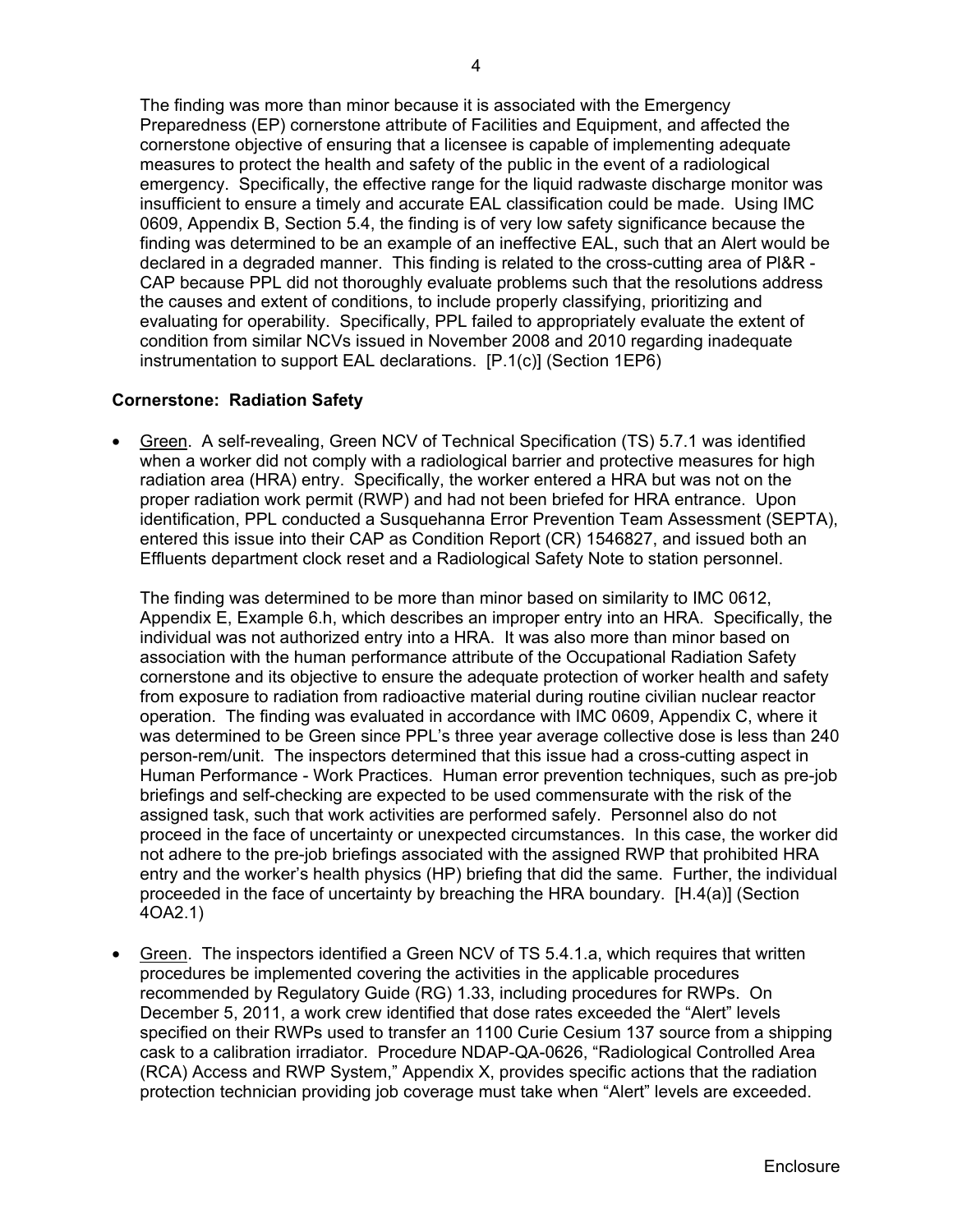The finding was more than minor because it is associated with the Emergency Preparedness (EP) cornerstone attribute of Facilities and Equipment, and affected the cornerstone objective of ensuring that a licensee is capable of implementing adequate measures to protect the health and safety of the public in the event of a radiological emergency. Specifically, the effective range for the liquid radwaste discharge monitor was insufficient to ensure a timely and accurate EAL classification could be made. Using IMC 0609, Appendix B, Section 5.4, the finding is of very low safety significance because the finding was determined to be an example of an ineffective EAL, such that an Alert would be declared in a degraded manner. This finding is related to the cross-cutting area of Pl&R - CAP because PPL did not thoroughly evaluate problems such that the resolutions address the causes and extent of conditions, to include properly classifying, prioritizing and evaluating for operability. Specifically, PPL failed to appropriately evaluate the extent of condition from similar NCVs issued in November 2008 and 2010 regarding inadequate instrumentation to support EAL declarations.[P.1(c)] (Section 1EP6)

## **Cornerstone: Radiation Safety**

• Green. A self-revealing, Green NCV of Technical Specification (TS) 5.7.1 was identified when a worker did not comply with a radiological barrier and protective measures for high radiation area (HRA) entry. Specifically, the worker entered a HRA but was not on the proper radiation work permit (RWP) and had not been briefed for HRA entrance. Upon identification, PPL conducted a Susquehanna Error Prevention Team Assessment (SEPTA), entered this issue into their CAP as Condition Report (CR) 1546827, and issued both an Effluents department clock reset and a Radiological Safety Note to station personnel.

The finding was determined to be more than minor based on similarity to IMC 0612, Appendix E, Example 6.h, which describes an improper entry into an HRA. Specifically, the individual was not authorized entry into a HRA. It was also more than minor based on association with the human performance attribute of the Occupational Radiation Safety cornerstone and its objective to ensure the adequate protection of worker health and safety from exposure to radiation from radioactive material during routine civilian nuclear reactor operation. The finding was evaluated in accordance with IMC 0609, Appendix C, where it was determined to be Green since PPL's three year average collective dose is less than 240 person-rem/unit. The inspectors determined that this issue had a cross-cutting aspect in Human Performance - Work Practices. Human error prevention techniques, such as pre-job briefings and self-checking are expected to be used commensurate with the risk of the assigned task, such that work activities are performed safely. Personnel also do not proceed in the face of uncertainty or unexpected circumstances. In this case, the worker did not adhere to the pre-job briefings associated with the assigned RWP that prohibited HRA entry and the worker's health physics (HP) briefing that did the same. Further, the individual proceeded in the face of uncertainty by breaching the HRA boundary. [H.4(a)] (Section 4OA2.1)

Green. The inspectors identified a Green NCV of TS 5.4.1.a, which requires that written procedures be implemented covering the activities in the applicable procedures recommended by Regulatory Guide (RG) 1.33, including procedures for RWPs. On December 5, 2011, a work crew identified that dose rates exceeded the "Alert" levels specified on their RWPs used to transfer an 1100 Curie Cesium 137 source from a shipping cask to a calibration irradiator. Procedure NDAP-QA-0626, "Radiological Controlled Area (RCA) Access and RWP System," Appendix X, provides specific actions that the radiation protection technician providing job coverage must take when "Alert" levels are exceeded.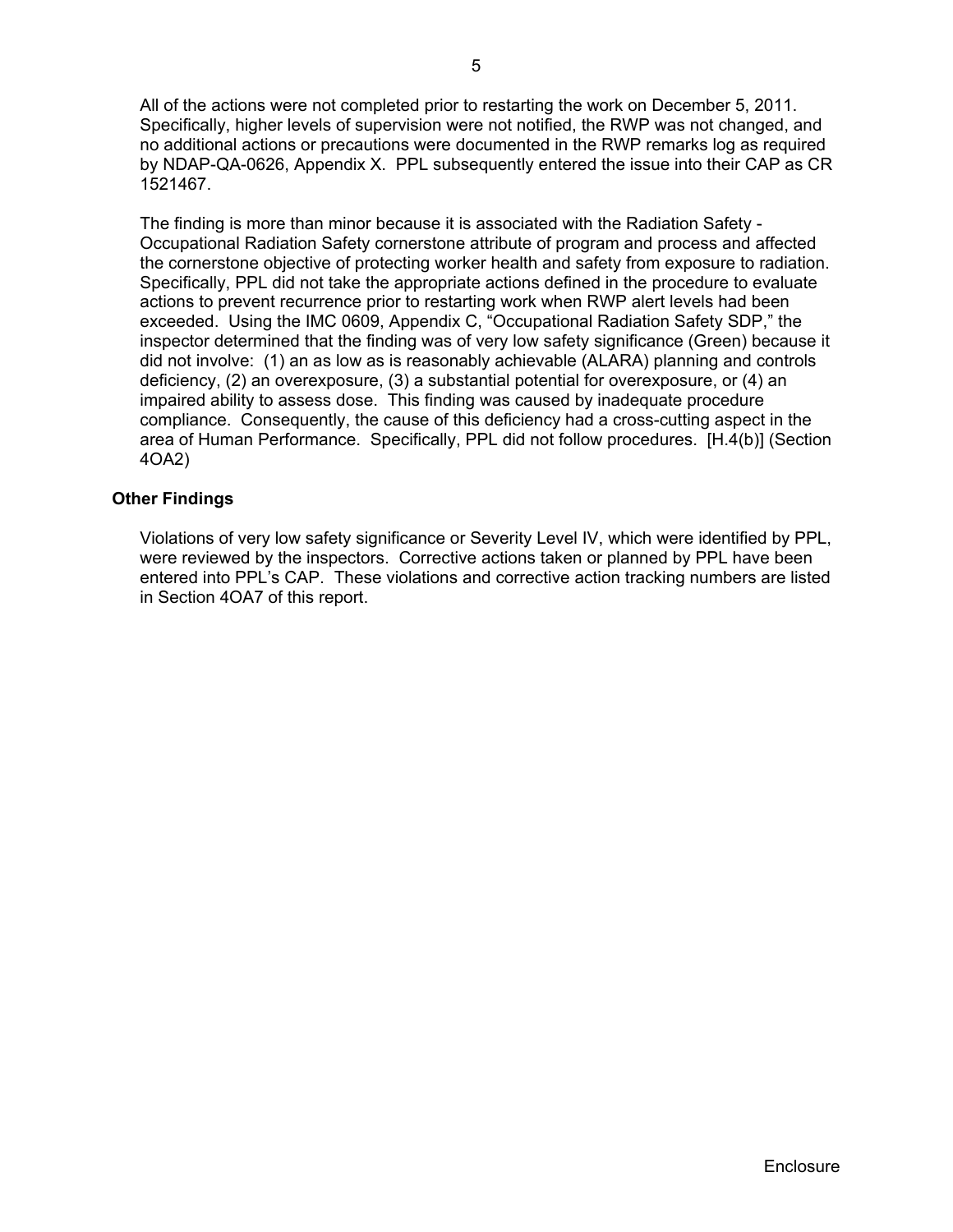All of the actions were not completed prior to restarting the work on December 5, 2011. Specifically, higher levels of supervision were not notified, the RWP was not changed, and no additional actions or precautions were documented in the RWP remarks log as required by NDAP-QA-0626, Appendix X. PPL subsequently entered the issue into their CAP as CR 1521467.

 The finding is more than minor because it is associated with the Radiation Safety - Occupational Radiation Safety cornerstone attribute of program and process and affected the cornerstone objective of protecting worker health and safety from exposure to radiation. Specifically, PPL did not take the appropriate actions defined in the procedure to evaluate actions to prevent recurrence prior to restarting work when RWP alert levels had been exceeded. Using the IMC 0609, Appendix C, "Occupational Radiation Safety SDP," the inspector determined that the finding was of very low safety significance (Green) because it did not involve: (1) an as low as is reasonably achievable (ALARA) planning and controls deficiency, (2) an overexposure, (3) a substantial potential for overexposure, or (4) an impaired ability to assess dose. This finding was caused by inadequate procedure compliance. Consequently, the cause of this deficiency had a cross-cutting aspect in the area of Human Performance. Specifically, PPL did not follow procedures. [H.4(b)] (Section 4OA2)

## **Other Findings**

Violations of very low safety significance or Severity Level IV, which were identified by PPL, were reviewed by the inspectors. Corrective actions taken or planned by PPL have been entered into PPL's CAP. These violations and corrective action tracking numbers are listed in Section 4OA7 of this report.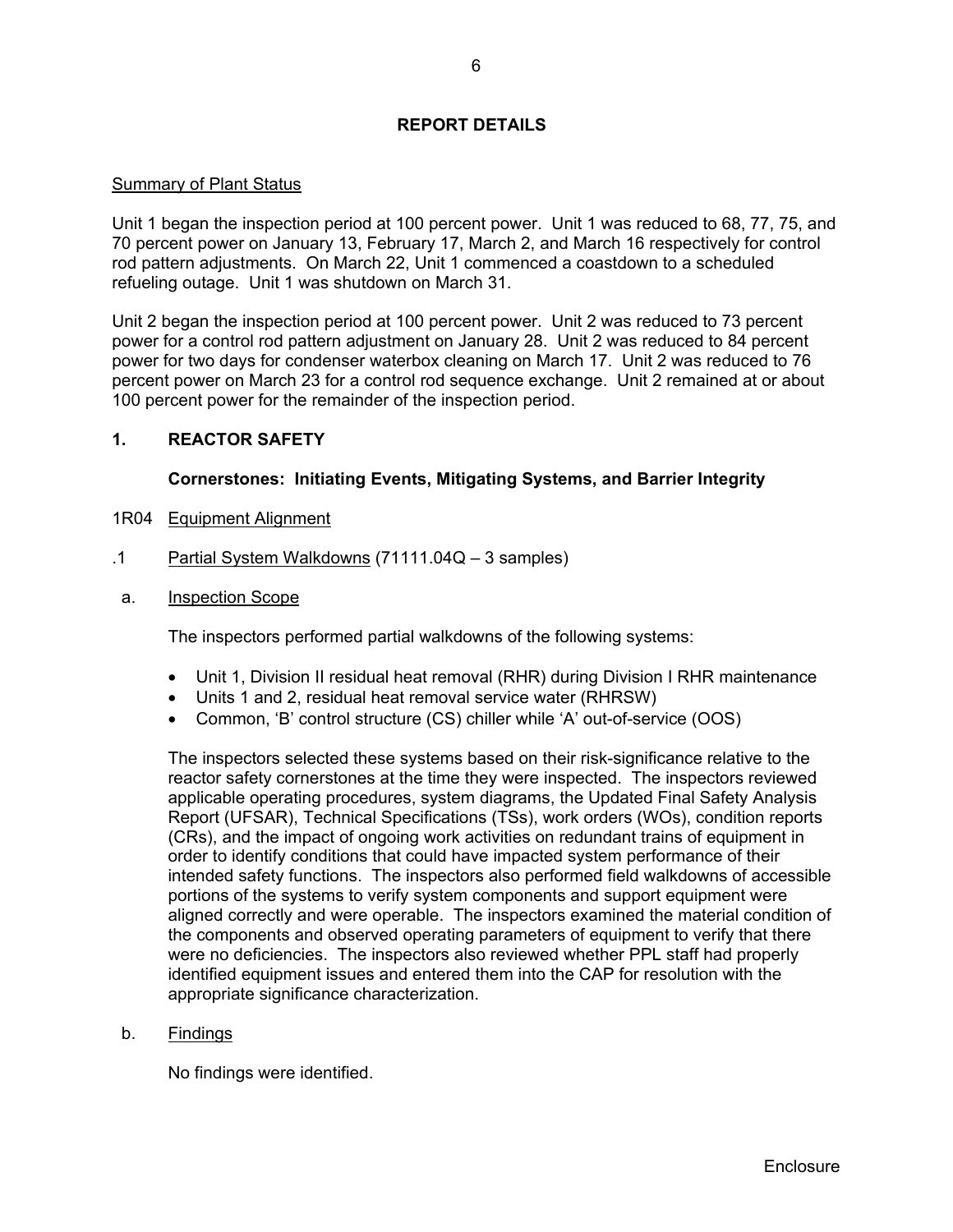# **REPORT DETAILS**

## Summary of Plant Status

Unit 1 began the inspection period at 100 percent power. Unit 1 was reduced to 68, 77, 75, and 70 percent power on January 13, February 17, March 2, and March 16 respectively for control rod pattern adjustments. On March 22, Unit 1 commenced a coastdown to a scheduled refueling outage. Unit 1 was shutdown on March 31.

Unit 2 began the inspection period at 100 percent power. Unit 2 was reduced to 73 percent power for a control rod pattern adjustment on January 28. Unit 2 was reduced to 84 percent power for two days for condenser waterbox cleaning on March 17. Unit 2 was reduced to 76 percent power on March 23 for a control rod sequence exchange. Unit 2 remained at or about 100 percent power for the remainder of the inspection period.

# **1. REACTOR SAFETY**

# **Cornerstones: Initiating Events, Mitigating Systems, and Barrier Integrity**

- 1R04 Equipment Alignment
- .1 Partial System Walkdowns (71111.04Q 3 samples)
- a. Inspection Scope

The inspectors performed partial walkdowns of the following systems:

- Unit 1, Division II residual heat removal (RHR) during Division I RHR maintenance
- Units 1 and 2, residual heat removal service water (RHRSW)
- Common, 'B' control structure (CS) chiller while 'A' out-of-service (OOS)

The inspectors selected these systems based on their risk-significance relative to the reactor safety cornerstones at the time they were inspected. The inspectors reviewed applicable operating procedures, system diagrams, the Updated Final Safety Analysis Report (UFSAR), Technical Specifications (TSs), work orders (WOs), condition reports (CRs), and the impact of ongoing work activities on redundant trains of equipment in order to identify conditions that could have impacted system performance of their intended safety functions. The inspectors also performed field walkdowns of accessible portions of the systems to verify system components and support equipment were aligned correctly and were operable. The inspectors examined the material condition of the components and observed operating parameters of equipment to verify that there were no deficiencies. The inspectors also reviewed whether PPL staff had properly identified equipment issues and entered them into the CAP for resolution with the appropriate significance characterization.

## b. Findings

No findings were identified.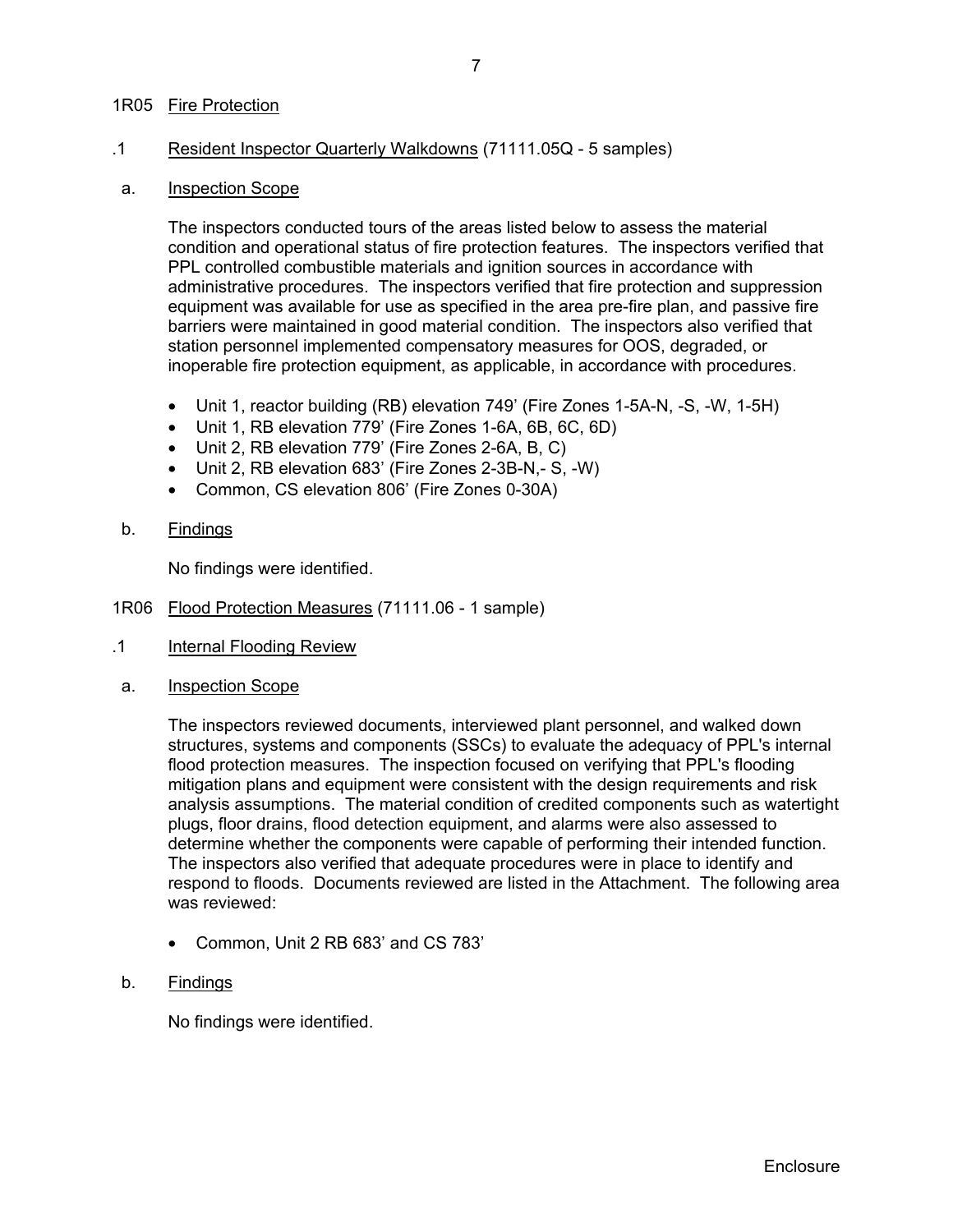## 1R05 Fire Protection

## .1 Resident Inspector Quarterly Walkdowns (71111.05Q - 5 samples)

#### a. Inspection Scope

The inspectors conducted tours of the areas listed below to assess the material condition and operational status of fire protection features. The inspectors verified that PPL controlled combustible materials and ignition sources in accordance with administrative procedures. The inspectors verified that fire protection and suppression equipment was available for use as specified in the area pre-fire plan, and passive fire barriers were maintained in good material condition. The inspectors also verified that station personnel implemented compensatory measures for OOS, degraded, or inoperable fire protection equipment, as applicable, in accordance with procedures.

- Unit 1, reactor building (RB) elevation 749' (Fire Zones 1-5A-N, -S, -W, 1-5H)
- Unit 1, RB elevation 779' (Fire Zones 1-6A, 6B, 6C, 6D)
- Unit 2, RB elevation 779' (Fire Zones 2-6A, B, C)
- Unit 2, RB elevation 683' (Fire Zones 2-3B-N,- S, -W)
- Common, CS elevation 806' (Fire Zones 0-30A)
- b. Findings

No findings were identified.

- 1R06 Flood Protection Measures (71111.06 1 sample)
- .1 Internal Flooding Review
- a. Inspection Scope

The inspectors reviewed documents, interviewed plant personnel, and walked down structures, systems and components (SSCs) to evaluate the adequacy of PPL's internal flood protection measures. The inspection focused on verifying that PPL's flooding mitigation plans and equipment were consistent with the design requirements and risk analysis assumptions. The material condition of credited components such as watertight plugs, floor drains, flood detection equipment, and alarms were also assessed to determine whether the components were capable of performing their intended function. The inspectors also verified that adequate procedures were in place to identify and respond to floods. Documents reviewed are listed in the Attachment. The following area was reviewed:

- Common, Unit 2 RB 683' and CS 783'
- b. Findings

No findings were identified.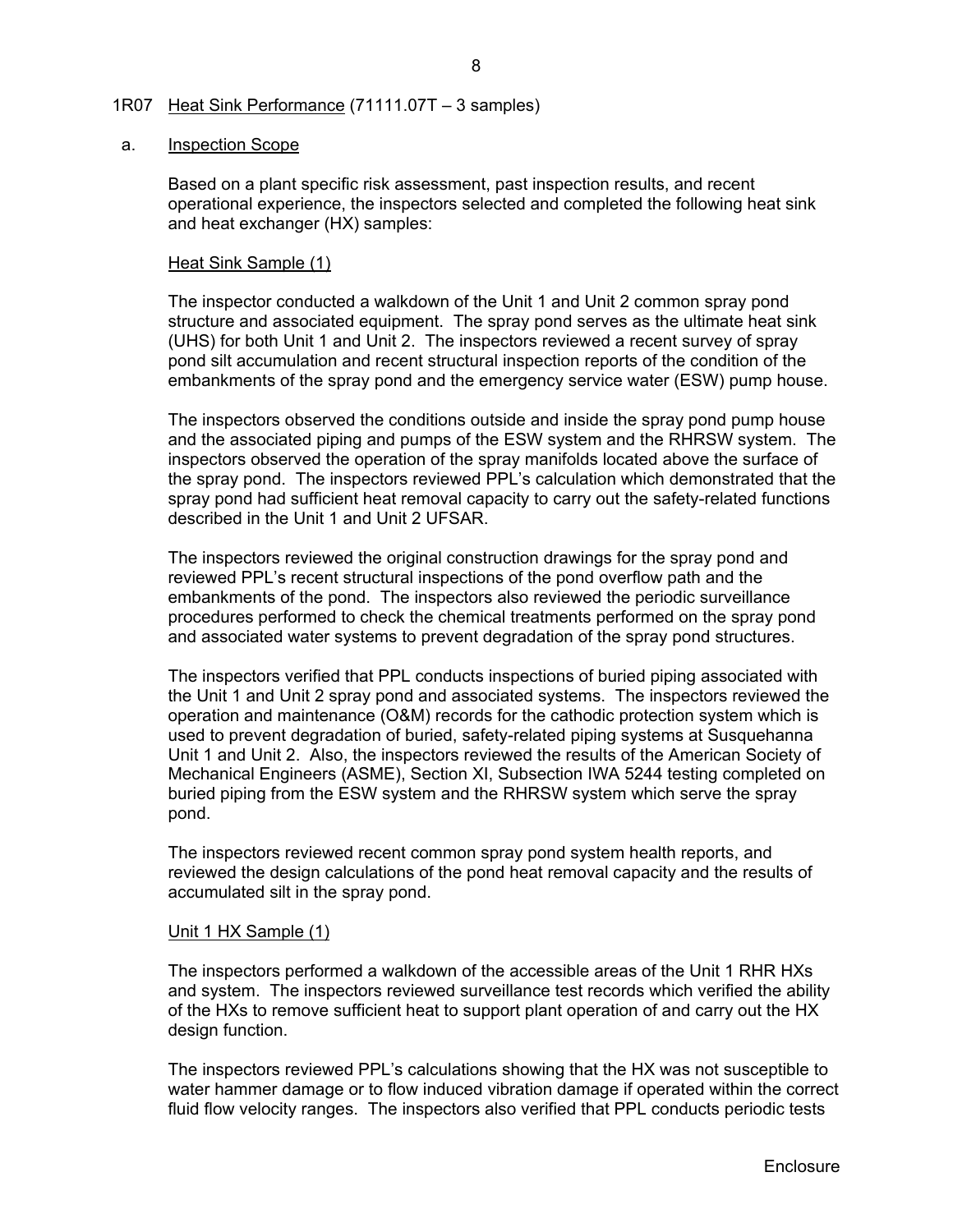## 1R07 Heat Sink Performance (71111.07T – 3 samples)

#### a. Inspection Scope

Based on a plant specific risk assessment, past inspection results, and recent operational experience, the inspectors selected and completed the following heat sink and heat exchanger (HX) samples:

## Heat Sink Sample (1)

The inspector conducted a walkdown of the Unit 1 and Unit 2 common spray pond structure and associated equipment. The spray pond serves as the ultimate heat sink (UHS) for both Unit 1 and Unit 2. The inspectors reviewed a recent survey of spray pond silt accumulation and recent structural inspection reports of the condition of the embankments of the spray pond and the emergency service water (ESW) pump house.

The inspectors observed the conditions outside and inside the spray pond pump house and the associated piping and pumps of the ESW system and the RHRSW system. The inspectors observed the operation of the spray manifolds located above the surface of the spray pond. The inspectors reviewed PPL's calculation which demonstrated that the spray pond had sufficient heat removal capacity to carry out the safety-related functions described in the Unit 1 and Unit 2 UFSAR.

The inspectors reviewed the original construction drawings for the spray pond and reviewed PPL's recent structural inspections of the pond overflow path and the embankments of the pond. The inspectors also reviewed the periodic surveillance procedures performed to check the chemical treatments performed on the spray pond and associated water systems to prevent degradation of the spray pond structures.

The inspectors verified that PPL conducts inspections of buried piping associated with the Unit 1 and Unit 2 spray pond and associated systems. The inspectors reviewed the operation and maintenance (O&M) records for the cathodic protection system which is used to prevent degradation of buried, safety-related piping systems at Susquehanna Unit 1 and Unit 2. Also, the inspectors reviewed the results of the American Society of Mechanical Engineers (ASME), Section XI, Subsection IWA 5244 testing completed on buried piping from the ESW system and the RHRSW system which serve the spray pond.

The inspectors reviewed recent common spray pond system health reports, and reviewed the design calculations of the pond heat removal capacity and the results of accumulated silt in the spray pond.

#### Unit 1 HX Sample (1)

The inspectors performed a walkdown of the accessible areas of the Unit 1 RHR HXs and system. The inspectors reviewed surveillance test records which verified the ability of the HXs to remove sufficient heat to support plant operation of and carry out the HX design function.

The inspectors reviewed PPL's calculations showing that the HX was not susceptible to water hammer damage or to flow induced vibration damage if operated within the correct fluid flow velocity ranges. The inspectors also verified that PPL conducts periodic tests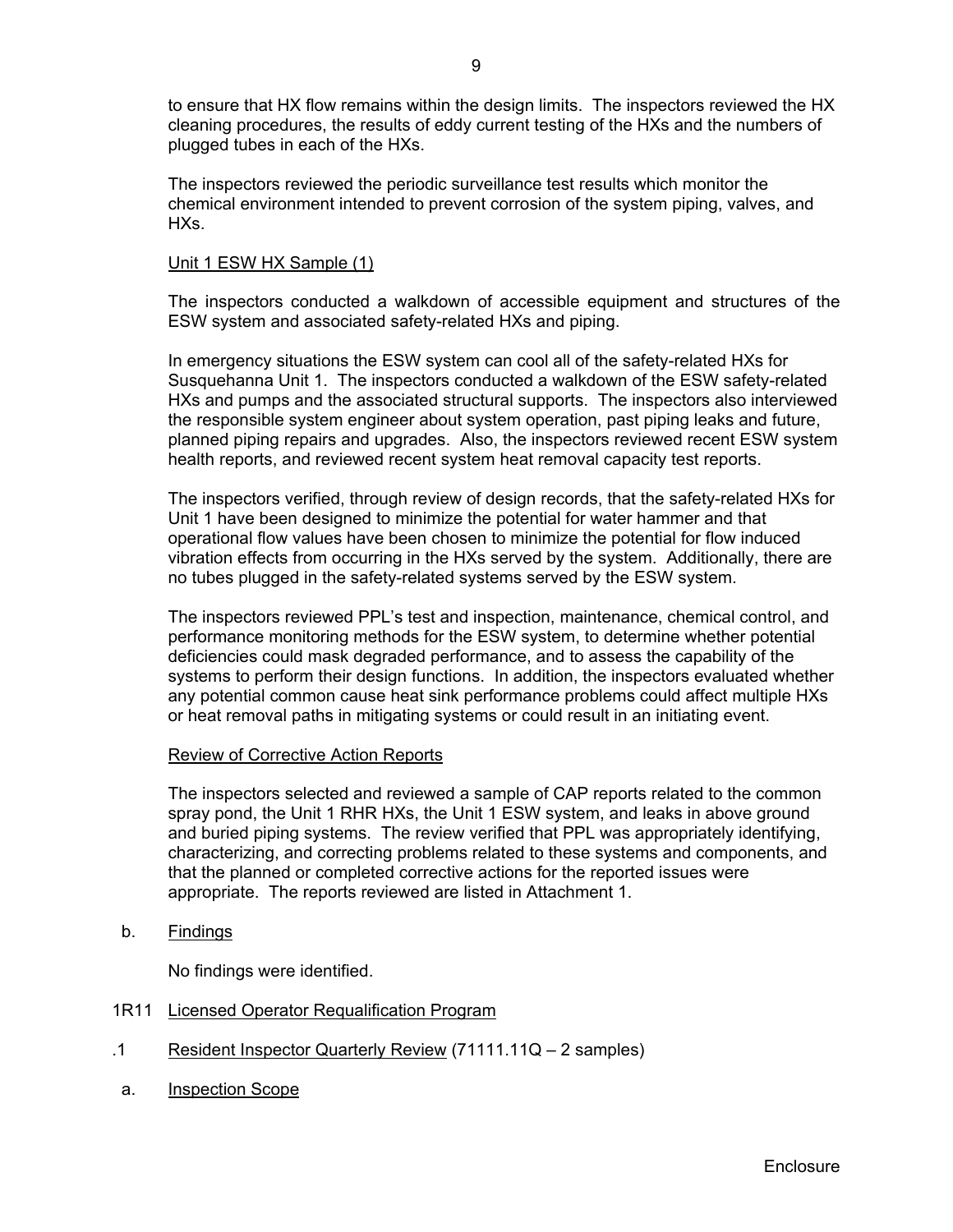to ensure that HX flow remains within the design limits. The inspectors reviewed the HX cleaning procedures, the results of eddy current testing of the HXs and the numbers of plugged tubes in each of the HXs.

The inspectors reviewed the periodic surveillance test results which monitor the chemical environment intended to prevent corrosion of the system piping, valves, and HXs.

## Unit 1 ESW HX Sample (1)

The inspectors conducted a walkdown of accessible equipment and structures of the ESW system and associated safety-related HXs and piping.

In emergency situations the ESW system can cool all of the safety-related HXs for Susquehanna Unit 1. The inspectors conducted a walkdown of the ESW safety-related HXs and pumps and the associated structural supports. The inspectors also interviewed the responsible system engineer about system operation, past piping leaks and future, planned piping repairs and upgrades. Also, the inspectors reviewed recent ESW system health reports, and reviewed recent system heat removal capacity test reports.

The inspectors verified, through review of design records, that the safety-related HXs for Unit 1 have been designed to minimize the potential for water hammer and that operational flow values have been chosen to minimize the potential for flow induced vibration effects from occurring in the HXs served by the system. Additionally, there are no tubes plugged in the safety-related systems served by the ESW system.

The inspectors reviewed PPL's test and inspection, maintenance, chemical control, and performance monitoring methods for the ESW system, to determine whether potential deficiencies could mask degraded performance, and to assess the capability of the systems to perform their design functions. In addition, the inspectors evaluated whether any potential common cause heat sink performance problems could affect multiple HXs or heat removal paths in mitigating systems or could result in an initiating event.

#### Review of Corrective Action Reports

The inspectors selected and reviewed a sample of CAP reports related to the common spray pond, the Unit 1 RHR HXs, the Unit 1 ESW system, and leaks in above ground and buried piping systems. The review verified that PPL was appropriately identifying, characterizing, and correcting problems related to these systems and components, and that the planned or completed corrective actions for the reported issues were appropriate. The reports reviewed are listed in Attachment 1.

b. Findings

No findings were identified.

- 1R11 Licensed Operator Requalification Program
- .1 Resident Inspector Quarterly Review (71111.11Q 2 samples)
- a. Inspection Scope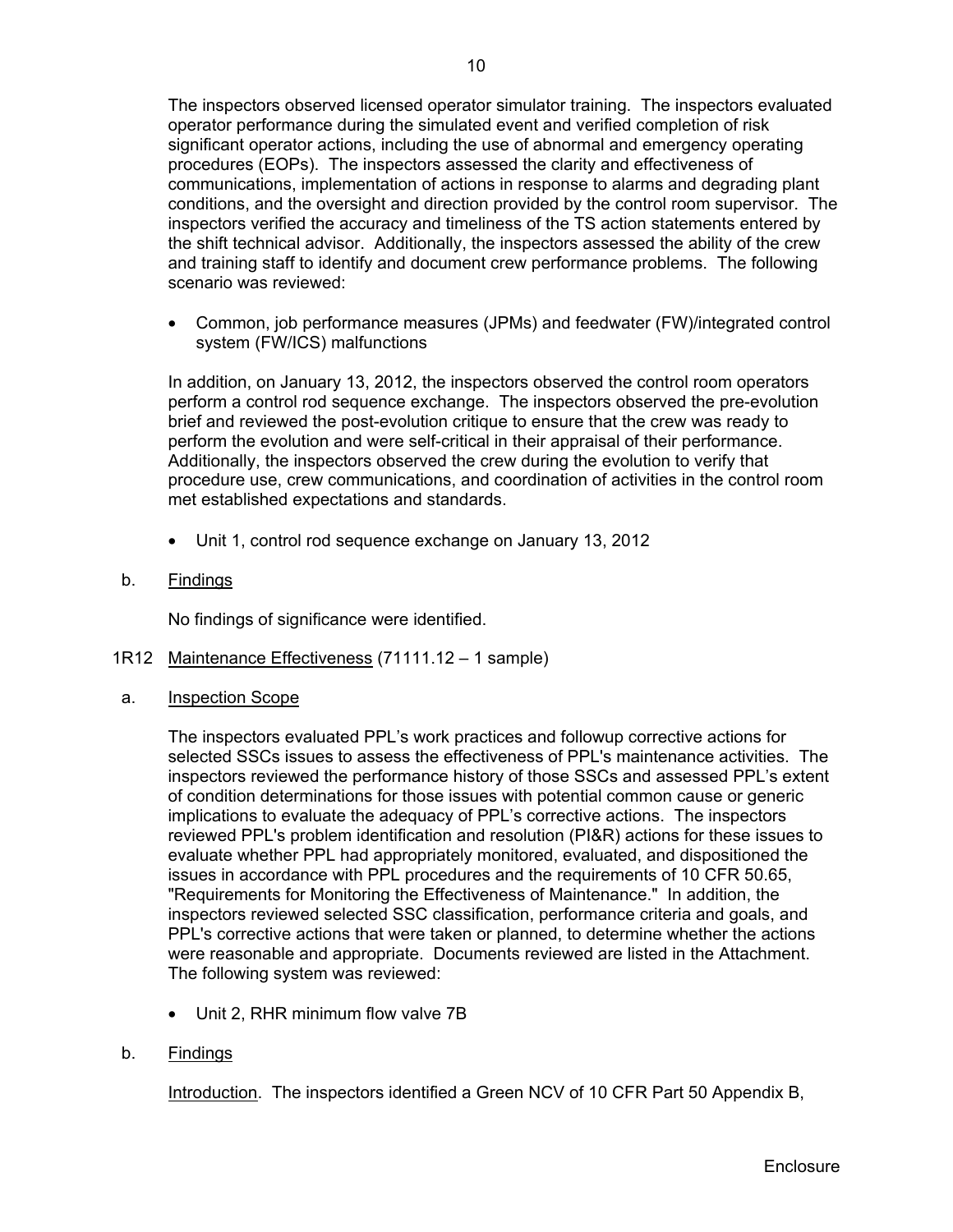The inspectors observed licensed operator simulator training. The inspectors evaluated operator performance during the simulated event and verified completion of risk significant operator actions, including the use of abnormal and emergency operating procedures (EOPs). The inspectors assessed the clarity and effectiveness of communications, implementation of actions in response to alarms and degrading plant conditions, and the oversight and direction provided by the control room supervisor. The inspectors verified the accuracy and timeliness of the TS action statements entered by the shift technical advisor. Additionally, the inspectors assessed the ability of the crew and training staff to identify and document crew performance problems. The following scenario was reviewed:

• Common, job performance measures (JPMs) and feedwater (FW)/integrated control system (FW/ICS) malfunctions

In addition, on January 13, 2012, the inspectors observed the control room operators perform a control rod sequence exchange. The inspectors observed the pre-evolution brief and reviewed the post-evolution critique to ensure that the crew was ready to perform the evolution and were self-critical in their appraisal of their performance. Additionally, the inspectors observed the crew during the evolution to verify that procedure use, crew communications, and coordination of activities in the control room met established expectations and standards.

- Unit 1, control rod sequence exchange on January 13, 2012
- b. Findings

No findings of significance were identified.

- 1R12 Maintenance Effectiveness (71111.12 1 sample)
- a. Inspection Scope

The inspectors evaluated PPL's work practices and followup corrective actions for selected SSCs issues to assess the effectiveness of PPL's maintenance activities. The inspectors reviewed the performance history of those SSCs and assessed PPL's extent of condition determinations for those issues with potential common cause or generic implications to evaluate the adequacy of PPL's corrective actions. The inspectors reviewed PPL's problem identification and resolution (PI&R) actions for these issues to evaluate whether PPL had appropriately monitored, evaluated, and dispositioned the issues in accordance with PPL procedures and the requirements of 10 CFR 50.65, "Requirements for Monitoring the Effectiveness of Maintenance." In addition, the inspectors reviewed selected SSC classification, performance criteria and goals, and PPL's corrective actions that were taken or planned, to determine whether the actions were reasonable and appropriate. Documents reviewed are listed in the Attachment. The following system was reviewed:

- Unit 2, RHR minimum flow valve 7B
- b. Findings

Introduction. The inspectors identified a Green NCV of 10 CFR Part 50 Appendix B,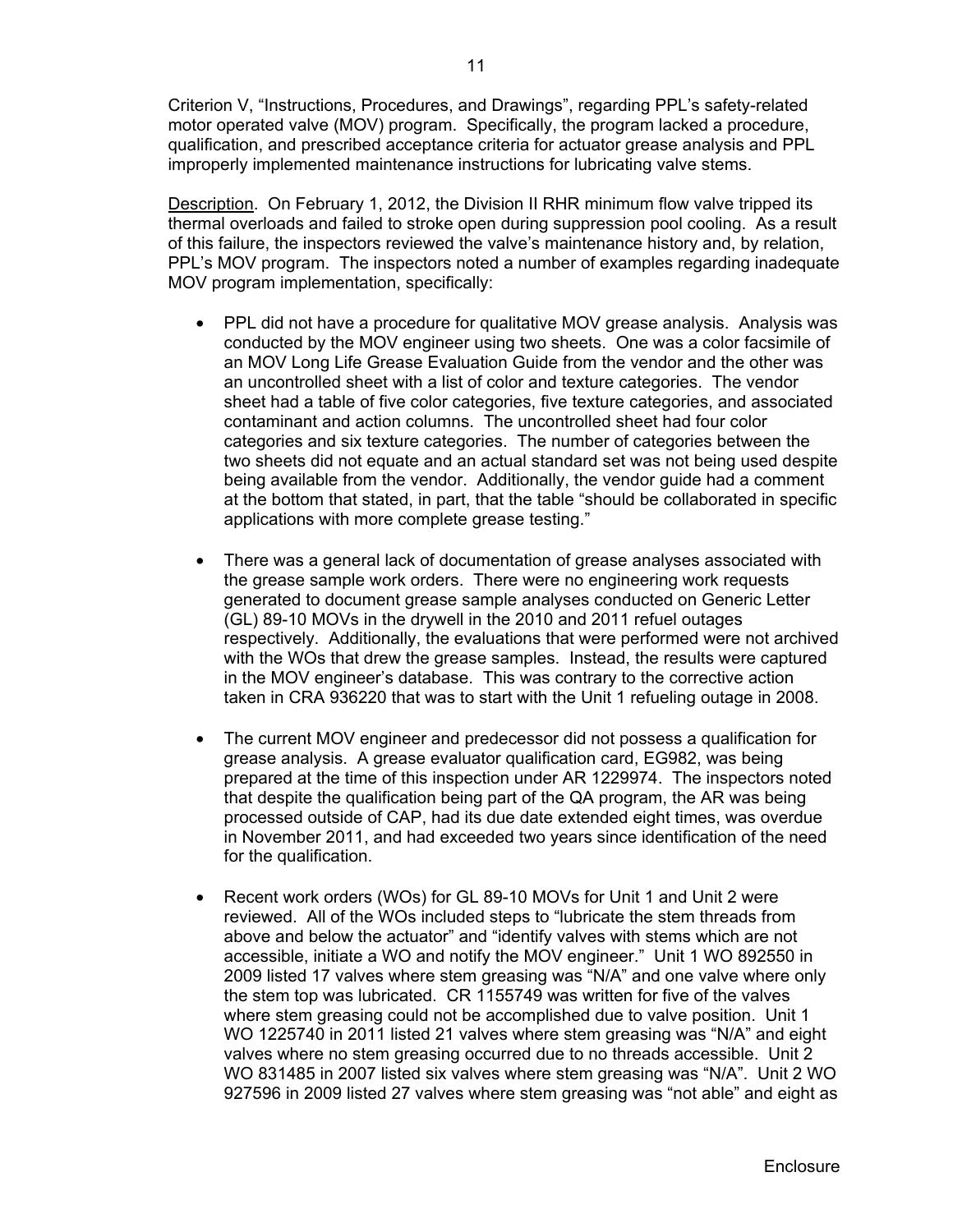Criterion V, "Instructions, Procedures, and Drawings", regarding PPL's safety-related motor operated valve (MOV) program. Specifically, the program lacked a procedure, qualification, and prescribed acceptance criteria for actuator grease analysis and PPL improperly implemented maintenance instructions for lubricating valve stems.

Description. On February 1, 2012, the Division II RHR minimum flow valve tripped its thermal overloads and failed to stroke open during suppression pool cooling. As a result of this failure, the inspectors reviewed the valve's maintenance history and, by relation, PPL's MOV program. The inspectors noted a number of examples regarding inadequate MOV program implementation, specifically:

- PPL did not have a procedure for qualitative MOV grease analysis. Analysis was conducted by the MOV engineer using two sheets. One was a color facsimile of an MOV Long Life Grease Evaluation Guide from the vendor and the other was an uncontrolled sheet with a list of color and texture categories. The vendor sheet had a table of five color categories, five texture categories, and associated contaminant and action columns. The uncontrolled sheet had four color categories and six texture categories. The number of categories between the two sheets did not equate and an actual standard set was not being used despite being available from the vendor. Additionally, the vendor guide had a comment at the bottom that stated, in part, that the table "should be collaborated in specific applications with more complete grease testing."
- There was a general lack of documentation of grease analyses associated with the grease sample work orders. There were no engineering work requests generated to document grease sample analyses conducted on Generic Letter (GL) 89-10 MOVs in the drywell in the 2010 and 2011 refuel outages respectively. Additionally, the evaluations that were performed were not archived with the WOs that drew the grease samples. Instead, the results were captured in the MOV engineer's database. This was contrary to the corrective action taken in CRA 936220 that was to start with the Unit 1 refueling outage in 2008.
- The current MOV engineer and predecessor did not possess a qualification for grease analysis. A grease evaluator qualification card, EG982, was being prepared at the time of this inspection under AR 1229974. The inspectors noted that despite the qualification being part of the QA program, the AR was being processed outside of CAP, had its due date extended eight times, was overdue in November 2011, and had exceeded two years since identification of the need for the qualification.
- Recent work orders (WOs) for GL 89-10 MOVs for Unit 1 and Unit 2 were reviewed. All of the WOs included steps to "lubricate the stem threads from above and below the actuator" and "identify valves with stems which are not accessible, initiate a WO and notify the MOV engineer." Unit 1 WO 892550 in 2009 listed 17 valves where stem greasing was "N/A" and one valve where only the stem top was lubricated. CR 1155749 was written for five of the valves where stem greasing could not be accomplished due to valve position. Unit 1 WO 1225740 in 2011 listed 21 valves where stem greasing was "N/A" and eight valves where no stem greasing occurred due to no threads accessible. Unit 2 WO 831485 in 2007 listed six valves where stem greasing was "N/A". Unit 2 WO 927596 in 2009 listed 27 valves where stem greasing was "not able" and eight as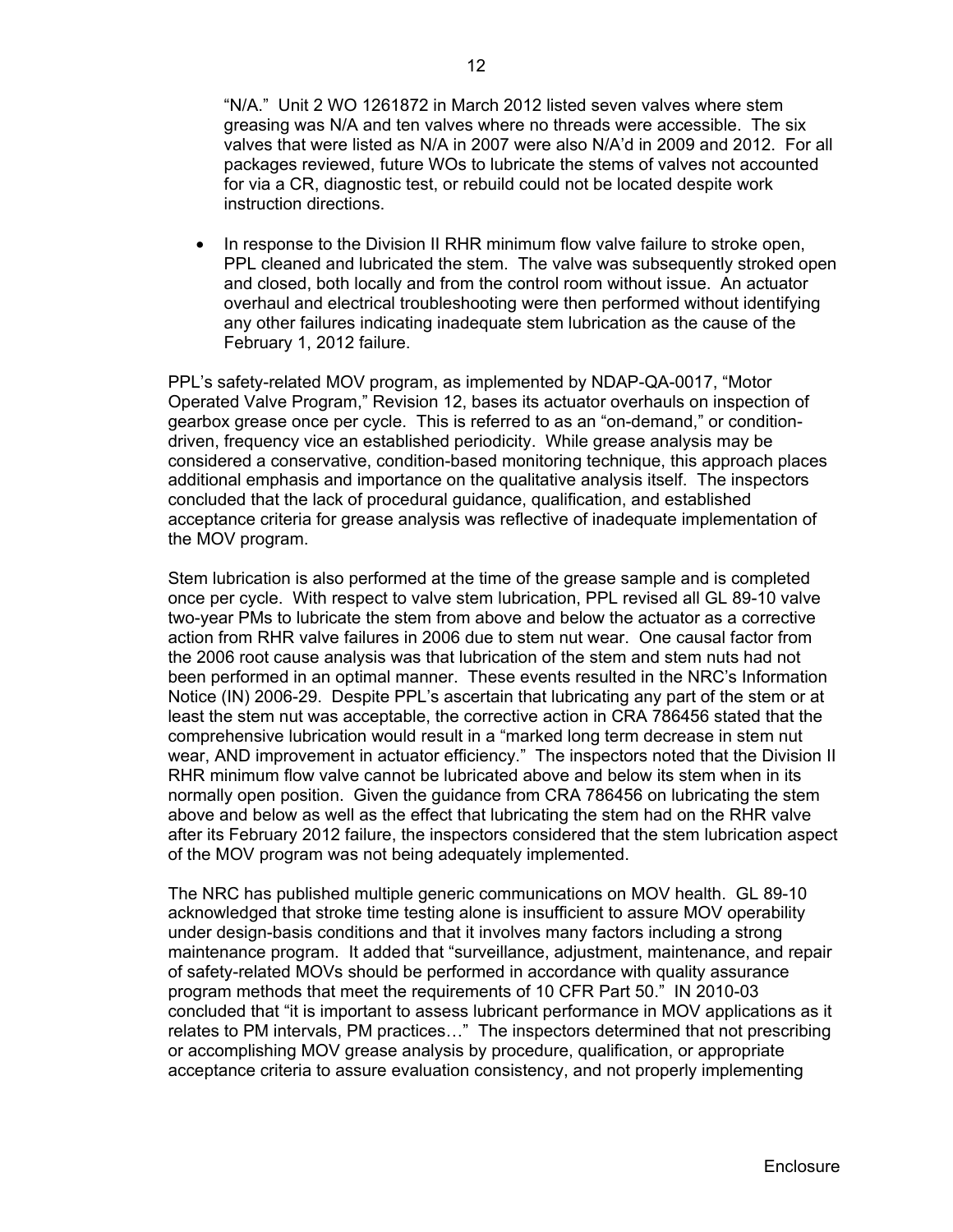"N/A." Unit 2 WO 1261872 in March 2012 listed seven valves where stem greasing was N/A and ten valves where no threads were accessible. The six valves that were listed as N/A in 2007 were also N/A'd in 2009 and 2012. For all packages reviewed, future WOs to lubricate the stems of valves not accounted for via a CR, diagnostic test, or rebuild could not be located despite work instruction directions.

• In response to the Division II RHR minimum flow valve failure to stroke open, PPL cleaned and lubricated the stem. The valve was subsequently stroked open and closed, both locally and from the control room without issue. An actuator overhaul and electrical troubleshooting were then performed without identifying any other failures indicating inadequate stem lubrication as the cause of the February 1, 2012 failure.

PPL's safety-related MOV program, as implemented by NDAP-QA-0017, "Motor Operated Valve Program," Revision 12, bases its actuator overhauls on inspection of gearbox grease once per cycle. This is referred to as an "on-demand," or conditiondriven, frequency vice an established periodicity. While grease analysis may be considered a conservative, condition-based monitoring technique, this approach places additional emphasis and importance on the qualitative analysis itself. The inspectors concluded that the lack of procedural guidance, qualification, and established acceptance criteria for grease analysis was reflective of inadequate implementation of the MOV program.

Stem lubrication is also performed at the time of the grease sample and is completed once per cycle. With respect to valve stem lubrication, PPL revised all GL 89-10 valve two-year PMs to lubricate the stem from above and below the actuator as a corrective action from RHR valve failures in 2006 due to stem nut wear. One causal factor from the 2006 root cause analysis was that lubrication of the stem and stem nuts had not been performed in an optimal manner. These events resulted in the NRC's Information Notice (IN) 2006-29. Despite PPL's ascertain that lubricating any part of the stem or at least the stem nut was acceptable, the corrective action in CRA 786456 stated that the comprehensive lubrication would result in a "marked long term decrease in stem nut wear, AND improvement in actuator efficiency." The inspectors noted that the Division II RHR minimum flow valve cannot be lubricated above and below its stem when in its normally open position. Given the guidance from CRA 786456 on lubricating the stem above and below as well as the effect that lubricating the stem had on the RHR valve after its February 2012 failure, the inspectors considered that the stem lubrication aspect of the MOV program was not being adequately implemented.

The NRC has published multiple generic communications on MOV health. GL 89-10 acknowledged that stroke time testing alone is insufficient to assure MOV operability under design-basis conditions and that it involves many factors including a strong maintenance program. It added that "surveillance, adjustment, maintenance, and repair of safety-related MOVs should be performed in accordance with quality assurance program methods that meet the requirements of 10 CFR Part 50." IN 2010-03 concluded that "it is important to assess lubricant performance in MOV applications as it relates to PM intervals, PM practices…" The inspectors determined that not prescribing or accomplishing MOV grease analysis by procedure, qualification, or appropriate acceptance criteria to assure evaluation consistency, and not properly implementing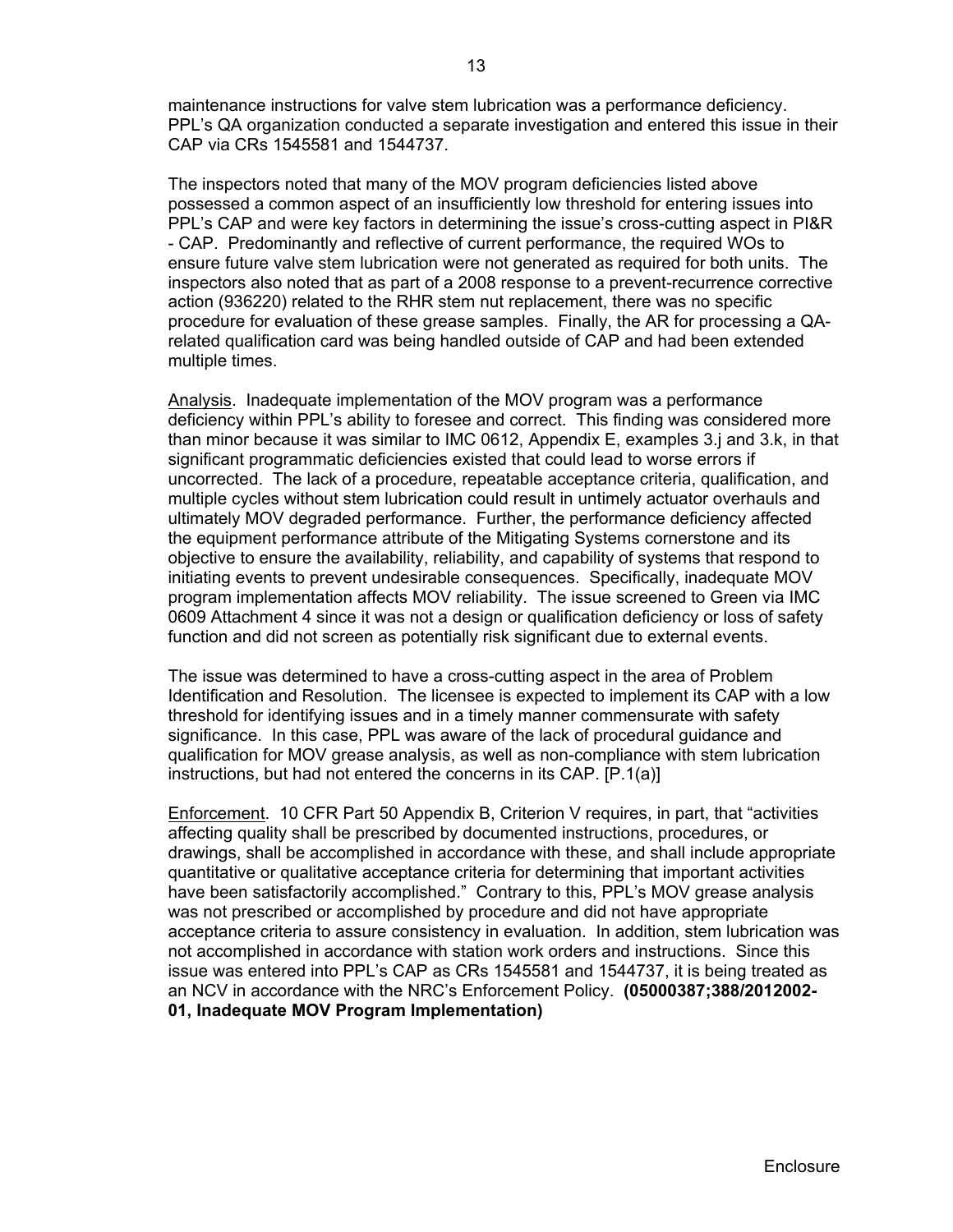maintenance instructions for valve stem lubrication was a performance deficiency. PPL's QA organization conducted a separate investigation and entered this issue in their CAP via CRs 1545581 and 1544737.

The inspectors noted that many of the MOV program deficiencies listed above possessed a common aspect of an insufficiently low threshold for entering issues into PPL's CAP and were key factors in determining the issue's cross-cutting aspect in PI&R - CAP. Predominantly and reflective of current performance, the required WOs to ensure future valve stem lubrication were not generated as required for both units. The inspectors also noted that as part of a 2008 response to a prevent-recurrence corrective action (936220) related to the RHR stem nut replacement, there was no specific procedure for evaluation of these grease samples. Finally, the AR for processing a QArelated qualification card was being handled outside of CAP and had been extended multiple times.

Analysis. Inadequate implementation of the MOV program was a performance deficiency within PPL's ability to foresee and correct. This finding was considered more than minor because it was similar to IMC 0612, Appendix E, examples 3.j and 3.k, in that significant programmatic deficiencies existed that could lead to worse errors if uncorrected. The lack of a procedure, repeatable acceptance criteria, qualification, and multiple cycles without stem lubrication could result in untimely actuator overhauls and ultimately MOV degraded performance. Further, the performance deficiency affected the equipment performance attribute of the Mitigating Systems cornerstone and its objective to ensure the availability, reliability, and capability of systems that respond to initiating events to prevent undesirable consequences. Specifically, inadequate MOV program implementation affects MOV reliability. The issue screened to Green via IMC 0609 Attachment 4 since it was not a design or qualification deficiency or loss of safety function and did not screen as potentially risk significant due to external events.

The issue was determined to have a cross-cutting aspect in the area of Problem Identification and Resolution. The licensee is expected to implement its CAP with a low threshold for identifying issues and in a timely manner commensurate with safety significance. In this case, PPL was aware of the lack of procedural guidance and qualification for MOV grease analysis, as well as non-compliance with stem lubrication instructions, but had not entered the concerns in its CAP. [P.1(a)]

Enforcement. 10 CFR Part 50 Appendix B, Criterion V requires, in part, that "activities affecting quality shall be prescribed by documented instructions, procedures, or drawings, shall be accomplished in accordance with these, and shall include appropriate quantitative or qualitative acceptance criteria for determining that important activities have been satisfactorily accomplished." Contrary to this, PPL's MOV grease analysis was not prescribed or accomplished by procedure and did not have appropriate acceptance criteria to assure consistency in evaluation. In addition, stem lubrication was not accomplished in accordance with station work orders and instructions. Since this issue was entered into PPL's CAP as CRs 1545581 and 1544737, it is being treated as an NCV in accordance with the NRC's Enforcement Policy. **(05000387;388/2012002- 01, Inadequate MOV Program Implementation)**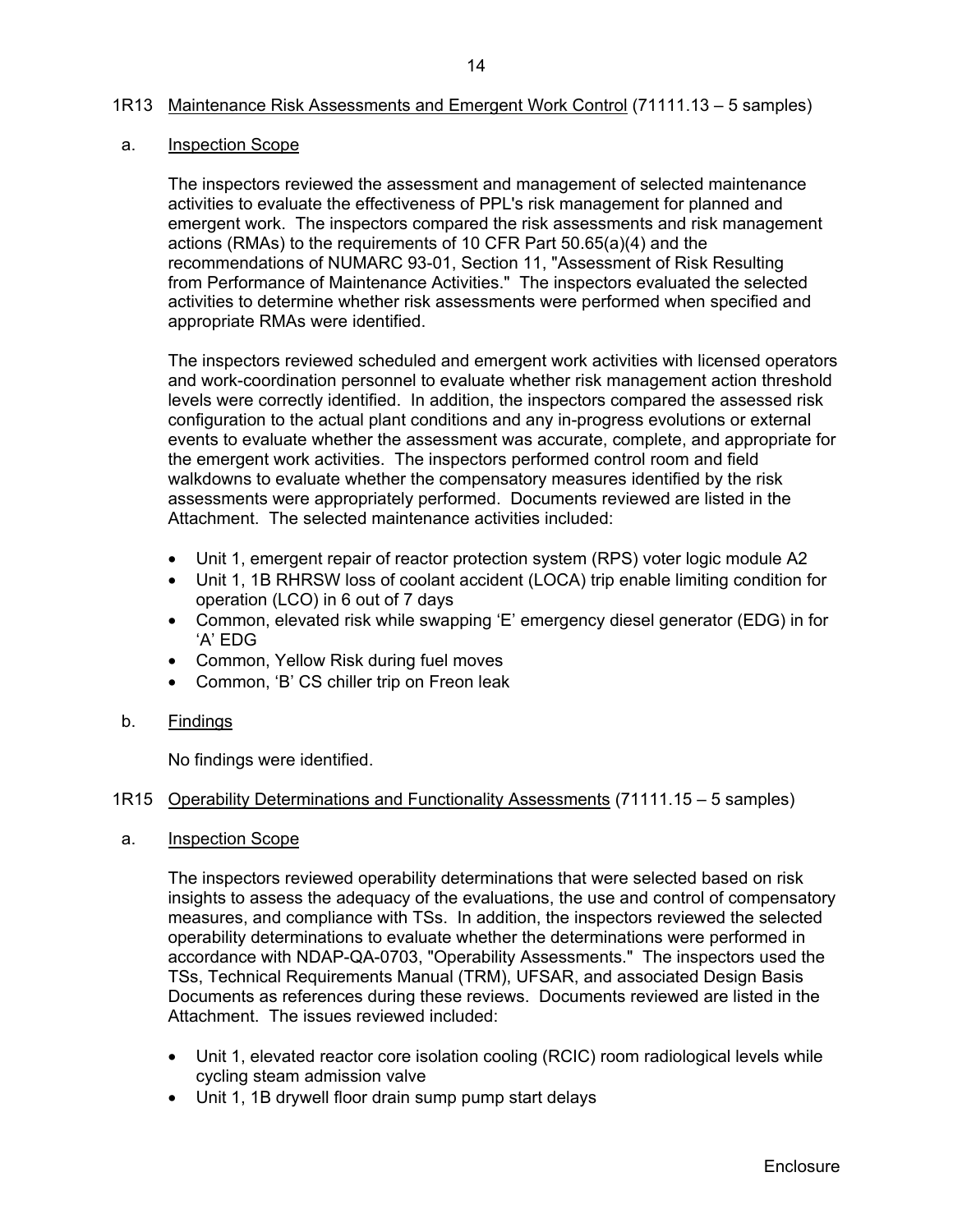## 1R13 Maintenance Risk Assessments and Emergent Work Control (71111.13 – 5 samples)

## a. Inspection Scope

The inspectors reviewed the assessment and management of selected maintenance activities to evaluate the effectiveness of PPL's risk management for planned and emergent work. The inspectors compared the risk assessments and risk management actions (RMAs) to the requirements of 10 CFR Part 50.65(a)(4) and the recommendations of NUMARC 93-01, Section 11, "Assessment of Risk Resulting from Performance of Maintenance Activities." The inspectors evaluated the selected activities to determine whether risk assessments were performed when specified and appropriate RMAs were identified.

The inspectors reviewed scheduled and emergent work activities with licensed operators and work-coordination personnel to evaluate whether risk management action threshold levels were correctly identified. In addition, the inspectors compared the assessed risk configuration to the actual plant conditions and any in-progress evolutions or external events to evaluate whether the assessment was accurate, complete, and appropriate for the emergent work activities. The inspectors performed control room and field walkdowns to evaluate whether the compensatory measures identified by the risk assessments were appropriately performed. Documents reviewed are listed in the Attachment. The selected maintenance activities included:

- Unit 1, emergent repair of reactor protection system (RPS) voter logic module A2
- Unit 1, 1B RHRSW loss of coolant accident (LOCA) trip enable limiting condition for operation (LCO) in 6 out of 7 days
- Common, elevated risk while swapping 'E' emergency diesel generator (EDG) in for 'A' EDG
- Common, Yellow Risk during fuel moves
- Common, 'B' CS chiller trip on Freon leak
- b. Findings

No findings were identified.

## 1R15 Operability Determinations and Functionality Assessments (71111.15 – 5 samples)

a. Inspection Scope

The inspectors reviewed operability determinations that were selected based on risk insights to assess the adequacy of the evaluations, the use and control of compensatory measures, and compliance with TSs. In addition, the inspectors reviewed the selected operability determinations to evaluate whether the determinations were performed in accordance with NDAP-QA-0703, "Operability Assessments." The inspectors used the TSs, Technical Requirements Manual (TRM), UFSAR, and associated Design Basis Documents as references during these reviews. Documents reviewed are listed in the Attachment. The issues reviewed included:

- Unit 1, elevated reactor core isolation cooling (RCIC) room radiological levels while cycling steam admission valve
- Unit 1, 1B drywell floor drain sump pump start delays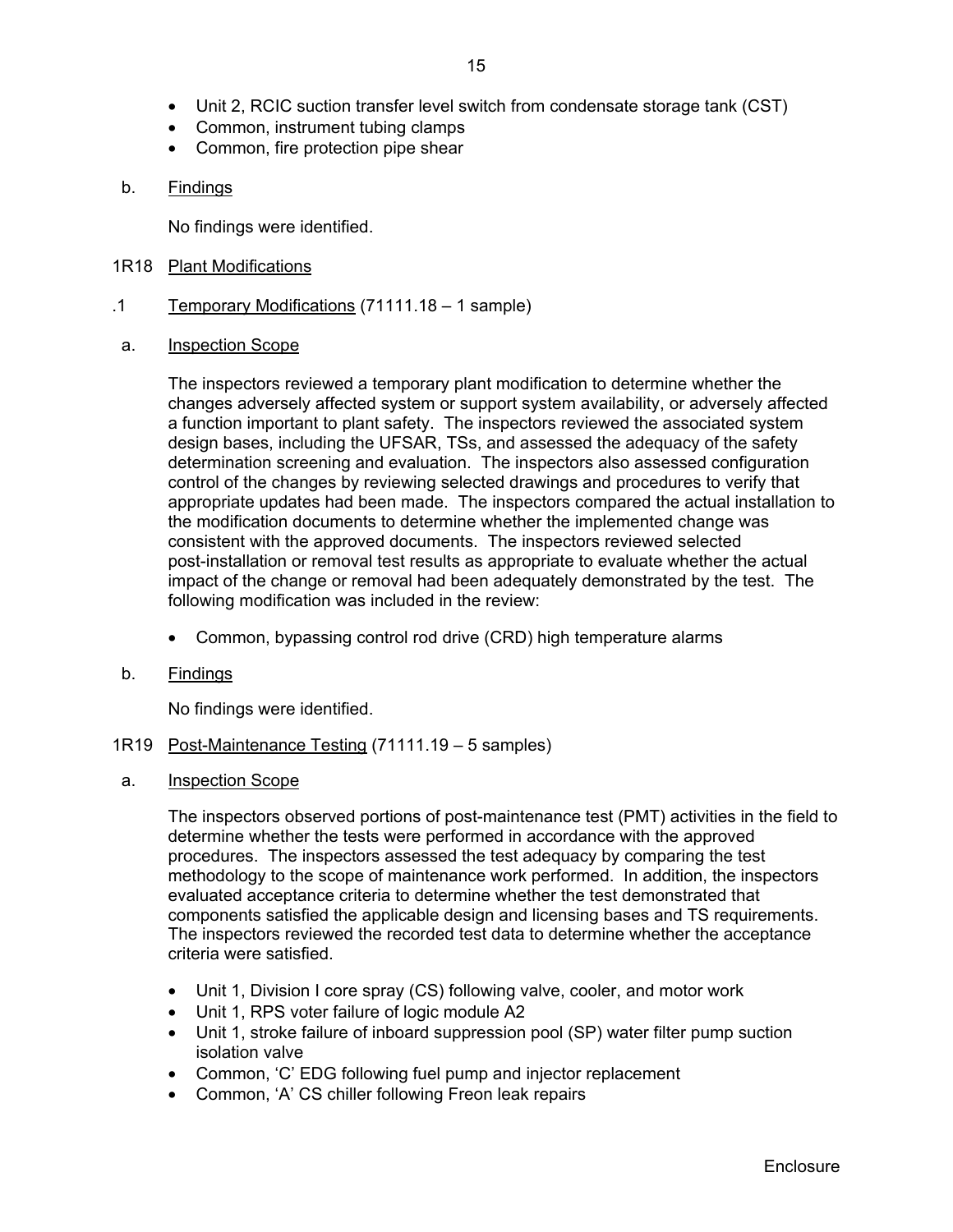- Unit 2, RCIC suction transfer level switch from condensate storage tank (CST)
- Common, instrument tubing clamps
- Common, fire protection pipe shear

## b. Findings

No findings were identified.

- 1R18 Plant Modifications
- .1 Temporary Modifications (71111.18 1 sample)
- a. Inspection Scope

The inspectors reviewed a temporary plant modification to determine whether the changes adversely affected system or support system availability, or adversely affected a function important to plant safety. The inspectors reviewed the associated system design bases, including the UFSAR, TSs, and assessed the adequacy of the safety determination screening and evaluation. The inspectors also assessed configuration control of the changes by reviewing selected drawings and procedures to verify that appropriate updates had been made. The inspectors compared the actual installation to the modification documents to determine whether the implemented change was consistent with the approved documents. The inspectors reviewed selected post-installation or removal test results as appropriate to evaluate whether the actual impact of the change or removal had been adequately demonstrated by the test. The following modification was included in the review:

- Common, bypassing control rod drive (CRD) high temperature alarms
- b. Findings

No findings were identified.

- 1R19 Post-Maintenance Testing (71111.19 5 samples)
- a. Inspection Scope

The inspectors observed portions of post-maintenance test (PMT) activities in the field to determine whether the tests were performed in accordance with the approved procedures. The inspectors assessed the test adequacy by comparing the test methodology to the scope of maintenance work performed. In addition, the inspectors evaluated acceptance criteria to determine whether the test demonstrated that components satisfied the applicable design and licensing bases and TS requirements. The inspectors reviewed the recorded test data to determine whether the acceptance criteria were satisfied.

- Unit 1, Division I core spray (CS) following valve, cooler, and motor work
- Unit 1, RPS voter failure of logic module A2
- Unit 1, stroke failure of inboard suppression pool (SP) water filter pump suction isolation valve
- Common, 'C' EDG following fuel pump and injector replacement
- Common, 'A' CS chiller following Freon leak repairs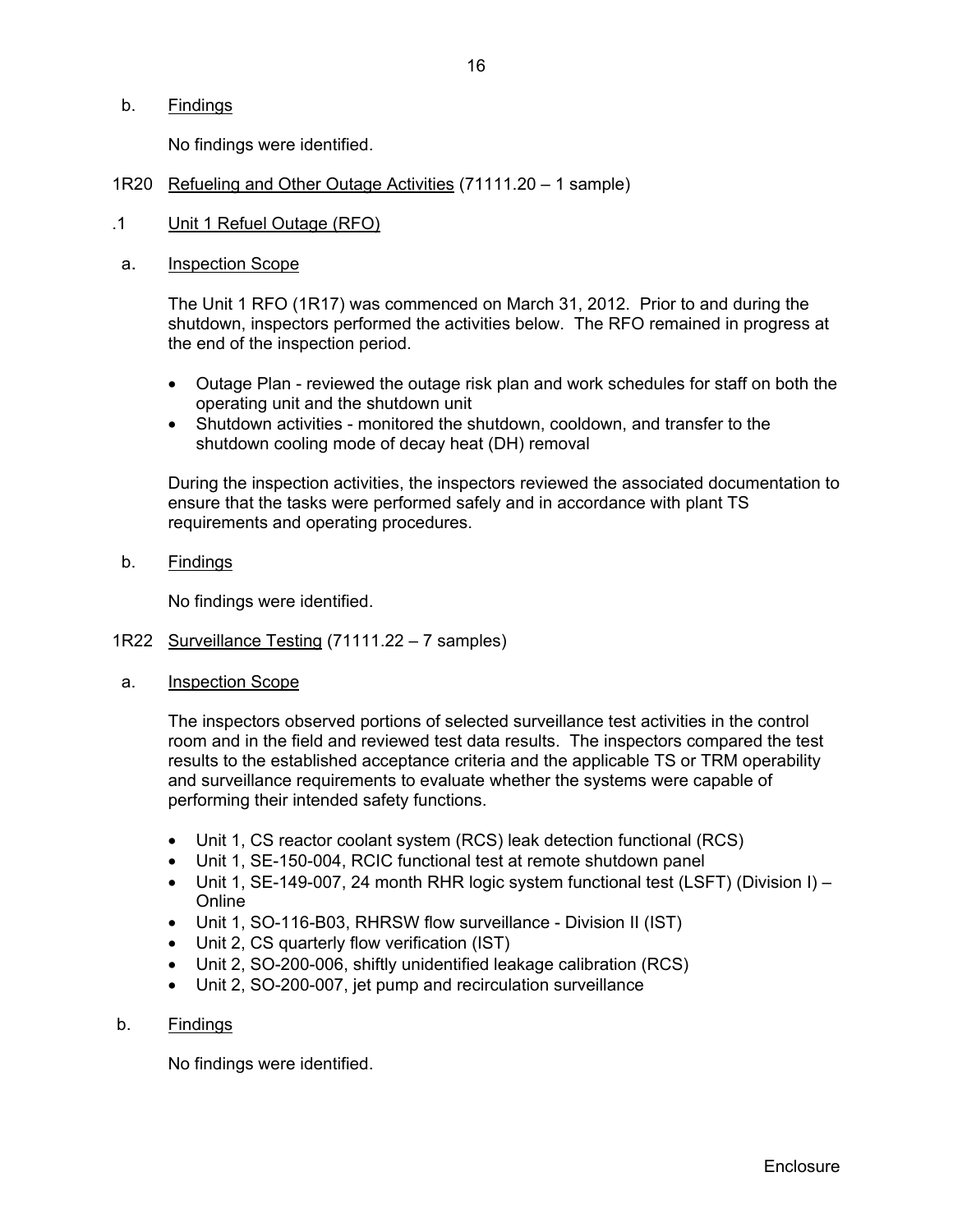b. Findings

No findings were identified.

- 1R20 Refueling and Other Outage Activities (71111.20 1 sample)
- .1 Unit 1 Refuel Outage (RFO)
- a. Inspection Scope

The Unit 1 RFO (1R17) was commenced on March 31, 2012. Prior to and during the shutdown, inspectors performed the activities below. The RFO remained in progress at the end of the inspection period.

- Outage Plan reviewed the outage risk plan and work schedules for staff on both the operating unit and the shutdown unit
- Shutdown activities monitored the shutdown, cooldown, and transfer to the shutdown cooling mode of decay heat (DH) removal

 During the inspection activities, the inspectors reviewed the associated documentation to ensure that the tasks were performed safely and in accordance with plant TS requirements and operating procedures.

b. Findings

No findings were identified.

- 1R22 Surveillance Testing (71111.22 7 samples)
- a. Inspection Scope

The inspectors observed portions of selected surveillance test activities in the control room and in the field and reviewed test data results. The inspectors compared the test results to the established acceptance criteria and the applicable TS or TRM operability and surveillance requirements to evaluate whether the systems were capable of performing their intended safety functions.

- Unit 1, CS reactor coolant system (RCS) leak detection functional (RCS)
- Unit 1, SE-150-004, RCIC functional test at remote shutdown panel
- Unit 1, SE-149-007, 24 month RHR logic system functional test (LSFT) (Division I) Online
- Unit 1, SO-116-B03, RHRSW flow surveillance Division II (IST)
- Unit 2, CS quarterly flow verification (IST)
- Unit 2, SO-200-006, shiftly unidentified leakage calibration (RCS)
- Unit 2, SO-200-007, jet pump and recirculation surveillance
- b. Findings

No findings were identified.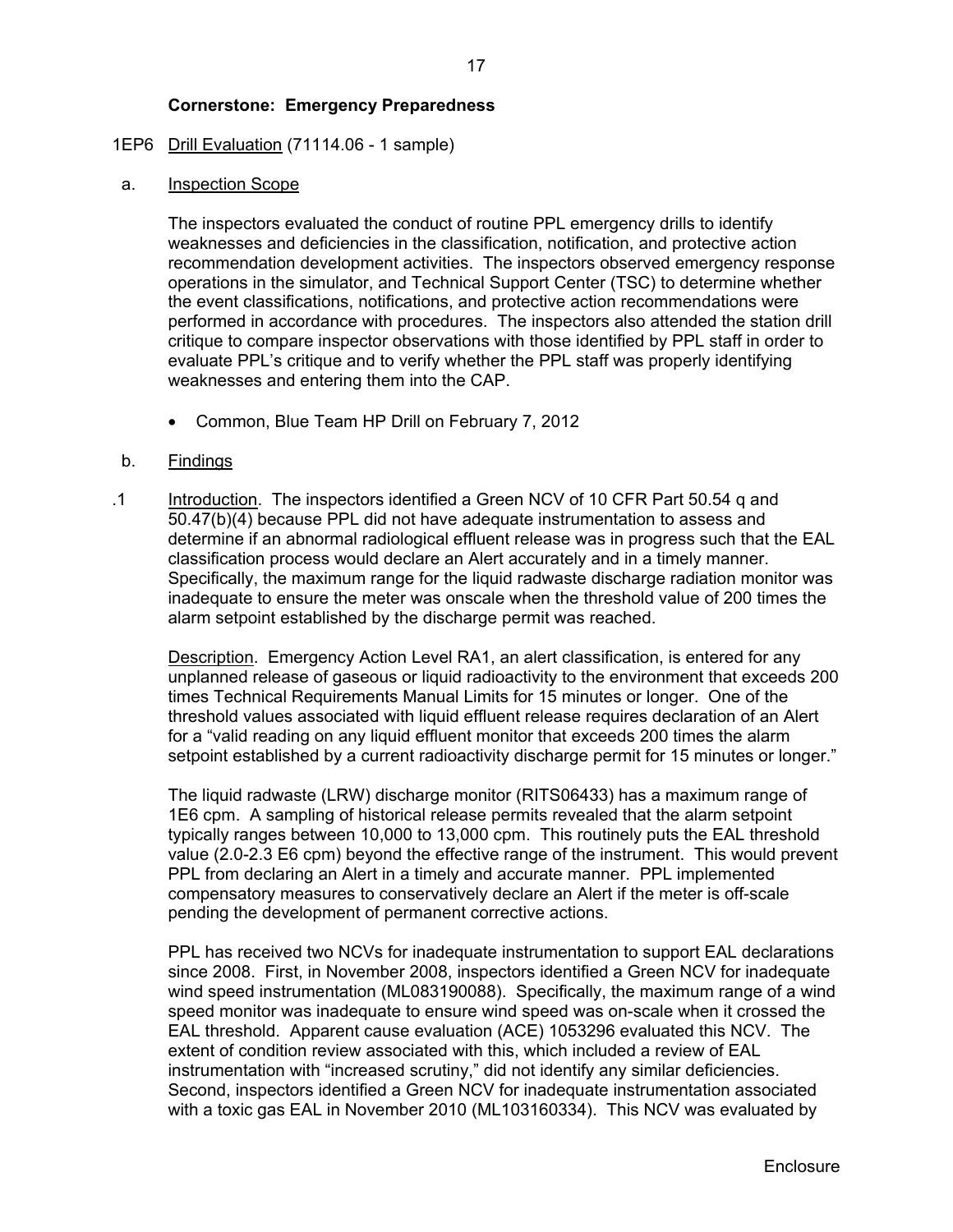## 1EP6 Drill Evaluation (71114.06 - 1 sample)

a. Inspection Scope

The inspectors evaluated the conduct of routine PPL emergency drills to identify weaknesses and deficiencies in the classification, notification, and protective action recommendation development activities. The inspectors observed emergency response operations in the simulator, and Technical Support Center (TSC) to determine whether the event classifications, notifications, and protective action recommendations were performed in accordance with procedures. The inspectors also attended the station drill critique to compare inspector observations with those identified by PPL staff in order to evaluate PPL's critique and to verify whether the PPL staff was properly identifying weaknesses and entering them into the CAP.

• Common, Blue Team HP Drill on February 7, 2012

## b. Findings

.1 Introduction. The inspectors identified a Green NCV of 10 CFR Part 50.54 q and 50.47(b)(4) because PPL did not have adequate instrumentation to assess and determine if an abnormal radiological effluent release was in progress such that the EAL classification process would declare an Alert accurately and in a timely manner. Specifically, the maximum range for the liquid radwaste discharge radiation monitor was inadequate to ensure the meter was onscale when the threshold value of 200 times the alarm setpoint established by the discharge permit was reached.

Description. Emergency Action Level RA1, an alert classification, is entered for any unplanned release of gaseous or liquid radioactivity to the environment that exceeds 200 times Technical Requirements Manual Limits for 15 minutes or longer. One of the threshold values associated with liquid effluent release requires declaration of an Alert for a "valid reading on any liquid effluent monitor that exceeds 200 times the alarm setpoint established by a current radioactivity discharge permit for 15 minutes or longer."

The liquid radwaste (LRW) discharge monitor (RITS06433) has a maximum range of 1E6 cpm. A sampling of historical release permits revealed that the alarm setpoint typically ranges between 10,000 to 13,000 cpm. This routinely puts the EAL threshold value (2.0-2.3 E6 cpm) beyond the effective range of the instrument. This would prevent PPL from declaring an Alert in a timely and accurate manner. PPL implemented compensatory measures to conservatively declare an Alert if the meter is off-scale pending the development of permanent corrective actions.

PPL has received two NCVs for inadequate instrumentation to support EAL declarations since 2008. First, in November 2008, inspectors identified a Green NCV for inadequate wind speed instrumentation (ML083190088). Specifically, the maximum range of a wind speed monitor was inadequate to ensure wind speed was on-scale when it crossed the EAL threshold. Apparent cause evaluation (ACE) 1053296 evaluated this NCV. The extent of condition review associated with this, which included a review of EAL instrumentation with "increased scrutiny," did not identify any similar deficiencies. Second, inspectors identified a Green NCV for inadequate instrumentation associated with a toxic gas EAL in November 2010 (ML103160334). This NCV was evaluated by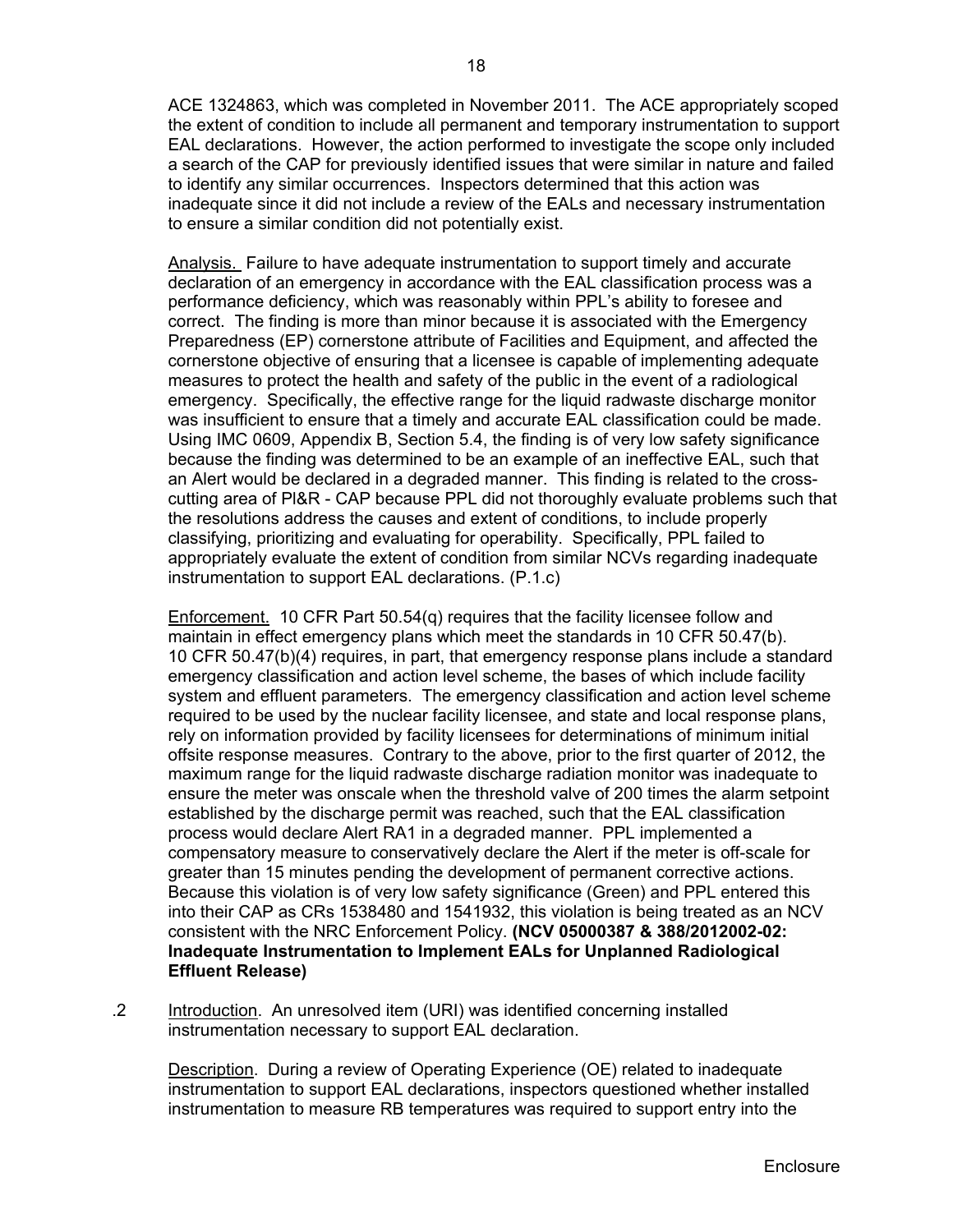ACE 1324863, which was completed in November 2011. The ACE appropriately scoped the extent of condition to include all permanent and temporary instrumentation to support EAL declarations. However, the action performed to investigate the scope only included a search of the CAP for previously identified issues that were similar in nature and failed to identify any similar occurrences. Inspectors determined that this action was inadequate since it did not include a review of the EALs and necessary instrumentation to ensure a similar condition did not potentially exist.

Analysis. Failure to have adequate instrumentation to support timely and accurate declaration of an emergency in accordance with the EAL classification process was a performance deficiency, which was reasonably within PPL's ability to foresee and correct. The finding is more than minor because it is associated with the Emergency Preparedness (EP) cornerstone attribute of Facilities and Equipment, and affected the cornerstone objective of ensuring that a licensee is capable of implementing adequate measures to protect the health and safety of the public in the event of a radiological emergency. Specifically, the effective range for the liquid radwaste discharge monitor was insufficient to ensure that a timely and accurate EAL classification could be made. Using IMC 0609, Appendix B, Section 5.4, the finding is of very low safety significance because the finding was determined to be an example of an ineffective EAL, such that an Alert would be declared in a degraded manner. This finding is related to the crosscutting area of Pl&R - CAP because PPL did not thoroughly evaluate problems such that the resolutions address the causes and extent of conditions, to include properly classifying, prioritizing and evaluating for operability. Specifically, PPL failed to appropriately evaluate the extent of condition from similar NCVs regarding inadequate instrumentation to support EAL declarations. (P.1.c)

Enforcement. 10 CFR Part 50.54(q) requires that the facility licensee follow and maintain in effect emergency plans which meet the standards in 10 CFR 50.47(b). 10 CFR 50.47(b)(4) requires, in part, that emergency response plans include a standard emergency classification and action level scheme, the bases of which include facility system and effluent parameters. The emergency classification and action level scheme required to be used by the nuclear facility licensee, and state and local response plans, rely on information provided by facility licensees for determinations of minimum initial offsite response measures. Contrary to the above, prior to the first quarter of 2012, the maximum range for the liquid radwaste discharge radiation monitor was inadequate to ensure the meter was onscale when the threshold valve of 200 times the alarm setpoint established by the discharge permit was reached, such that the EAL classification process would declare Alert RA1 in a degraded manner. PPL implemented a compensatory measure to conservatively declare the Alert if the meter is off-scale for greater than 15 minutes pending the development of permanent corrective actions. Because this violation is of very low safety significance (Green) and PPL entered this into their CAP as CRs 1538480 and 1541932, this violation is being treated as an NCV consistent with the NRC Enforcement Policy. **(NCV 05000387 & 388/2012002-02: Inadequate Instrumentation to Implement EALs for Unplanned Radiological Effluent Release)**

.2 Introduction. An unresolved item (URI) was identified concerning installed instrumentation necessary to support EAL declaration.

Description. During a review of Operating Experience (OE) related to inadequate instrumentation to support EAL declarations, inspectors questioned whether installed instrumentation to measure RB temperatures was required to support entry into the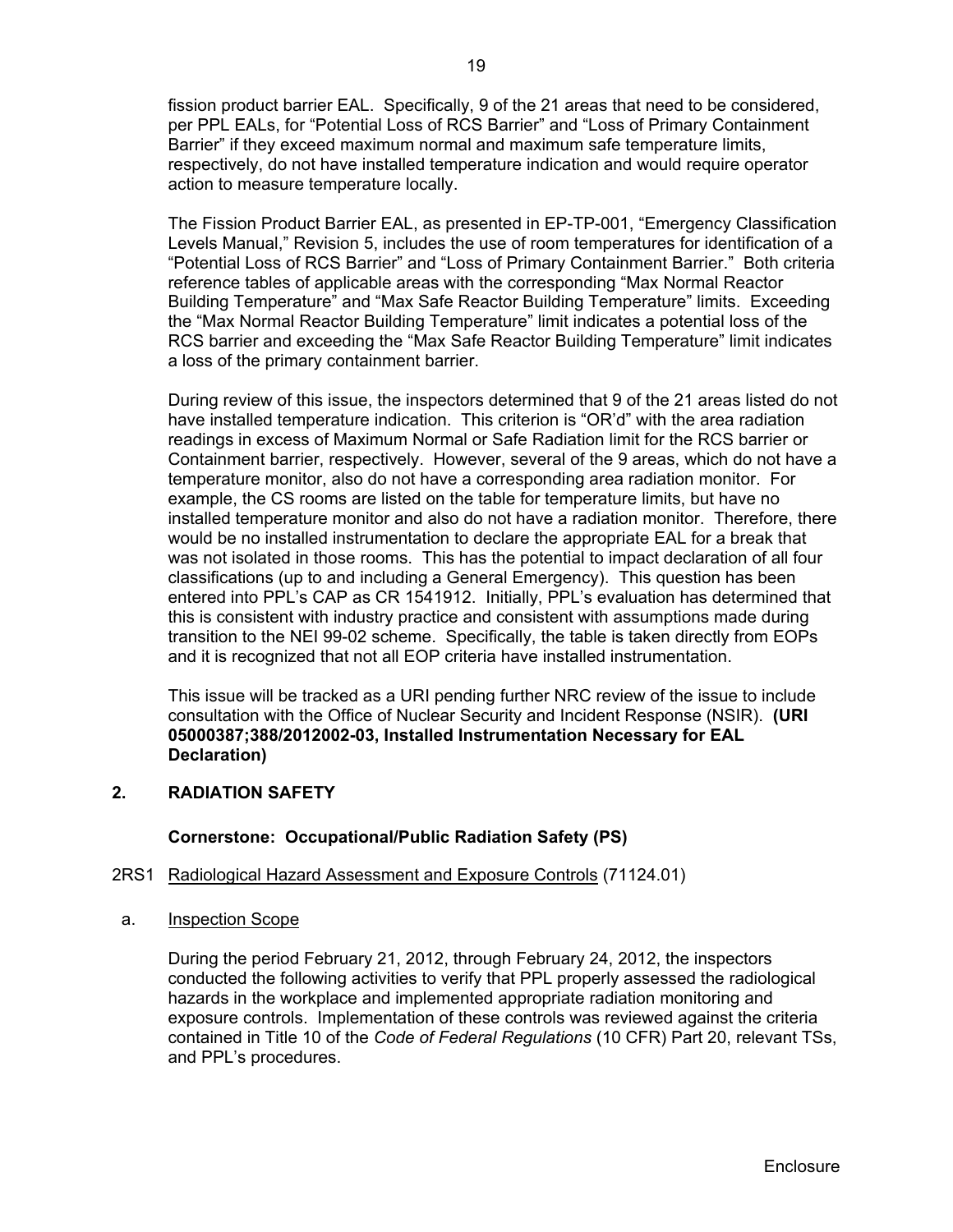fission product barrier EAL. Specifically, 9 of the 21 areas that need to be considered, per PPL EALs, for "Potential Loss of RCS Barrier" and "Loss of Primary Containment Barrier" if they exceed maximum normal and maximum safe temperature limits, respectively, do not have installed temperature indication and would require operator action to measure temperature locally.

The Fission Product Barrier EAL, as presented in EP-TP-001, "Emergency Classification Levels Manual," Revision 5, includes the use of room temperatures for identification of a "Potential Loss of RCS Barrier" and "Loss of Primary Containment Barrier." Both criteria reference tables of applicable areas with the corresponding "Max Normal Reactor Building Temperature" and "Max Safe Reactor Building Temperature" limits. Exceeding the "Max Normal Reactor Building Temperature" limit indicates a potential loss of the RCS barrier and exceeding the "Max Safe Reactor Building Temperature" limit indicates a loss of the primary containment barrier.

During review of this issue, the inspectors determined that 9 of the 21 areas listed do not have installed temperature indication. This criterion is "OR'd" with the area radiation readings in excess of Maximum Normal or Safe Radiation limit for the RCS barrier or Containment barrier, respectively. However, several of the 9 areas, which do not have a temperature monitor, also do not have a corresponding area radiation monitor. For example, the CS rooms are listed on the table for temperature limits, but have no installed temperature monitor and also do not have a radiation monitor. Therefore, there would be no installed instrumentation to declare the appropriate EAL for a break that was not isolated in those rooms. This has the potential to impact declaration of all four classifications (up to and including a General Emergency). This question has been entered into PPL's CAP as CR 1541912. Initially, PPL's evaluation has determined that this is consistent with industry practice and consistent with assumptions made during transition to the NEI 99-02 scheme. Specifically, the table is taken directly from EOPs and it is recognized that not all EOP criteria have installed instrumentation.

This issue will be tracked as a URI pending further NRC review of the issue to include consultation with the Office of Nuclear Security and Incident Response (NSIR). **(URI 05000387;388/2012002-03, Installed Instrumentation Necessary for EAL Declaration)**

## **2. RADIATION SAFETY**

#### **Cornerstone: Occupational/Public Radiation Safety (PS)**

## 2RS1 Radiological Hazard Assessment and Exposure Controls (71124.01)

a. Inspection Scope

During the period February 21, 2012, through February 24, 2012, the inspectors conducted the following activities to verify that PPL properly assessed the radiological hazards in the workplace and implemented appropriate radiation monitoring and exposure controls. Implementation of these controls was reviewed against the criteria contained in Title 10 of the *Code of Federal Regulations* (10 CFR) Part 20, relevant TSs, and PPL's procedures.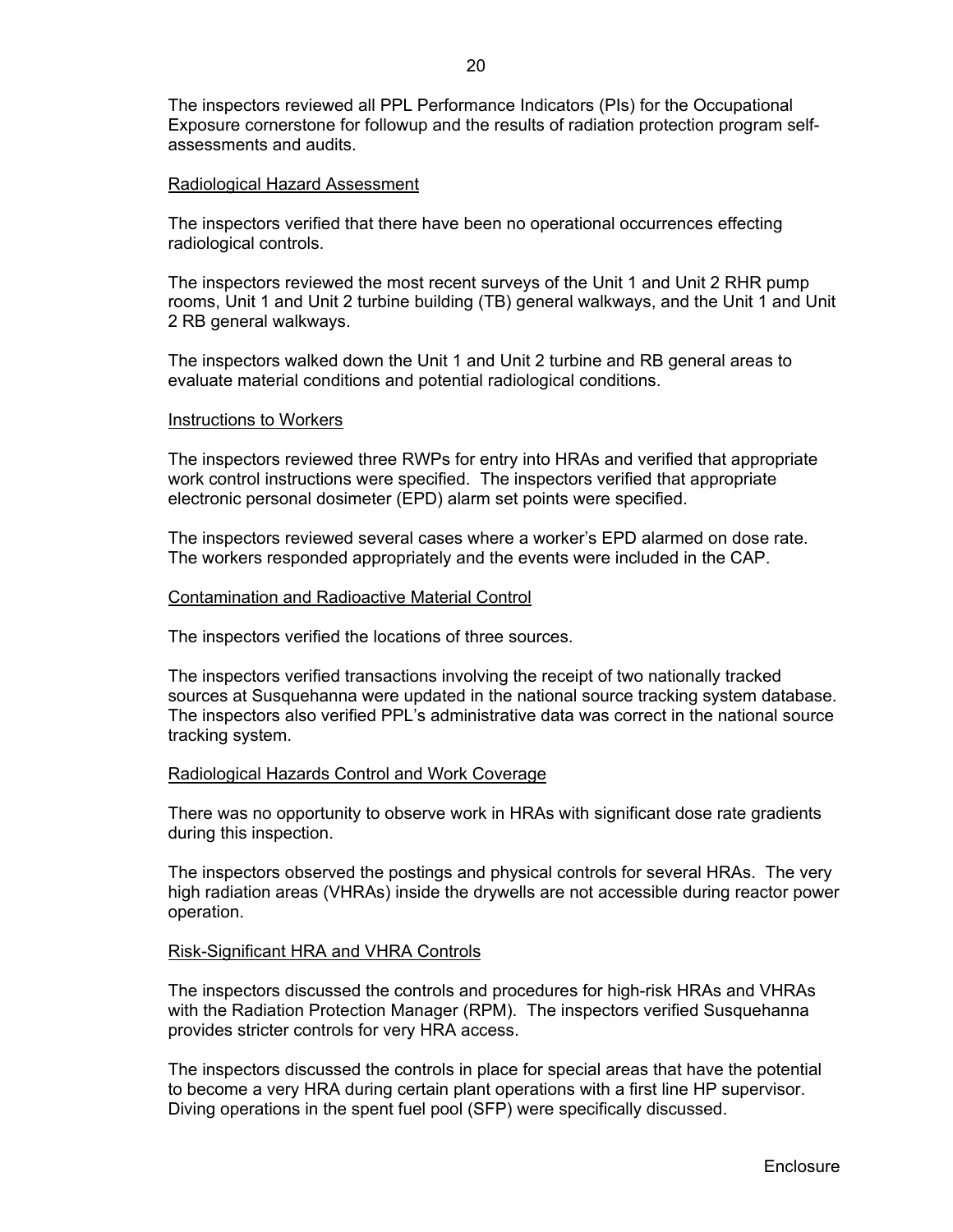The inspectors reviewed all PPL Performance Indicators (PIs) for the Occupational Exposure cornerstone for followup and the results of radiation protection program selfassessments and audits.

#### Radiological Hazard Assessment

The inspectors verified that there have been no operational occurrences effecting radiological controls.

The inspectors reviewed the most recent surveys of the Unit 1 and Unit 2 RHR pump rooms, Unit 1 and Unit 2 turbine building (TB) general walkways, and the Unit 1 and Unit 2 RB general walkways.

The inspectors walked down the Unit 1 and Unit 2 turbine and RB general areas to evaluate material conditions and potential radiological conditions.

#### Instructions to Workers

The inspectors reviewed three RWPs for entry into HRAs and verified that appropriate work control instructions were specified. The inspectors verified that appropriate electronic personal dosimeter (EPD) alarm set points were specified.

The inspectors reviewed several cases where a worker's EPD alarmed on dose rate. The workers responded appropriately and the events were included in the CAP.

#### Contamination and Radioactive Material Control

The inspectors verified the locations of three sources.

The inspectors verified transactions involving the receipt of two nationally tracked sources at Susquehanna were updated in the national source tracking system database. The inspectors also verified PPL's administrative data was correct in the national source tracking system.

#### Radiological Hazards Control and Work Coverage

There was no opportunity to observe work in HRAs with significant dose rate gradients during this inspection.

The inspectors observed the postings and physical controls for several HRAs. The very high radiation areas (VHRAs) inside the drywells are not accessible during reactor power operation.

#### Risk-Significant HRA and VHRA Controls

The inspectors discussed the controls and procedures for high-risk HRAs and VHRAs with the Radiation Protection Manager (RPM). The inspectors verified Susquehanna provides stricter controls for very HRA access.

The inspectors discussed the controls in place for special areas that have the potential to become a very HRA during certain plant operations with a first line HP supervisor. Diving operations in the spent fuel pool (SFP) were specifically discussed.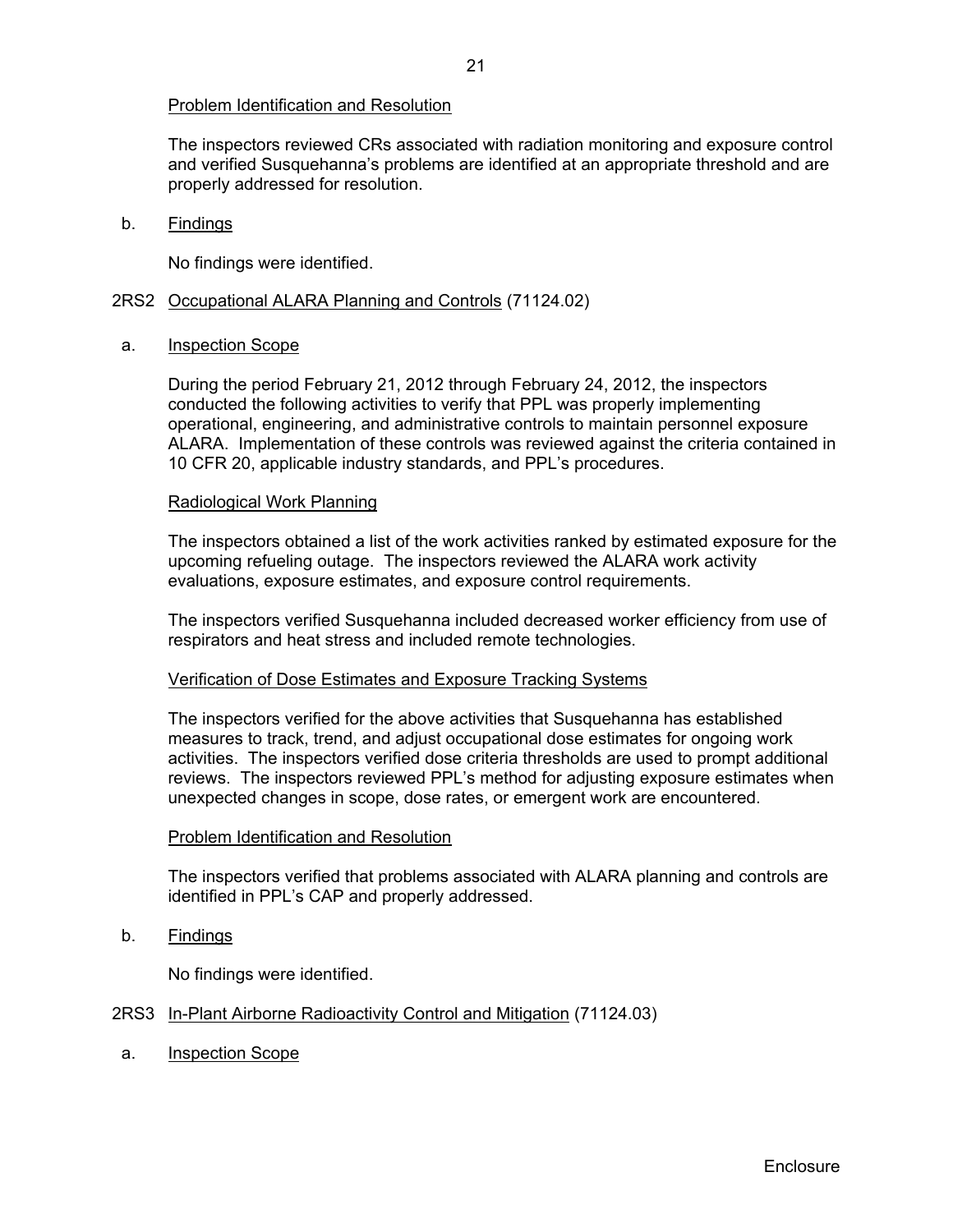## Problem Identification and Resolution

The inspectors reviewed CRs associated with radiation monitoring and exposure control and verified Susquehanna's problems are identified at an appropriate threshold and are properly addressed for resolution.

#### b. Findings

No findings were identified.

## 2RS2 Occupational ALARA Planning and Controls (71124.02)

#### a. Inspection Scope

During the period February 21, 2012 through February 24, 2012, the inspectors conducted the following activities to verify that PPL was properly implementing operational, engineering, and administrative controls to maintain personnel exposure ALARA. Implementation of these controls was reviewed against the criteria contained in 10 CFR 20, applicable industry standards, and PPL's procedures.

#### Radiological Work Planning

The inspectors obtained a list of the work activities ranked by estimated exposure for the upcoming refueling outage. The inspectors reviewed the ALARA work activity evaluations, exposure estimates, and exposure control requirements.

The inspectors verified Susquehanna included decreased worker efficiency from use of respirators and heat stress and included remote technologies.

#### Verification of Dose Estimates and Exposure Tracking Systems

The inspectors verified for the above activities that Susquehanna has established measures to track, trend, and adjust occupational dose estimates for ongoing work activities. The inspectors verified dose criteria thresholds are used to prompt additional reviews. The inspectors reviewed PPL's method for adjusting exposure estimates when unexpected changes in scope, dose rates, or emergent work are encountered.

#### Problem Identification and Resolution

The inspectors verified that problems associated with ALARA planning and controls are identified in PPL's CAP and properly addressed.

b. Findings

No findings were identified.

## 2RS3 In-Plant Airborne Radioactivity Control and Mitigation (71124.03)

a. Inspection Scope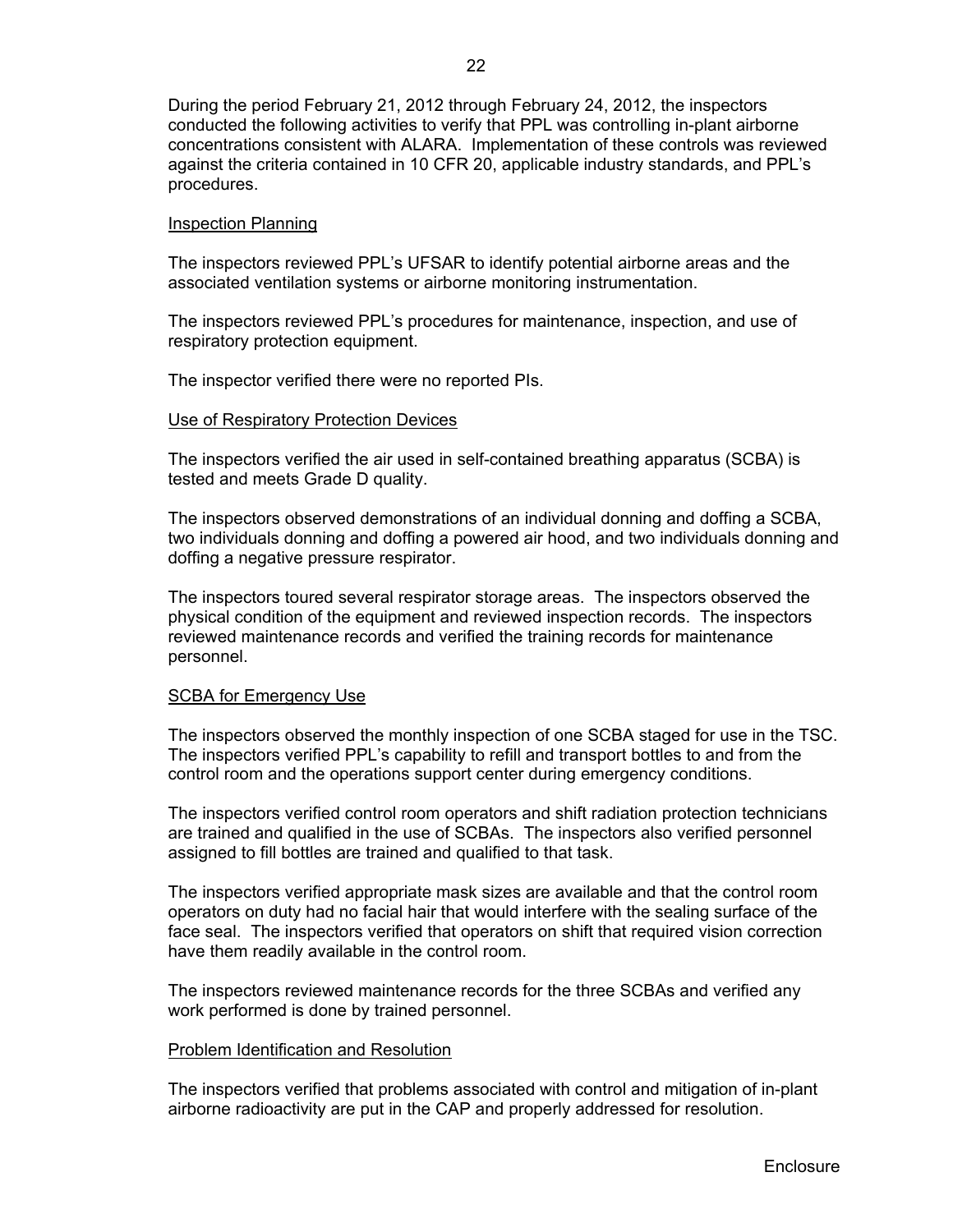During the period February 21, 2012 through February 24, 2012, the inspectors conducted the following activities to verify that PPL was controlling in-plant airborne concentrations consistent with ALARA. Implementation of these controls was reviewed against the criteria contained in 10 CFR 20, applicable industry standards, and PPL's procedures.

#### Inspection Planning

The inspectors reviewed PPL's UFSAR to identify potential airborne areas and the associated ventilation systems or airborne monitoring instrumentation.

The inspectors reviewed PPL's procedures for maintenance, inspection, and use of respiratory protection equipment.

The inspector verified there were no reported PIs.

## Use of Respiratory Protection Devices

The inspectors verified the air used in self-contained breathing apparatus (SCBA) is tested and meets Grade D quality.

The inspectors observed demonstrations of an individual donning and doffing a SCBA, two individuals donning and doffing a powered air hood, and two individuals donning and doffing a negative pressure respirator.

The inspectors toured several respirator storage areas. The inspectors observed the physical condition of the equipment and reviewed inspection records. The inspectors reviewed maintenance records and verified the training records for maintenance personnel.

#### SCBA for Emergency Use

The inspectors observed the monthly inspection of one SCBA staged for use in the TSC. The inspectors verified PPL's capability to refill and transport bottles to and from the control room and the operations support center during emergency conditions.

The inspectors verified control room operators and shift radiation protection technicians are trained and qualified in the use of SCBAs. The inspectors also verified personnel assigned to fill bottles are trained and qualified to that task.

The inspectors verified appropriate mask sizes are available and that the control room operators on duty had no facial hair that would interfere with the sealing surface of the face seal. The inspectors verified that operators on shift that required vision correction have them readily available in the control room.

The inspectors reviewed maintenance records for the three SCBAs and verified any work performed is done by trained personnel.

#### Problem Identification and Resolution

The inspectors verified that problems associated with control and mitigation of in-plant airborne radioactivity are put in the CAP and properly addressed for resolution.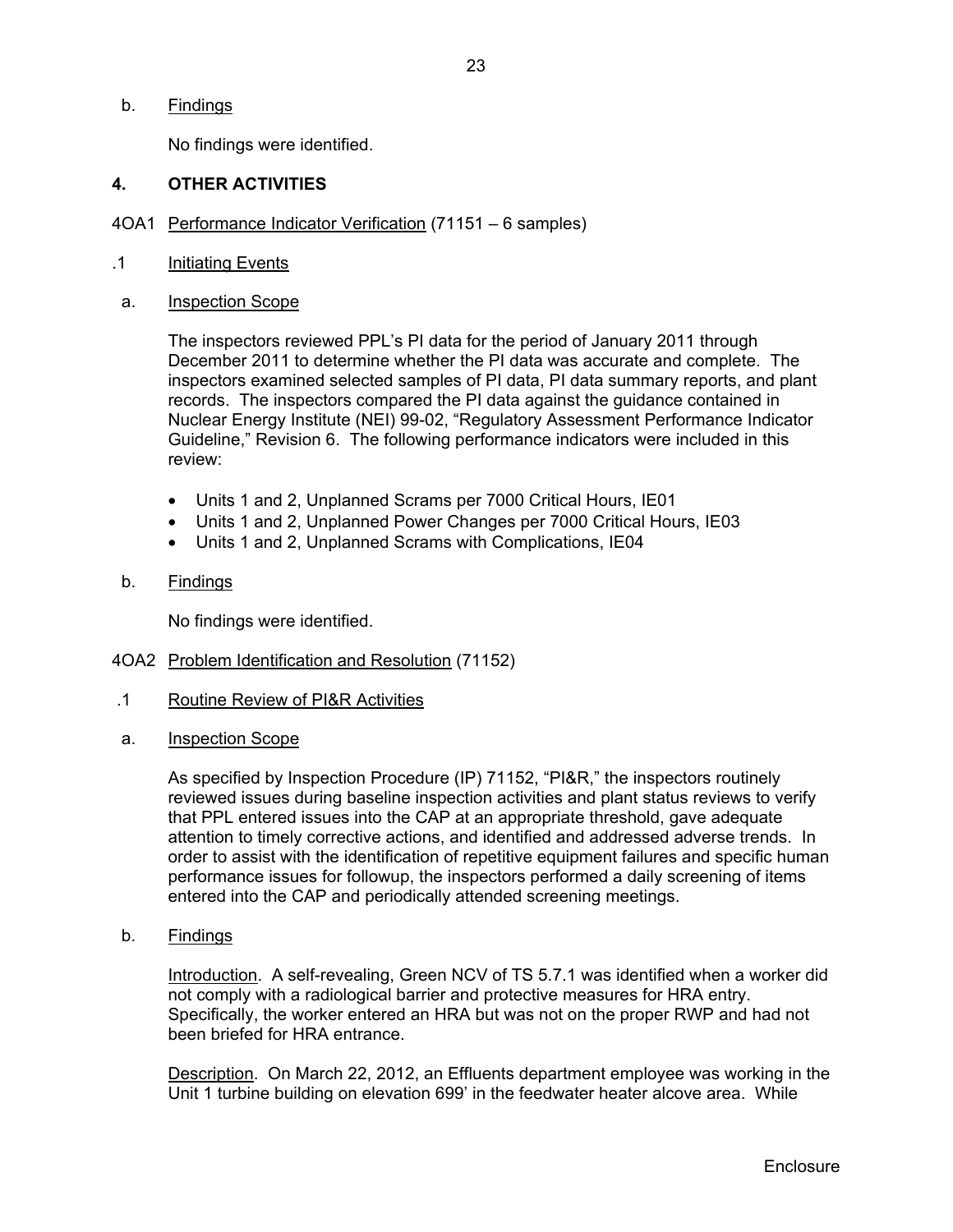b. Findings

No findings were identified.

# **4. OTHER ACTIVITIES**

- 4OA1 Performance Indicator Verification (71151 6 samples)
- .1 Initiating Events
- a. Inspection Scope

 The inspectors reviewed PPL's PI data for the period of January 2011 through December 2011 to determine whether the PI data was accurate and complete. The inspectors examined selected samples of PI data, PI data summary reports, and plant records. The inspectors compared the PI data against the guidance contained in Nuclear Energy Institute (NEI) 99-02, "Regulatory Assessment Performance Indicator Guideline," Revision 6. The following performance indicators were included in this review:

- Units 1 and 2, Unplanned Scrams per 7000 Critical Hours, IE01
- Units 1 and 2, Unplanned Power Changes per 7000 Critical Hours, IE03
- Units 1 and 2, Unplanned Scrams with Complications, IE04
- b. Findings

No findings were identified.

- 4OA2 Problem Identification and Resolution (71152)
- .1 Routine Review of PI&R Activities
- a. Inspection Scope

As specified by Inspection Procedure (IP) 71152, "PI&R," the inspectors routinely reviewed issues during baseline inspection activities and plant status reviews to verify that PPL entered issues into the CAP at an appropriate threshold, gave adequate attention to timely corrective actions, and identified and addressed adverse trends. In order to assist with the identification of repetitive equipment failures and specific human performance issues for followup, the inspectors performed a daily screening of items entered into the CAP and periodically attended screening meetings.

b. Findings

Introduction. A self-revealing, Green NCV of TS 5.7.1 was identified when a worker did not comply with a radiological barrier and protective measures for HRA entry. Specifically, the worker entered an HRA but was not on the proper RWP and had not been briefed for HRA entrance.

Description. On March 22, 2012, an Effluents department employee was working in the Unit 1 turbine building on elevation 699' in the feedwater heater alcove area. While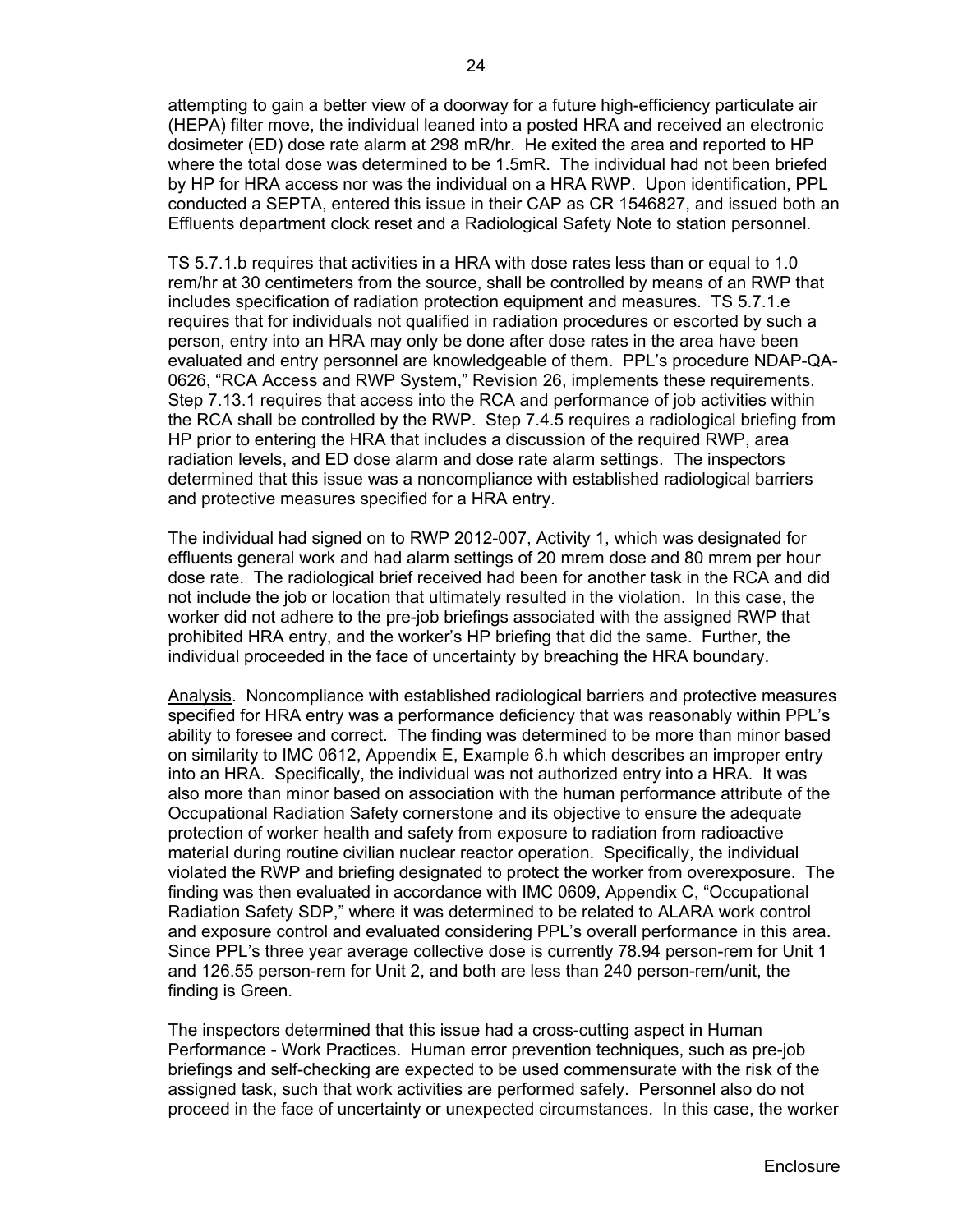attempting to gain a better view of a doorway for a future high-efficiency particulate air (HEPA) filter move, the individual leaned into a posted HRA and received an electronic dosimeter (ED) dose rate alarm at 298 mR/hr. He exited the area and reported to HP where the total dose was determined to be 1.5mR. The individual had not been briefed by HP for HRA access nor was the individual on a HRA RWP. Upon identification, PPL conducted a SEPTA, entered this issue in their CAP as CR 1546827, and issued both an Effluents department clock reset and a Radiological Safety Note to station personnel.

TS 5.7.1.b requires that activities in a HRA with dose rates less than or equal to 1.0 rem/hr at 30 centimeters from the source, shall be controlled by means of an RWP that includes specification of radiation protection equipment and measures. TS 5.7.1.e requires that for individuals not qualified in radiation procedures or escorted by such a person, entry into an HRA may only be done after dose rates in the area have been evaluated and entry personnel are knowledgeable of them. PPL's procedure NDAP-QA-0626, "RCA Access and RWP System," Revision 26, implements these requirements. Step 7.13.1 requires that access into the RCA and performance of job activities within the RCA shall be controlled by the RWP. Step 7.4.5 requires a radiological briefing from HP prior to entering the HRA that includes a discussion of the required RWP, area radiation levels, and ED dose alarm and dose rate alarm settings. The inspectors determined that this issue was a noncompliance with established radiological barriers and protective measures specified for a HRA entry.

The individual had signed on to RWP 2012-007, Activity 1, which was designated for effluents general work and had alarm settings of 20 mrem dose and 80 mrem per hour dose rate. The radiological brief received had been for another task in the RCA and did not include the job or location that ultimately resulted in the violation. In this case, the worker did not adhere to the pre-job briefings associated with the assigned RWP that prohibited HRA entry, and the worker's HP briefing that did the same. Further, the individual proceeded in the face of uncertainty by breaching the HRA boundary.

Analysis. Noncompliance with established radiological barriers and protective measures specified for HRA entry was a performance deficiency that was reasonably within PPL's ability to foresee and correct. The finding was determined to be more than minor based on similarity to IMC 0612, Appendix E, Example 6.h which describes an improper entry into an HRA. Specifically, the individual was not authorized entry into a HRA. It was also more than minor based on association with the human performance attribute of the Occupational Radiation Safety cornerstone and its objective to ensure the adequate protection of worker health and safety from exposure to radiation from radioactive material during routine civilian nuclear reactor operation. Specifically, the individual violated the RWP and briefing designated to protect the worker from overexposure. The finding was then evaluated in accordance with IMC 0609, Appendix C, "Occupational Radiation Safety SDP," where it was determined to be related to ALARA work control and exposure control and evaluated considering PPL's overall performance in this area. Since PPL's three year average collective dose is currently 78.94 person-rem for Unit 1 and 126.55 person-rem for Unit 2, and both are less than 240 person-rem/unit, the finding is Green.

The inspectors determined that this issue had a cross-cutting aspect in Human Performance - Work Practices. Human error prevention techniques, such as pre-job briefings and self-checking are expected to be used commensurate with the risk of the assigned task, such that work activities are performed safely. Personnel also do not proceed in the face of uncertainty or unexpected circumstances. In this case, the worker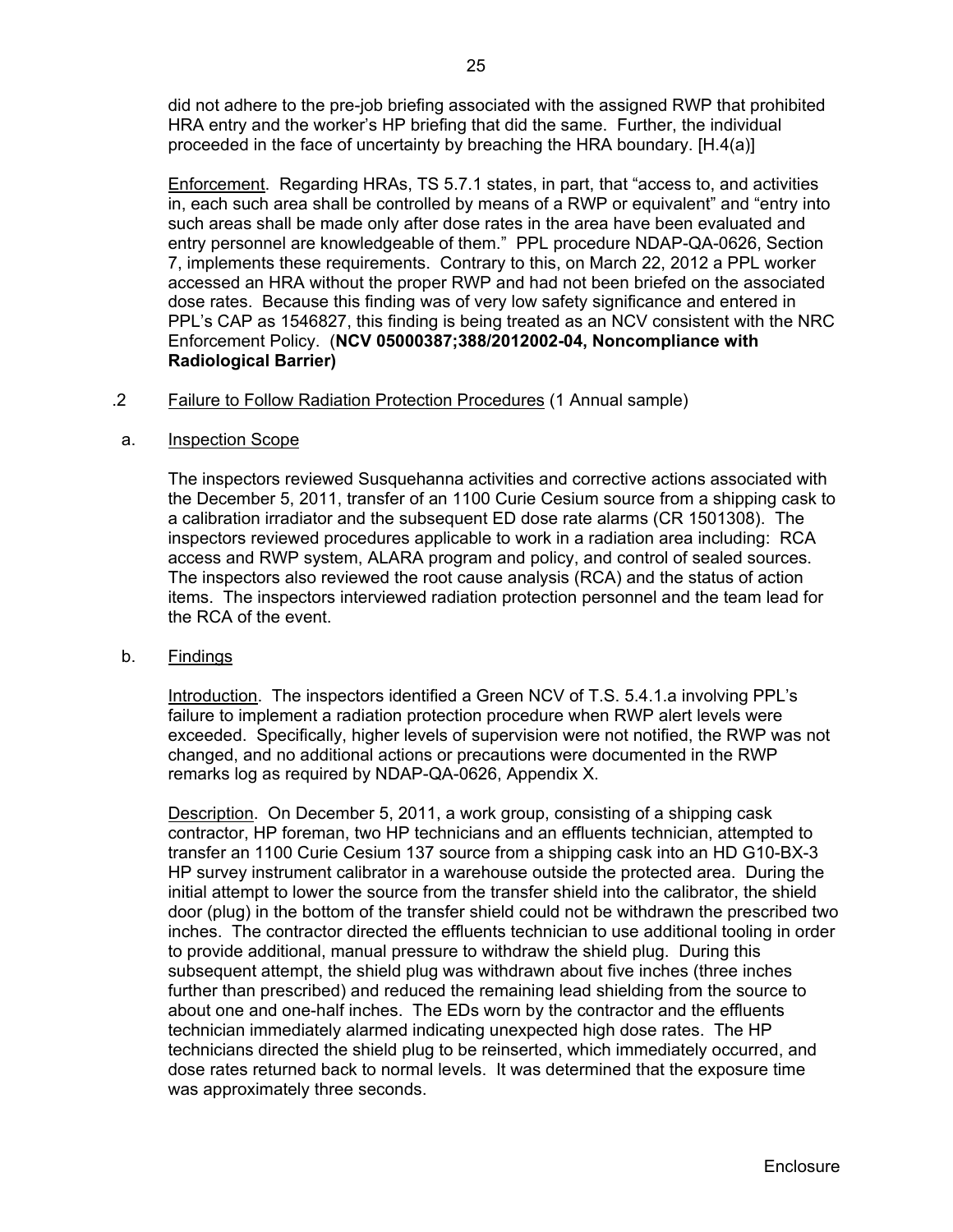did not adhere to the pre-job briefing associated with the assigned RWP that prohibited HRA entry and the worker's HP briefing that did the same. Further, the individual proceeded in the face of uncertainty by breaching the HRA boundary. [H.4(a)]

Enforcement. Regarding HRAs, TS 5.7.1 states, in part, that "access to, and activities in, each such area shall be controlled by means of a RWP or equivalent" and "entry into such areas shall be made only after dose rates in the area have been evaluated and entry personnel are knowledgeable of them." PPL procedure NDAP-QA-0626, Section 7, implements these requirements. Contrary to this, on March 22, 2012 a PPL worker accessed an HRA without the proper RWP and had not been briefed on the associated dose rates. Because this finding was of very low safety significance and entered in PPL's CAP as 1546827, this finding is being treated as an NCV consistent with the NRC Enforcement Policy. (**NCV 05000387;388/2012002-04, Noncompliance with Radiological Barrier)** 

## .2 Failure to Follow Radiation Protection Procedures (1 Annual sample)

## a. Inspection Scope

The inspectors reviewed Susquehanna activities and corrective actions associated with the December 5, 2011, transfer of an 1100 Curie Cesium source from a shipping cask to a calibration irradiator and the subsequent ED dose rate alarms (CR 1501308). The inspectors reviewed procedures applicable to work in a radiation area including: RCA access and RWP system, ALARA program and policy, and control of sealed sources. The inspectors also reviewed the root cause analysis (RCA) and the status of action items. The inspectors interviewed radiation protection personnel and the team lead for the RCA of the event.

#### b. Findings

Introduction. The inspectors identified a Green NCV of T.S. 5.4.1.a involving PPL's failure to implement a radiation protection procedure when RWP alert levels were exceeded. Specifically, higher levels of supervision were not notified, the RWP was not changed, and no additional actions or precautions were documented in the RWP remarks log as required by NDAP-QA-0626, Appendix X.

Description. On December 5, 2011, a work group, consisting of a shipping cask contractor, HP foreman, two HP technicians and an effluents technician, attempted to transfer an 1100 Curie Cesium 137 source from a shipping cask into an HD G10-BX-3 HP survey instrument calibrator in a warehouse outside the protected area. During the initial attempt to lower the source from the transfer shield into the calibrator, the shield door (plug) in the bottom of the transfer shield could not be withdrawn the prescribed two inches. The contractor directed the effluents technician to use additional tooling in order to provide additional, manual pressure to withdraw the shield plug. During this subsequent attempt, the shield plug was withdrawn about five inches (three inches further than prescribed) and reduced the remaining lead shielding from the source to about one and one-half inches. The EDs worn by the contractor and the effluents technician immediately alarmed indicating unexpected high dose rates. The HP technicians directed the shield plug to be reinserted, which immediately occurred, and dose rates returned back to normal levels. It was determined that the exposure time was approximately three seconds.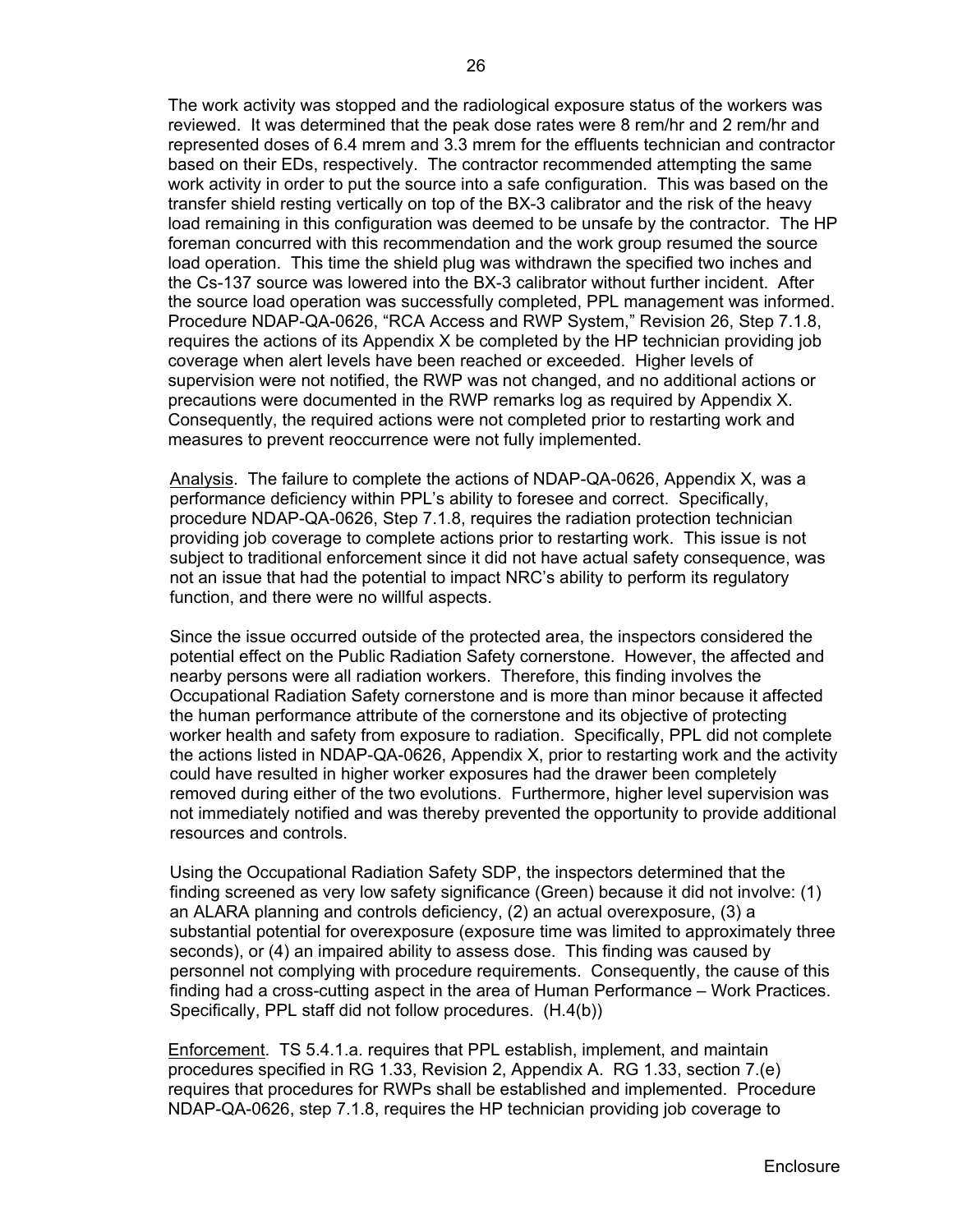The work activity was stopped and the radiological exposure status of the workers was reviewed. It was determined that the peak dose rates were 8 rem/hr and 2 rem/hr and represented doses of 6.4 mrem and 3.3 mrem for the effluents technician and contractor based on their EDs, respectively. The contractor recommended attempting the same work activity in order to put the source into a safe configuration. This was based on the transfer shield resting vertically on top of the BX-3 calibrator and the risk of the heavy load remaining in this configuration was deemed to be unsafe by the contractor. The HP foreman concurred with this recommendation and the work group resumed the source load operation. This time the shield plug was withdrawn the specified two inches and the Cs-137 source was lowered into the BX-3 calibrator without further incident. After the source load operation was successfully completed, PPL management was informed. Procedure NDAP-QA-0626, "RCA Access and RWP System," Revision 26, Step 7.1.8, requires the actions of its Appendix X be completed by the HP technician providing job coverage when alert levels have been reached or exceeded. Higher levels of supervision were not notified, the RWP was not changed, and no additional actions or precautions were documented in the RWP remarks log as required by Appendix X. Consequently, the required actions were not completed prior to restarting work and measures to prevent reoccurrence were not fully implemented.

Analysis. The failure to complete the actions of NDAP-QA-0626, Appendix X, was a performance deficiency within PPL's ability to foresee and correct. Specifically, procedure NDAP-QA-0626, Step 7.1.8, requires the radiation protection technician providing job coverage to complete actions prior to restarting work. This issue is not subject to traditional enforcement since it did not have actual safety consequence, was not an issue that had the potential to impact NRC's ability to perform its regulatory function, and there were no willful aspects.

Since the issue occurred outside of the protected area, the inspectors considered the potential effect on the Public Radiation Safety cornerstone. However, the affected and nearby persons were all radiation workers. Therefore, this finding involves the Occupational Radiation Safety cornerstone and is more than minor because it affected the human performance attribute of the cornerstone and its objective of protecting worker health and safety from exposure to radiation. Specifically, PPL did not complete the actions listed in NDAP-QA-0626, Appendix X, prior to restarting work and the activity could have resulted in higher worker exposures had the drawer been completely removed during either of the two evolutions. Furthermore, higher level supervision was not immediately notified and was thereby prevented the opportunity to provide additional resources and controls.

Using the Occupational Radiation Safety SDP, the inspectors determined that the finding screened as very low safety significance (Green) because it did not involve: (1) an ALARA planning and controls deficiency, (2) an actual overexposure, (3) a substantial potential for overexposure (exposure time was limited to approximately three seconds), or (4) an impaired ability to assess dose. This finding was caused by personnel not complying with procedure requirements. Consequently, the cause of this finding had a cross-cutting aspect in the area of Human Performance – Work Practices. Specifically, PPL staff did not follow procedures. (H.4(b))

Enforcement. TS 5.4.1.a. requires that PPL establish, implement, and maintain procedures specified in RG 1.33, Revision 2, Appendix A. RG 1.33, section 7.(e) requires that procedures for RWPs shall be established and implemented. Procedure NDAP-QA-0626, step 7.1.8, requires the HP technician providing job coverage to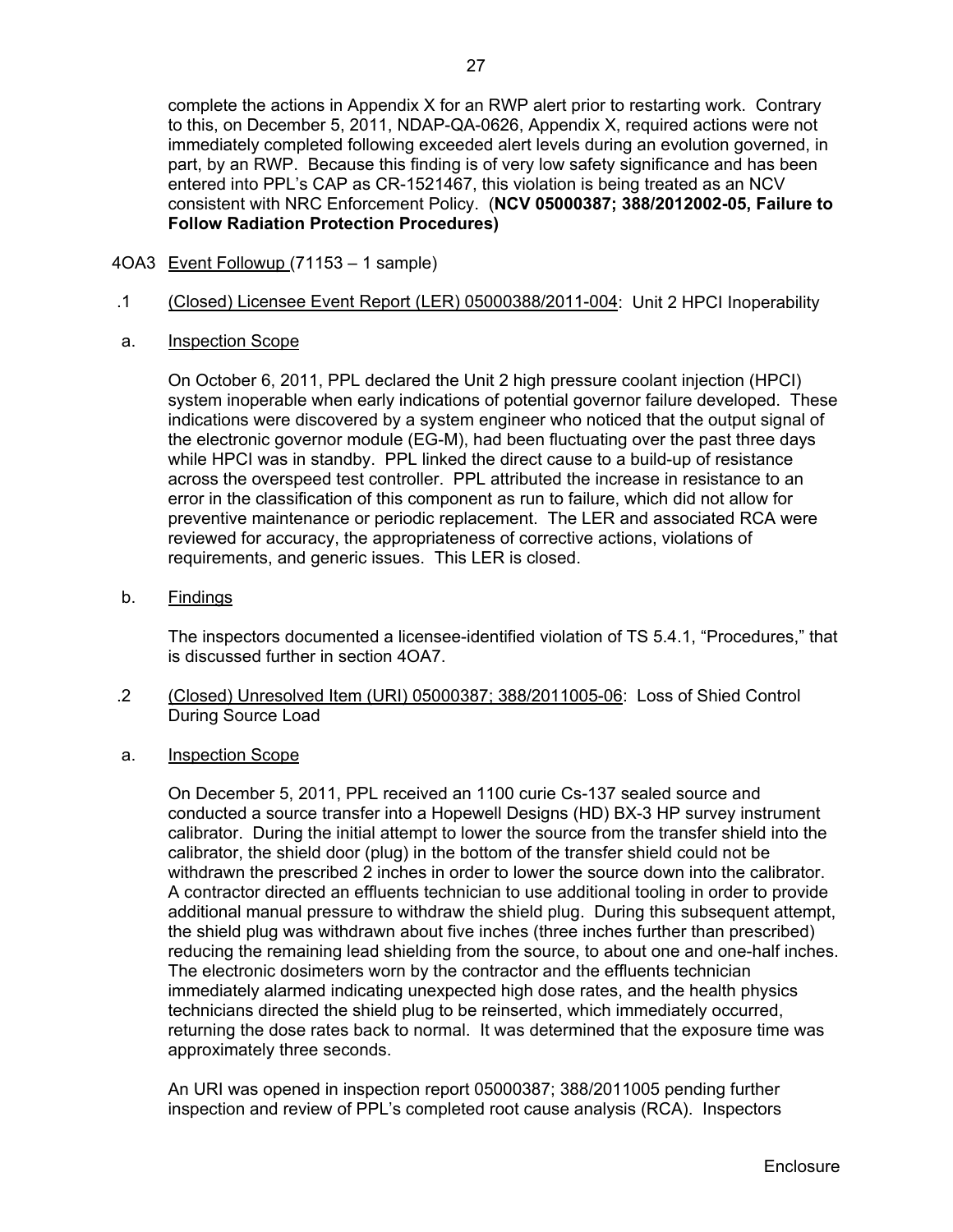complete the actions in Appendix X for an RWP alert prior to restarting work. Contrary to this, on December 5, 2011, NDAP-QA-0626, Appendix X, required actions were not immediately completed following exceeded alert levels during an evolution governed, in part, by an RWP. Because this finding is of very low safety significance and has been entered into PPL's CAP as CR-1521467, this violation is being treated as an NCV consistent with NRC Enforcement Policy. (**NCV 05000387; 388/2012002-05, Failure to Follow Radiation Protection Procedures)**

- 4OA3 Event Followup (71153 1 sample)
- .1 (Closed) Licensee Event Report (LER) 05000388/2011-004: Unit 2 HPCI Inoperability
- a. Inspection Scope

 On October 6, 2011, PPL declared the Unit 2 high pressure coolant injection (HPCI) system inoperable when early indications of potential governor failure developed. These indications were discovered by a system engineer who noticed that the output signal of the electronic governor module (EG-M), had been fluctuating over the past three days while HPCI was in standby. PPL linked the direct cause to a build-up of resistance across the overspeed test controller. PPL attributed the increase in resistance to an error in the classification of this component as run to failure, which did not allow for preventive maintenance or periodic replacement. The LER and associated RCA were reviewed for accuracy, the appropriateness of corrective actions, violations of requirements, and generic issues. This LER is closed.

b. Findings

The inspectors documented a licensee-identified violation of TS 5.4.1, "Procedures," that is discussed further in section 4OA7.

- .2 (Closed) Unresolved Item (URI) 05000387; 388/2011005-06: Loss of Shied Control During Source Load
- a. Inspection Scope

 On December 5, 2011, PPL received an 1100 curie Cs-137 sealed source and conducted a source transfer into a Hopewell Designs (HD) BX-3 HP survey instrument calibrator. During the initial attempt to lower the source from the transfer shield into the calibrator, the shield door (plug) in the bottom of the transfer shield could not be withdrawn the prescribed 2 inches in order to lower the source down into the calibrator. A contractor directed an effluents technician to use additional tooling in order to provide additional manual pressure to withdraw the shield plug. During this subsequent attempt, the shield plug was withdrawn about five inches (three inches further than prescribed) reducing the remaining lead shielding from the source, to about one and one-half inches. The electronic dosimeters worn by the contractor and the effluents technician immediately alarmed indicating unexpected high dose rates, and the health physics technicians directed the shield plug to be reinserted, which immediately occurred, returning the dose rates back to normal. It was determined that the exposure time was approximately three seconds.

An URI was opened in inspection report 05000387; 388/2011005 pending further inspection and review of PPL's completed root cause analysis (RCA). Inspectors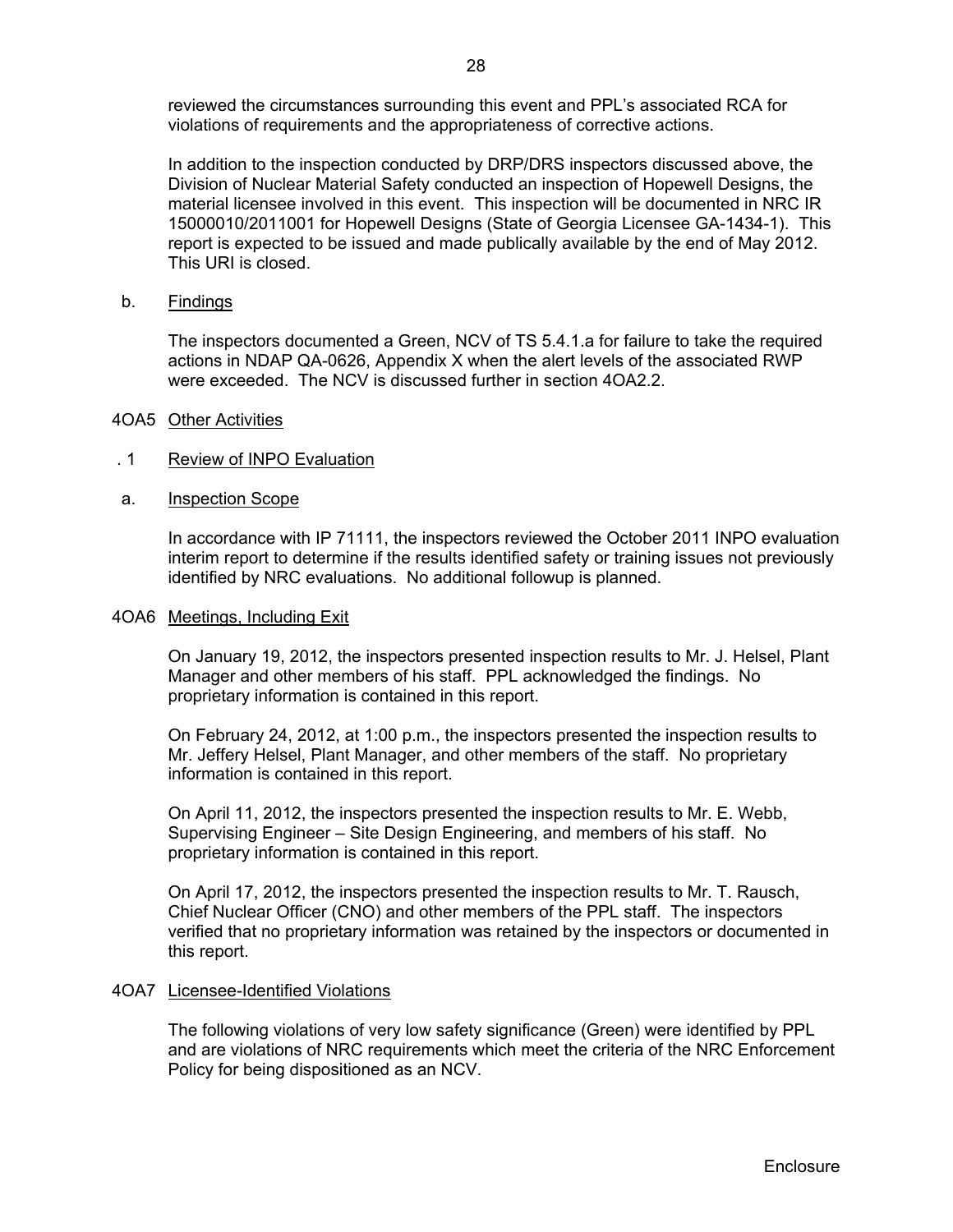reviewed the circumstances surrounding this event and PPL's associated RCA for violations of requirements and the appropriateness of corrective actions.

In addition to the inspection conducted by DRP/DRS inspectors discussed above, the Division of Nuclear Material Safety conducted an inspection of Hopewell Designs, the material licensee involved in this event. This inspection will be documented in NRC IR 15000010/2011001 for Hopewell Designs (State of Georgia Licensee GA-1434-1). This report is expected to be issued and made publically available by the end of May 2012. This URI is closed.

b. Findings

The inspectors documented a Green, NCV of TS 5.4.1.a for failure to take the required actions in NDAP QA-0626, Appendix X when the alert levels of the associated RWP were exceeded. The NCV is discussed further in section 4OA2.2.

- 4OA5 Other Activities
- . 1 Review of INPO Evaluation
- a. Inspection Scope

In accordance with IP 71111, the inspectors reviewed the October 2011 INPO evaluation interim report to determine if the results identified safety or training issues not previously identified by NRC evaluations. No additional followup is planned.

#### 4OA6 Meetings, Including Exit

On January 19, 2012, the inspectors presented inspection results to Mr. J. Helsel, Plant Manager and other members of his staff. PPL acknowledged the findings. No proprietary information is contained in this report.

On February 24, 2012, at 1:00 p.m., the inspectors presented the inspection results to Mr. Jeffery Helsel, Plant Manager, and other members of the staff. No proprietary information is contained in this report.

On April 11, 2012, the inspectors presented the inspection results to Mr. E. Webb, Supervising Engineer – Site Design Engineering, and members of his staff. No proprietary information is contained in this report.

On April 17, 2012, the inspectors presented the inspection results to Mr. T. Rausch, Chief Nuclear Officer (CNO) and other members of the PPL staff. The inspectors verified that no proprietary information was retained by the inspectors or documented in this report.

## 4OA7 Licensee-Identified Violations

The following violations of very low safety significance (Green) were identified by PPL and are violations of NRC requirements which meet the criteria of the NRC Enforcement Policy for being dispositioned as an NCV.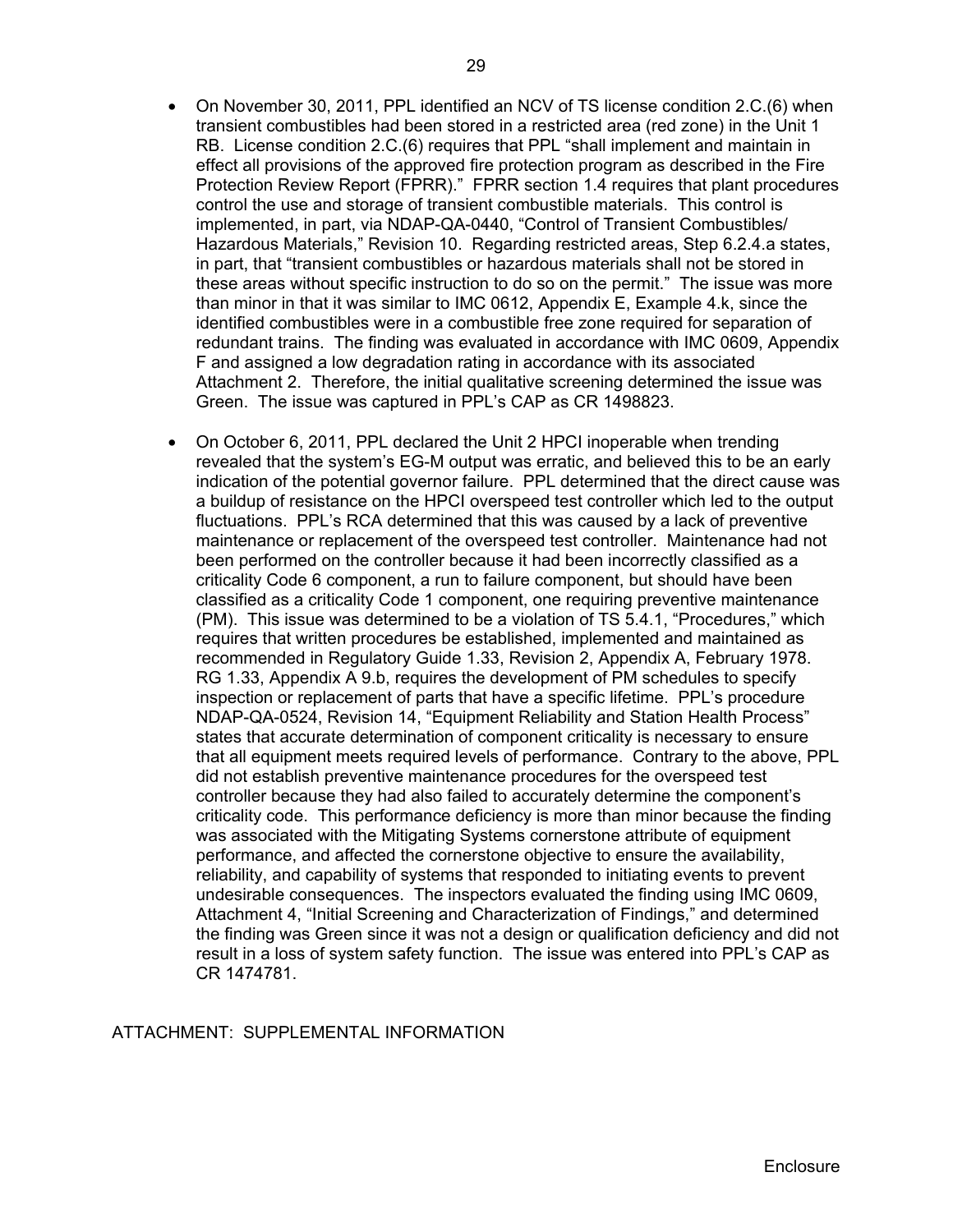- On November 30, 2011, PPL identified an NCV of TS license condition 2.C.(6) when transient combustibles had been stored in a restricted area (red zone) in the Unit 1 RB. License condition 2.C.(6) requires that PPL "shall implement and maintain in effect all provisions of the approved fire protection program as described in the Fire Protection Review Report (FPRR)." FPRR section 1.4 requires that plant procedures control the use and storage of transient combustible materials. This control is implemented, in part, via NDAP-QA-0440, "Control of Transient Combustibles/ Hazardous Materials," Revision 10. Regarding restricted areas, Step 6.2.4.a states, in part, that "transient combustibles or hazardous materials shall not be stored in these areas without specific instruction to do so on the permit." The issue was more than minor in that it was similar to IMC 0612, Appendix E, Example 4.k, since the identified combustibles were in a combustible free zone required for separation of redundant trains. The finding was evaluated in accordance with IMC 0609, Appendix F and assigned a low degradation rating in accordance with its associated Attachment 2. Therefore, the initial qualitative screening determined the issue was Green. The issue was captured in PPL's CAP as CR 1498823.
- On October 6, 2011, PPL declared the Unit 2 HPCI inoperable when trending revealed that the system's EG-M output was erratic, and believed this to be an early indication of the potential governor failure. PPL determined that the direct cause was a buildup of resistance on the HPCI overspeed test controller which led to the output fluctuations. PPL's RCA determined that this was caused by a lack of preventive maintenance or replacement of the overspeed test controller. Maintenance had not been performed on the controller because it had been incorrectly classified as a criticality Code 6 component, a run to failure component, but should have been classified as a criticality Code 1 component, one requiring preventive maintenance (PM). This issue was determined to be a violation of TS 5.4.1, "Procedures," which requires that written procedures be established, implemented and maintained as recommended in Regulatory Guide 1.33, Revision 2, Appendix A, February 1978. RG 1.33, Appendix A 9.b, requires the development of PM schedules to specify inspection or replacement of parts that have a specific lifetime. PPL's procedure NDAP-QA-0524, Revision 14, "Equipment Reliability and Station Health Process" states that accurate determination of component criticality is necessary to ensure that all equipment meets required levels of performance. Contrary to the above, PPL did not establish preventive maintenance procedures for the overspeed test controller because they had also failed to accurately determine the component's criticality code. This performance deficiency is more than minor because the finding was associated with the Mitigating Systems cornerstone attribute of equipment performance, and affected the cornerstone objective to ensure the availability, reliability, and capability of systems that responded to initiating events to prevent undesirable consequences. The inspectors evaluated the finding using IMC 0609, Attachment 4, "Initial Screening and Characterization of Findings," and determined the finding was Green since it was not a design or qualification deficiency and did not result in a loss of system safety function. The issue was entered into PPL's CAP as CR 1474781.

## ATTACHMENT: SUPPLEMENTAL INFORMATION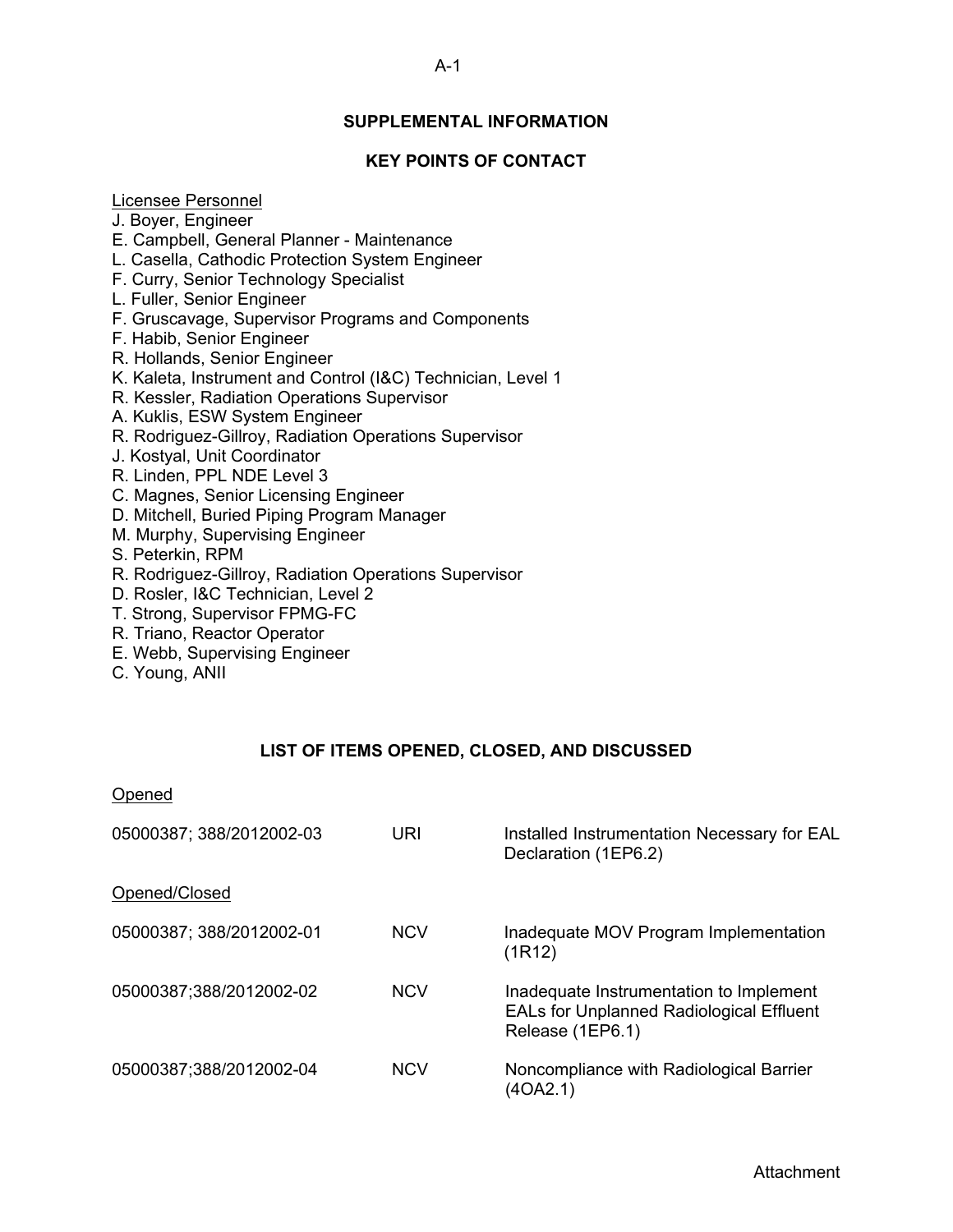# **SUPPLEMENTAL INFORMATION**

# **KEY POINTS OF CONTACT**

## Licensee Personnel

J. Boyer, Engineer

- E. Campbell, General Planner Maintenance
- L. Casella, Cathodic Protection System Engineer
- F. Curry, Senior Technology Specialist
- L. Fuller, Senior Engineer
- F. Gruscavage, Supervisor Programs and Components
- F. Habib, Senior Engineer
- R. Hollands, Senior Engineer
- K. Kaleta, Instrument and Control (I&C) Technician, Level 1
- R. Kessler, Radiation Operations Supervisor
- A. Kuklis, ESW System Engineer
- R. Rodriguez-Gillroy, Radiation Operations Supervisor
- J. Kostyal, Unit Coordinator
- R. Linden, PPL NDE Level 3
- C. Magnes, Senior Licensing Engineer
- D. Mitchell, Buried Piping Program Manager
- M. Murphy, Supervising Engineer
- S. Peterkin, RPM
- R. Rodriguez-Gillroy, Radiation Operations Supervisor
- D. Rosler, I&C Technician, Level 2
- T. Strong, Supervisor FPMG-FC
- R. Triano, Reactor Operator
- E. Webb, Supervising Engineer
- C. Young, ANII

## **LIST OF ITEMS OPENED, CLOSED, AND DISCUSSED**

| Opened                   |            |                                                                                                         |
|--------------------------|------------|---------------------------------------------------------------------------------------------------------|
| 05000387; 388/2012002-03 | URI        | Installed Instrumentation Necessary for EAL<br>Declaration (1EP6.2)                                     |
| Opened/Closed            |            |                                                                                                         |
| 05000387; 388/2012002-01 | <b>NCV</b> | Inadequate MOV Program Implementation<br>(1R12)                                                         |
| 05000387;388/2012002-02  | <b>NCV</b> | Inadequate Instrumentation to Implement<br>EALs for Unplanned Radiological Effluent<br>Release (1EP6.1) |
| 05000387;388/2012002-04  | <b>NCV</b> | Noncompliance with Radiological Barrier<br>(4OA2.1)                                                     |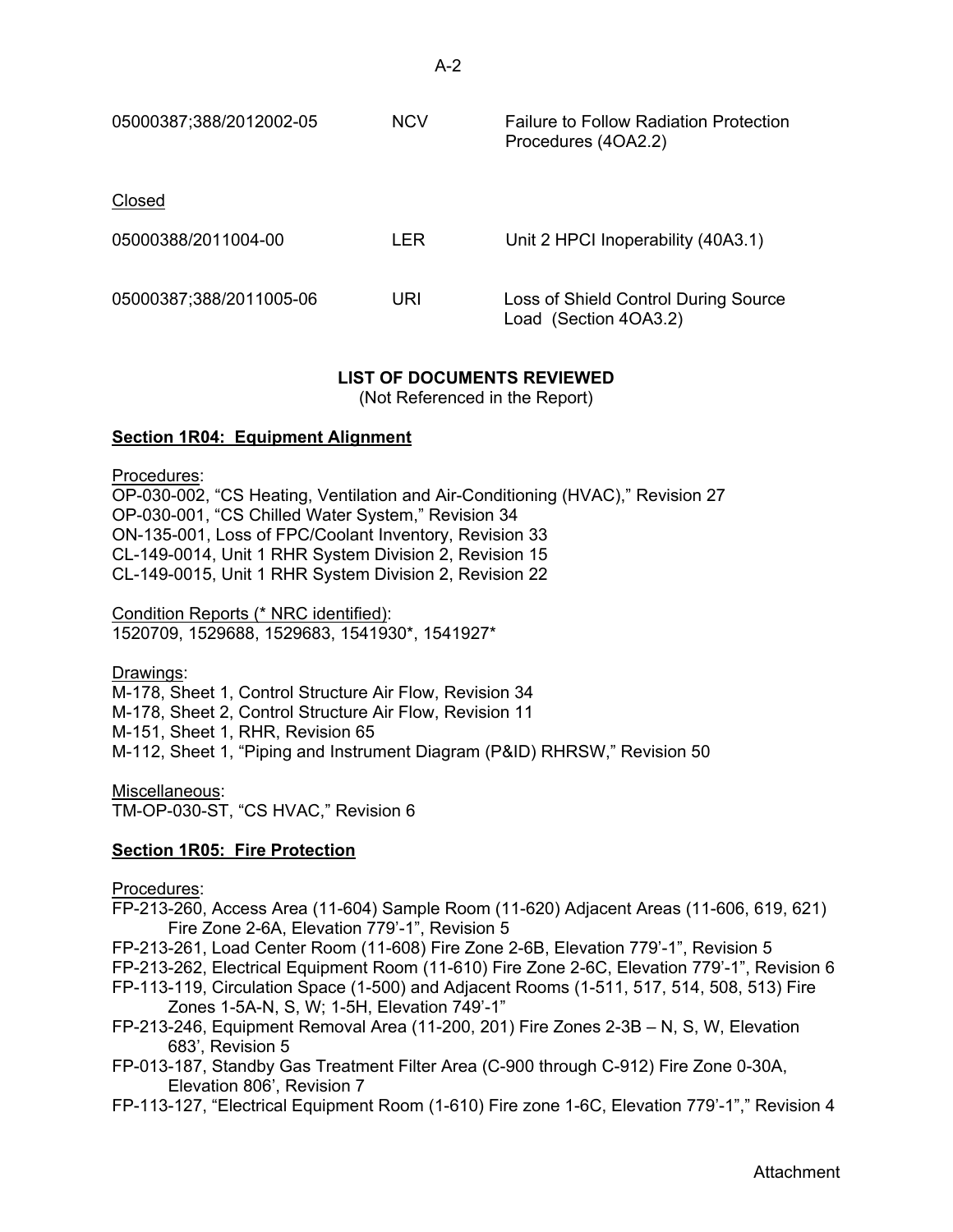| 05000387;388/2012002-05 | <b>NCV</b> | <b>Failure to Follow Radiation Protection</b><br>Procedures (4OA2.2) |
|-------------------------|------------|----------------------------------------------------------------------|
| Closed                  |            |                                                                      |
| 05000388/2011004-00     | LER.       | Unit 2 HPCI Inoperability (40A3.1)                                   |
| 05000387;388/2011005-06 | URI        | Loss of Shield Control During Source<br>Load (Section 4OA3.2)        |

# **LIST OF DOCUMENTS REVIEWED**

(Not Referenced in the Report)

## **Section 1R04: Equipment Alignment**

Procedures:

OP-030-002, "CS Heating, Ventilation and Air-Conditioning (HVAC)," Revision 27 OP-030-001, "CS Chilled Water System," Revision 34 ON-135-001, Loss of FPC/Coolant Inventory, Revision 33 CL-149-0014, Unit 1 RHR System Division 2, Revision 15 CL-149-0015, Unit 1 RHR System Division 2, Revision 22

Condition Reports (\* NRC identified): 1520709, 1529688, 1529683, 1541930\*, 1541927\*

Drawings: M-178, Sheet 1, Control Structure Air Flow, Revision 34 M-178, Sheet 2, Control Structure Air Flow, Revision 11 M-151, Sheet 1, RHR, Revision 65 M-112, Sheet 1, "Piping and Instrument Diagram (P&ID) RHRSW," Revision 50

Miscellaneous: TM-OP-030-ST, "CS HVAC," Revision 6

# **Section 1R05: Fire Protection**

Procedures:

- FP-213-260, Access Area (11-604) Sample Room (11-620) Adjacent Areas (11-606, 619, 621) Fire Zone 2-6A, Elevation 779'-1", Revision 5
- FP-213-261, Load Center Room (11-608) Fire Zone 2-6B, Elevation 779'-1", Revision 5
- FP-213-262, Electrical Equipment Room (11-610) Fire Zone 2-6C, Elevation 779'-1", Revision 6
- FP-113-119, Circulation Space (1-500) and Adjacent Rooms (1-511, 517, 514, 508, 513) Fire Zones 1-5A-N, S, W; 1-5H, Elevation 749'-1"
- FP-213-246, Equipment Removal Area (11-200, 201) Fire Zones 2-3B N, S, W, Elevation 683', Revision 5
- FP-013-187, Standby Gas Treatment Filter Area (C-900 through C-912) Fire Zone 0-30A, Elevation 806', Revision 7
- FP-113-127, "Electrical Equipment Room (1-610) Fire zone 1-6C, Elevation 779'-1"," Revision 4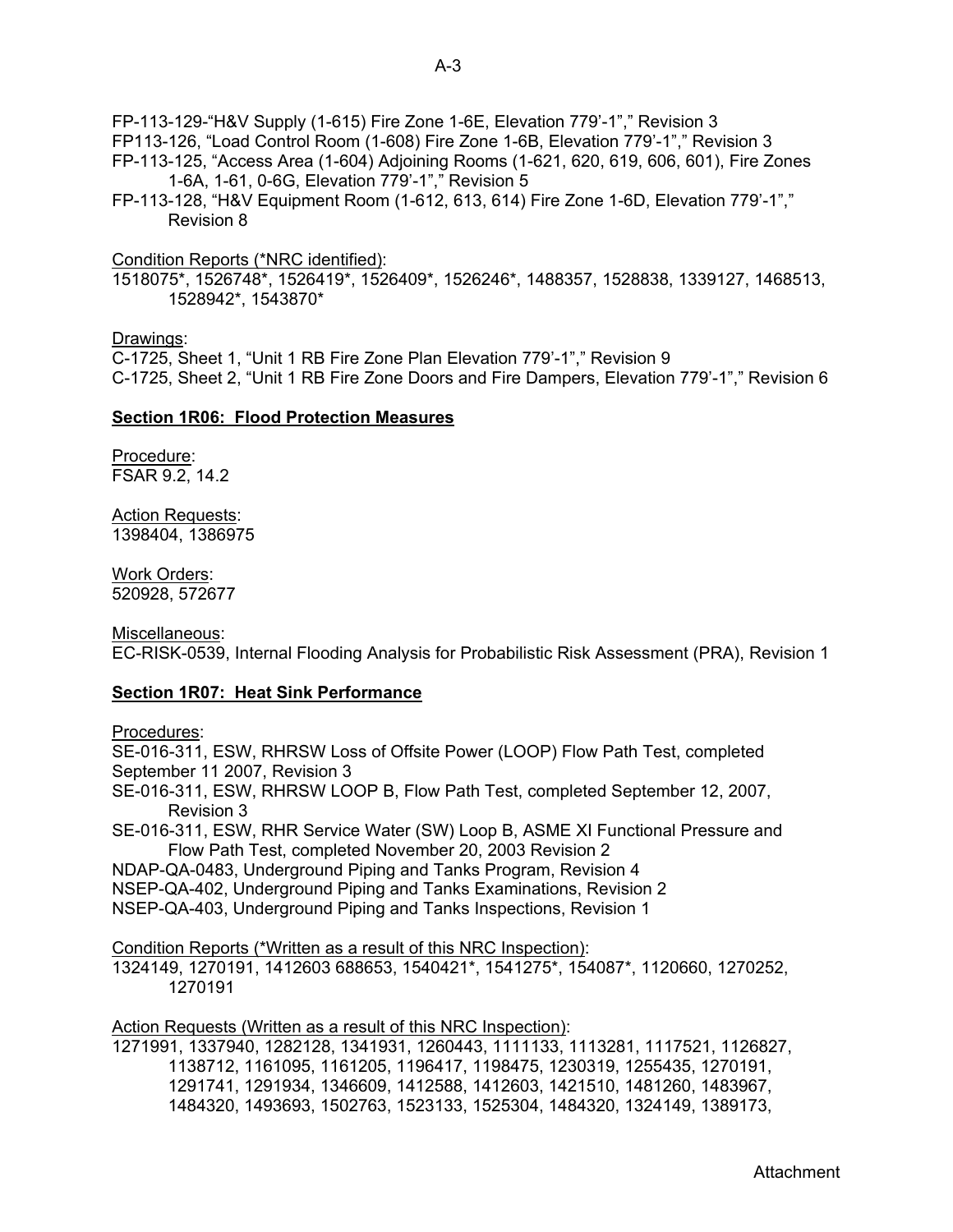FP-113-129-"H&V Supply (1-615) Fire Zone 1-6E, Elevation 779'-1"," Revision 3

- FP113-126, "Load Control Room (1-608) Fire Zone 1-6B, Elevation 779'-1"," Revision 3
- FP-113-125, "Access Area (1-604) Adjoining Rooms (1-621, 620, 619, 606, 601), Fire Zones 1-6A, 1-61, 0-6G, Elevation 779'-1"," Revision 5
- FP-113-128, "H&V Equipment Room (1-612, 613, 614) Fire Zone 1-6D, Elevation 779'-1"," Revision 8

Condition Reports (\*NRC identified):

1518075\*, 1526748\*, 1526419\*, 1526409\*, 1526246\*, 1488357, 1528838, 1339127, 1468513, 1528942\*, 1543870\*

## Drawings:

C-1725, Sheet 1, "Unit 1 RB Fire Zone Plan Elevation 779'-1"," Revision 9 C-1725, Sheet 2, "Unit 1 RB Fire Zone Doors and Fire Dampers, Elevation 779'-1"," Revision 6

## **Section 1R06: Flood Protection Measures**

Procedure: FSAR 9.2, 14.2

**Action Requests:** 1398404, 1386975

Work Orders: 520928, 572677

Miscellaneous: EC-RISK-0539, Internal Flooding Analysis for Probabilistic Risk Assessment (PRA), Revision 1

## **Section 1R07: Heat Sink Performance**

Procedures:

SE-016-311, ESW, RHRSW Loss of Offsite Power (LOOP) Flow Path Test, completed September 11 2007, Revision 3

- SE-016-311, ESW, RHRSW LOOP B, Flow Path Test, completed September 12, 2007, Revision 3
- SE-016-311, ESW, RHR Service Water (SW) Loop B, ASME XI Functional Pressure and Flow Path Test, completed November 20, 2003 Revision 2

NDAP-QA-0483, Underground Piping and Tanks Program, Revision 4

NSEP-QA-402, Underground Piping and Tanks Examinations, Revision 2

NSEP-QA-403, Underground Piping and Tanks Inspections, Revision 1

Condition Reports (\*Written as a result of this NRC Inspection):

1324149, 1270191, 1412603 688653, 1540421\*, 1541275\*, 154087\*, 1120660, 1270252, 1270191

Action Requests (Written as a result of this NRC Inspection):

1271991, 1337940, 1282128, 1341931, 1260443, 1111133, 1113281, 1117521, 1126827, 1138712, 1161095, 1161205, 1196417, 1198475, 1230319, 1255435, 1270191, 1291741, 1291934, 1346609, 1412588, 1412603, 1421510, 1481260, 1483967, 1484320, 1493693, 1502763, 1523133, 1525304, 1484320, 1324149, 1389173,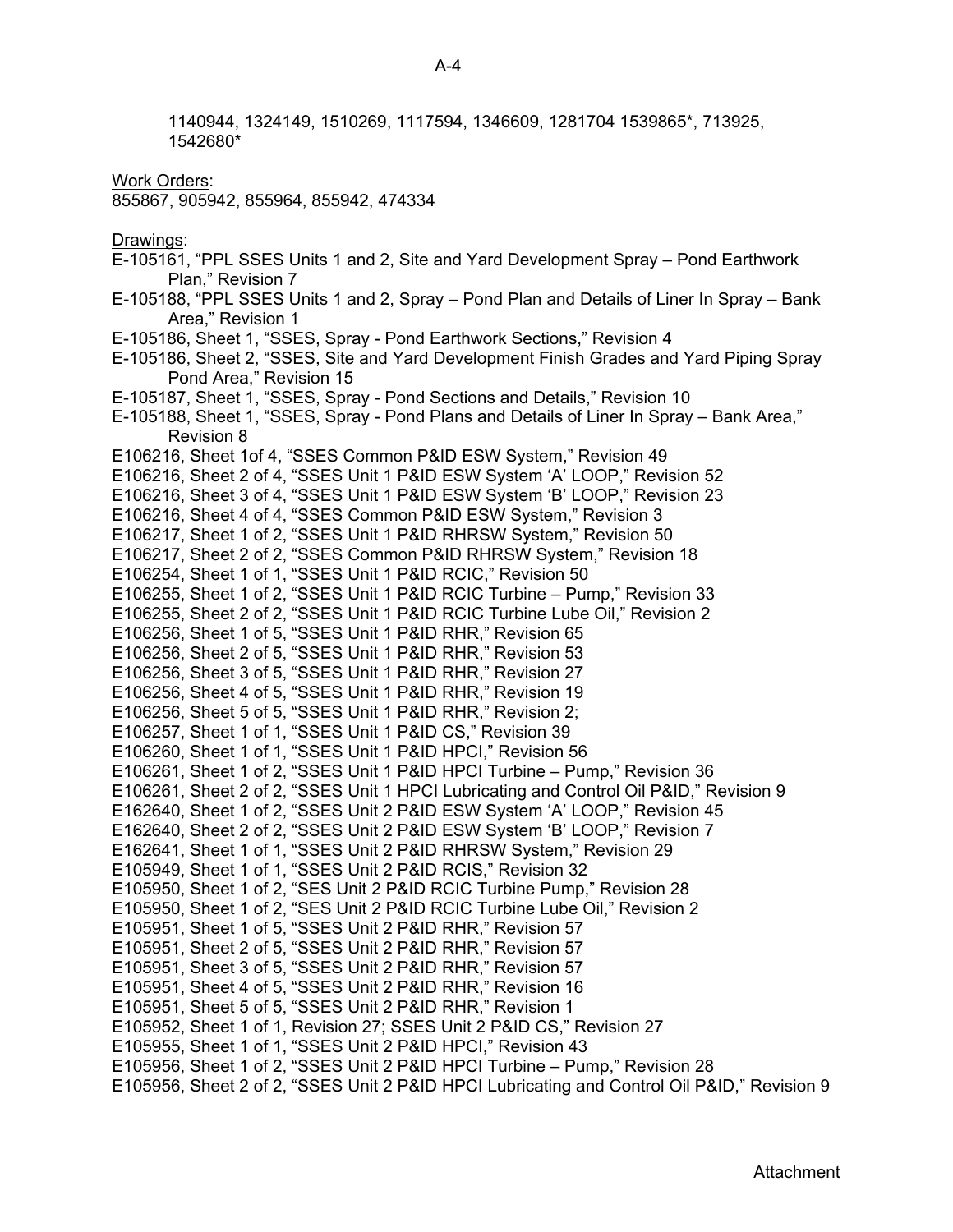1140944, 1324149, 1510269, 1117594, 1346609, 1281704 1539865\*, 713925, 1542680\* Work Orders: 855867, 905942, 855964, 855942, 474334 Drawings: E-105161, "PPL SSES Units 1 and 2, Site and Yard Development Spray – Pond Earthwork Plan," Revision 7 E-105188, "PPL SSES Units 1 and 2, Spray – Pond Plan and Details of Liner In Spray – Bank Area," Revision 1 E-105186, Sheet 1, "SSES, Spray - Pond Earthwork Sections," Revision 4 E-105186, Sheet 2, "SSES, Site and Yard Development Finish Grades and Yard Piping Spray Pond Area," Revision 15 E-105187, Sheet 1, "SSES, Spray - Pond Sections and Details," Revision 10 E-105188, Sheet 1, "SSES, Spray - Pond Plans and Details of Liner In Spray – Bank Area," Revision 8 E106216, Sheet 1of 4, "SSES Common P&ID ESW System," Revision 49 E106216, Sheet 2 of 4, "SSES Unit 1 P&ID ESW System 'A' LOOP," Revision 52 E106216, Sheet 3 of 4, "SSES Unit 1 P&ID ESW System 'B' LOOP," Revision 23 E106216, Sheet 4 of 4, "SSES Common P&ID ESW System," Revision 3 E106217, Sheet 1 of 2, "SSES Unit 1 P&ID RHRSW System," Revision 50 E106217, Sheet 2 of 2, "SSES Common P&ID RHRSW System," Revision 18 E106254, Sheet 1 of 1, "SSES Unit 1 P&ID RCIC," Revision 50 E106255, Sheet 1 of 2, "SSES Unit 1 P&ID RCIC Turbine – Pump," Revision 33 E106255, Sheet 2 of 2, "SSES Unit 1 P&ID RCIC Turbine Lube Oil," Revision 2 E106256, Sheet 1 of 5, "SSES Unit 1 P&ID RHR," Revision 65 E106256, Sheet 2 of 5, "SSES Unit 1 P&ID RHR," Revision 53 E106256, Sheet 3 of 5, "SSES Unit 1 P&ID RHR," Revision 27 E106256, Sheet 4 of 5, "SSES Unit 1 P&ID RHR," Revision 19 E106256, Sheet 5 of 5, "SSES Unit 1 P&ID RHR," Revision 2; E106257, Sheet 1 of 1, "SSES Unit 1 P&ID CS," Revision 39 E106260, Sheet 1 of 1, "SSES Unit 1 P&ID HPCI," Revision 56 E106261, Sheet 1 of 2, "SSES Unit 1 P&ID HPCI Turbine – Pump," Revision 36 E106261, Sheet 2 of 2, "SSES Unit 1 HPCI Lubricating and Control Oil P&ID," Revision 9 E162640, Sheet 1 of 2, "SSES Unit 2 P&ID ESW System 'A' LOOP," Revision 45 E162640, Sheet 2 of 2, "SSES Unit 2 P&ID ESW System 'B' LOOP," Revision 7 E162641, Sheet 1 of 1, "SSES Unit 2 P&ID RHRSW System," Revision 29 E105949, Sheet 1 of 1, "SSES Unit 2 P&ID RCIS," Revision 32 E105950, Sheet 1 of 2, "SES Unit 2 P&ID RCIC Turbine Pump," Revision 28 E105950, Sheet 1 of 2, "SES Unit 2 P&ID RCIC Turbine Lube Oil," Revision 2 E105951, Sheet 1 of 5, "SSES Unit 2 P&ID RHR," Revision 57 E105951, Sheet 2 of 5, "SSES Unit 2 P&ID RHR," Revision 57 E105951, Sheet 3 of 5, "SSES Unit 2 P&ID RHR," Revision 57 E105951, Sheet 4 of 5, "SSES Unit 2 P&ID RHR," Revision 16 E105951, Sheet 5 of 5, "SSES Unit 2 P&ID RHR," Revision 1 E105952, Sheet 1 of 1, Revision 27; SSES Unit 2 P&ID CS," Revision 27 E105955, Sheet 1 of 1, "SSES Unit 2 P&ID HPCI," Revision 43 E105956, Sheet 1 of 2, "SSES Unit 2 P&ID HPCI Turbine – Pump," Revision 28 E105956, Sheet 2 of 2, "SSES Unit 2 P&ID HPCI Lubricating and Control Oil P&ID," Revision 9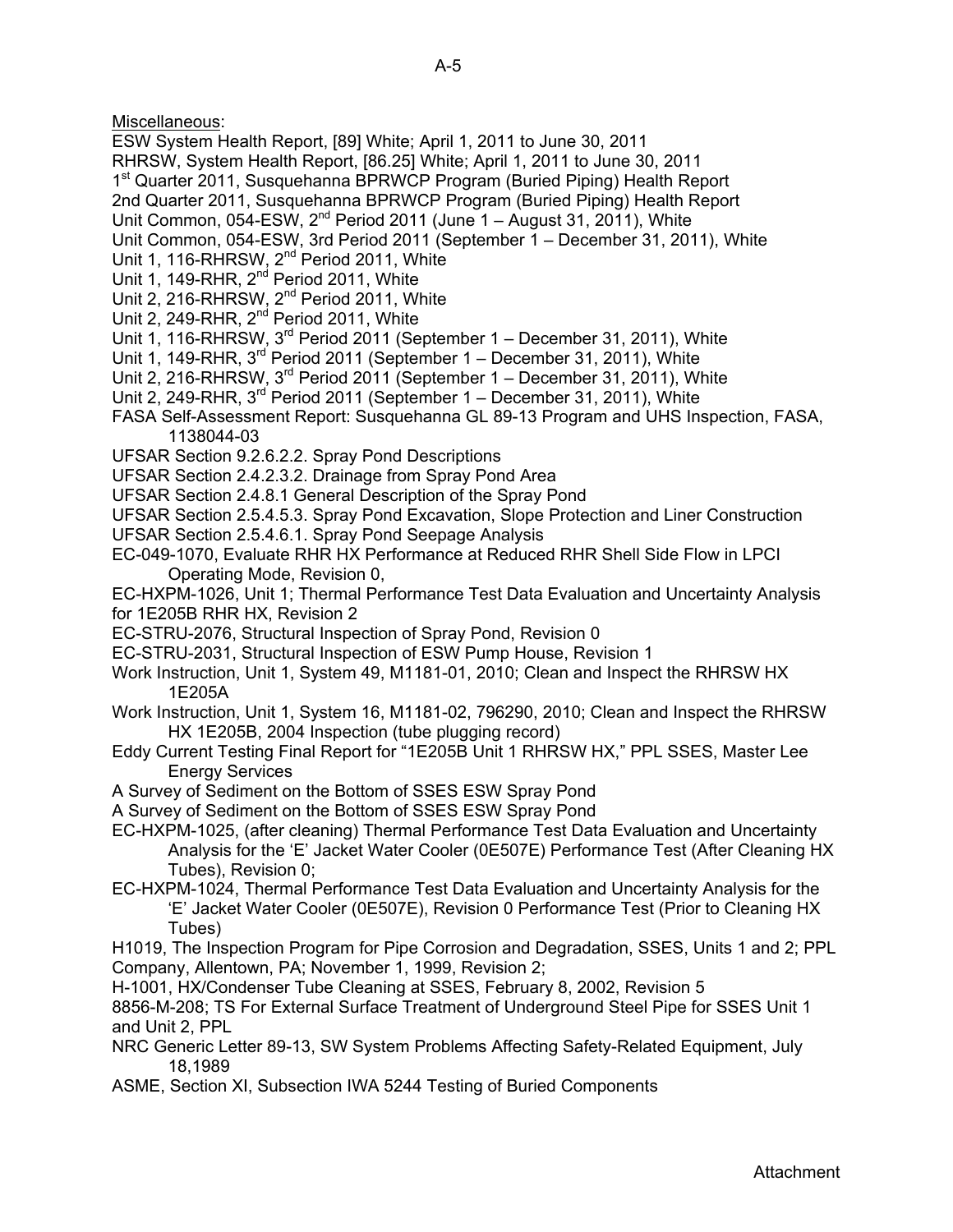Miscellaneous:

- ESW System Health Report, [89] White; April 1, 2011 to June 30, 2011
- RHRSW, System Health Report, [86.25] White; April 1, 2011 to June 30, 2011
- 1<sup>st</sup> Quarter 2011, Susquehanna BPRWCP Program (Buried Piping) Health Report
- 2nd Quarter 2011, Susquehanna BPRWCP Program (Buried Piping) Health Report
- Unit Common,  $054$ -ESW,  $2^{nd}$  Period 2011 (June 1 August 31, 2011), White
- Unit Common, 054-ESW, 3rd Period 2011 (September 1 December 31, 2011), White
- Unit 1, 116-RHRSW, 2<sup>nd</sup> Period 2011, White
- Unit 1, 149-RHR, 2<sup>nd</sup> Period 2011, White
- Unit 2, 216-RHRSW, 2<sup>nd</sup> Period 2011, White
- Unit 2, 249-RHR, 2<sup>nd</sup> Period 2011, White
- Unit 1, 116-RHRSW, 3<sup>rd</sup> Period 2011 (September 1 December 31, 2011), White
- Unit 1, 149-RHR,  $3^{rd}$  Period 2011 (September 1 December 31, 2011), White
- Unit 2, 216-RHRSW, 3<sup>rd</sup> Period 2011 (September 1 December 31, 2011), White
- Unit 2, 249-RHR, 3<sup>rd</sup> Period 2011 (September 1 December 31, 2011), White
- FASA Self-Assessment Report: Susquehanna GL 89-13 Program and UHS Inspection, FASA, 1138044-03
- UFSAR Section 9.2.6.2.2. Spray Pond Descriptions
- UFSAR Section 2.4.2.3.2. Drainage from Spray Pond Area
- UFSAR Section 2.4.8.1 General Description of the Spray Pond
- UFSAR Section 2.5.4.5.3. Spray Pond Excavation, Slope Protection and Liner Construction
- UFSAR Section 2.5.4.6.1. Spray Pond Seepage Analysis
- EC-049-1070, Evaluate RHR HX Performance at Reduced RHR Shell Side Flow in LPCI Operating Mode, Revision 0,
- EC-HXPM-1026, Unit 1; Thermal Performance Test Data Evaluation and Uncertainty Analysis for 1E205B RHR HX, Revision 2
- EC-STRU-2076, Structural Inspection of Spray Pond, Revision 0
- EC-STRU-2031, Structural Inspection of ESW Pump House, Revision 1
- Work Instruction, Unit 1, System 49, M1181-01, 2010; Clean and Inspect the RHRSW HX 1E205A
- Work Instruction, Unit 1, System 16, M1181-02, 796290, 2010; Clean and Inspect the RHRSW HX 1E205B, 2004 Inspection (tube plugging record)
- Eddy Current Testing Final Report for "1E205B Unit 1 RHRSW HX," PPL SSES, Master Lee Energy Services
- A Survey of Sediment on the Bottom of SSES ESW Spray Pond
- A Survey of Sediment on the Bottom of SSES ESW Spray Pond
- EC-HXPM-1025, (after cleaning) Thermal Performance Test Data Evaluation and Uncertainty Analysis for the 'E' Jacket Water Cooler (0E507E) Performance Test (After Cleaning HX Tubes), Revision 0;
- EC-HXPM-1024, Thermal Performance Test Data Evaluation and Uncertainty Analysis for the 'E' Jacket Water Cooler (0E507E), Revision 0 Performance Test (Prior to Cleaning HX Tubes)
- H1019, The Inspection Program for Pipe Corrosion and Degradation, SSES, Units 1 and 2; PPL Company, Allentown, PA; November 1, 1999, Revision 2;
- H-1001, HX/Condenser Tube Cleaning at SSES, February 8, 2002, Revision 5
- 8856-M-208; TS For External Surface Treatment of Underground Steel Pipe for SSES Unit 1 and Unit 2, PPL
- NRC Generic Letter 89-13, SW System Problems Affecting Safety-Related Equipment, July 18,1989
- ASME, Section XI, Subsection IWA 5244 Testing of Buried Components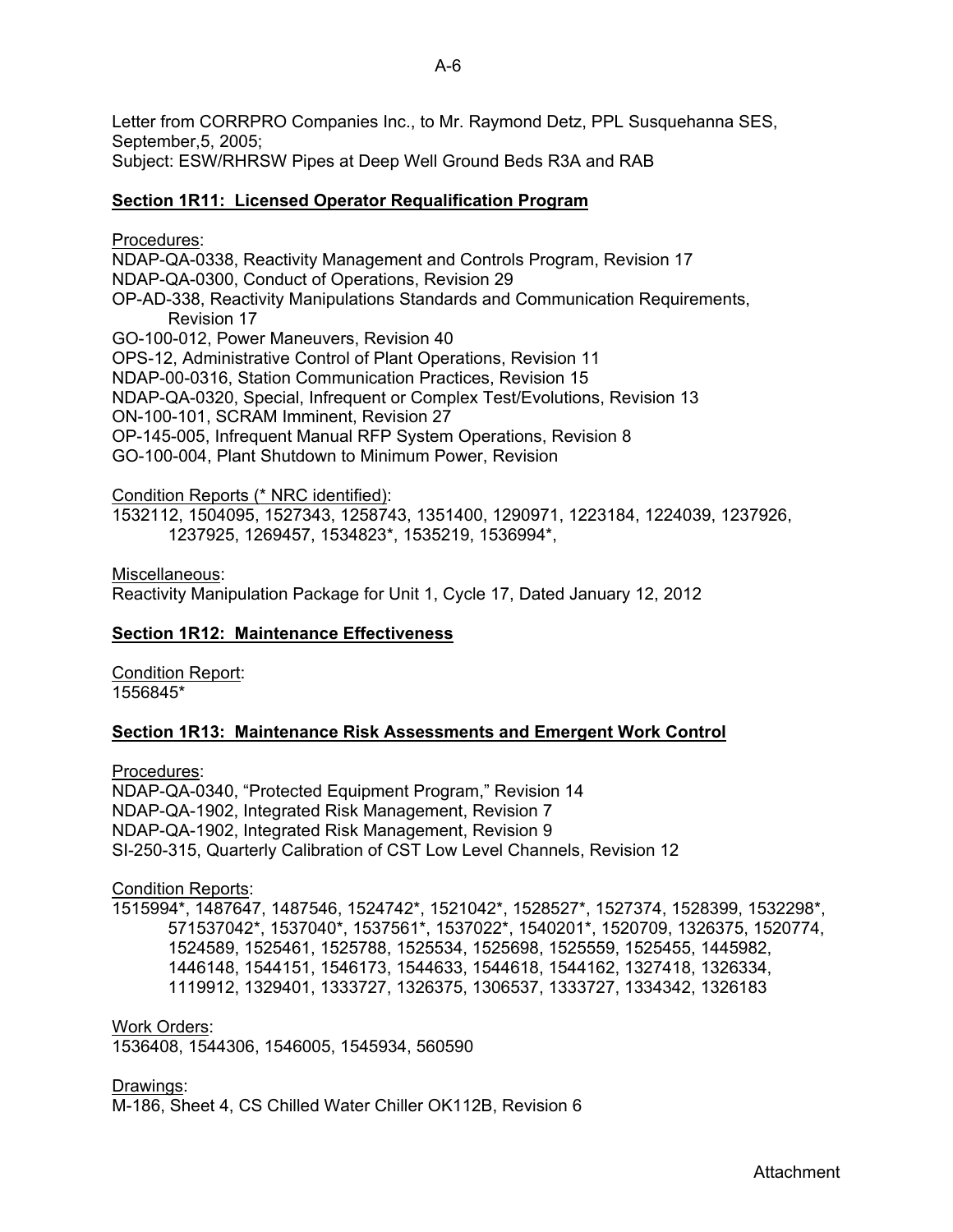Letter from CORRPRO Companies Inc., to Mr. Raymond Detz, PPL Susquehanna SES, September,5, 2005; Subject: ESW/RHRSW Pipes at Deep Well Ground Beds R3A and RAB

## **Section 1R11: Licensed Operator Requalification Program**

Procedures:

NDAP-QA-0338, Reactivity Management and Controls Program, Revision 17 NDAP-QA-0300, Conduct of Operations, Revision 29 OP-AD-338, Reactivity Manipulations Standards and Communication Requirements, Revision 17 GO-100-012, Power Maneuvers, Revision 40 OPS-12, Administrative Control of Plant Operations, Revision 11 NDAP-00-0316, Station Communication Practices, Revision 15 NDAP-QA-0320, Special, Infrequent or Complex Test/Evolutions, Revision 13 ON-100-101, SCRAM Imminent, Revision 27 OP-145-005, Infrequent Manual RFP System Operations, Revision 8 GO-100-004, Plant Shutdown to Minimum Power, Revision

## Condition Reports (\* NRC identified):

1532112, 1504095, 1527343, 1258743, 1351400, 1290971, 1223184, 1224039, 1237926, 1237925, 1269457, 1534823\*, 1535219, 1536994\*,

Miscellaneous:

Reactivity Manipulation Package for Unit 1, Cycle 17, Dated January 12, 2012

## **Section 1R12: Maintenance Effectiveness**

**Condition Report:** 1556845\*

## **Section 1R13: Maintenance Risk Assessments and Emergent Work Control**

Procedures:

NDAP-QA-0340, "Protected Equipment Program," Revision 14 NDAP-QA-1902, Integrated Risk Management, Revision 7 NDAP-QA-1902, Integrated Risk Management, Revision 9 SI-250-315, Quarterly Calibration of CST Low Level Channels, Revision 12

#### Condition Reports:

1515994\*, 1487647, 1487546, 1524742\*, 1521042\*, 1528527\*, 1527374, 1528399, 1532298\*, 571537042\*, 1537040\*, 1537561\*, 1537022\*, 1540201\*, 1520709, 1326375, 1520774, 1524589, 1525461, 1525788, 1525534, 1525698, 1525559, 1525455, 1445982, 1446148, 1544151, 1546173, 1544633, 1544618, 1544162, 1327418, 1326334, 1119912, 1329401, 1333727, 1326375, 1306537, 1333727, 1334342, 1326183

## Work Orders:

1536408, 1544306, 1546005, 1545934, 560590

Drawings:

M-186, Sheet 4, CS Chilled Water Chiller OK112B, Revision 6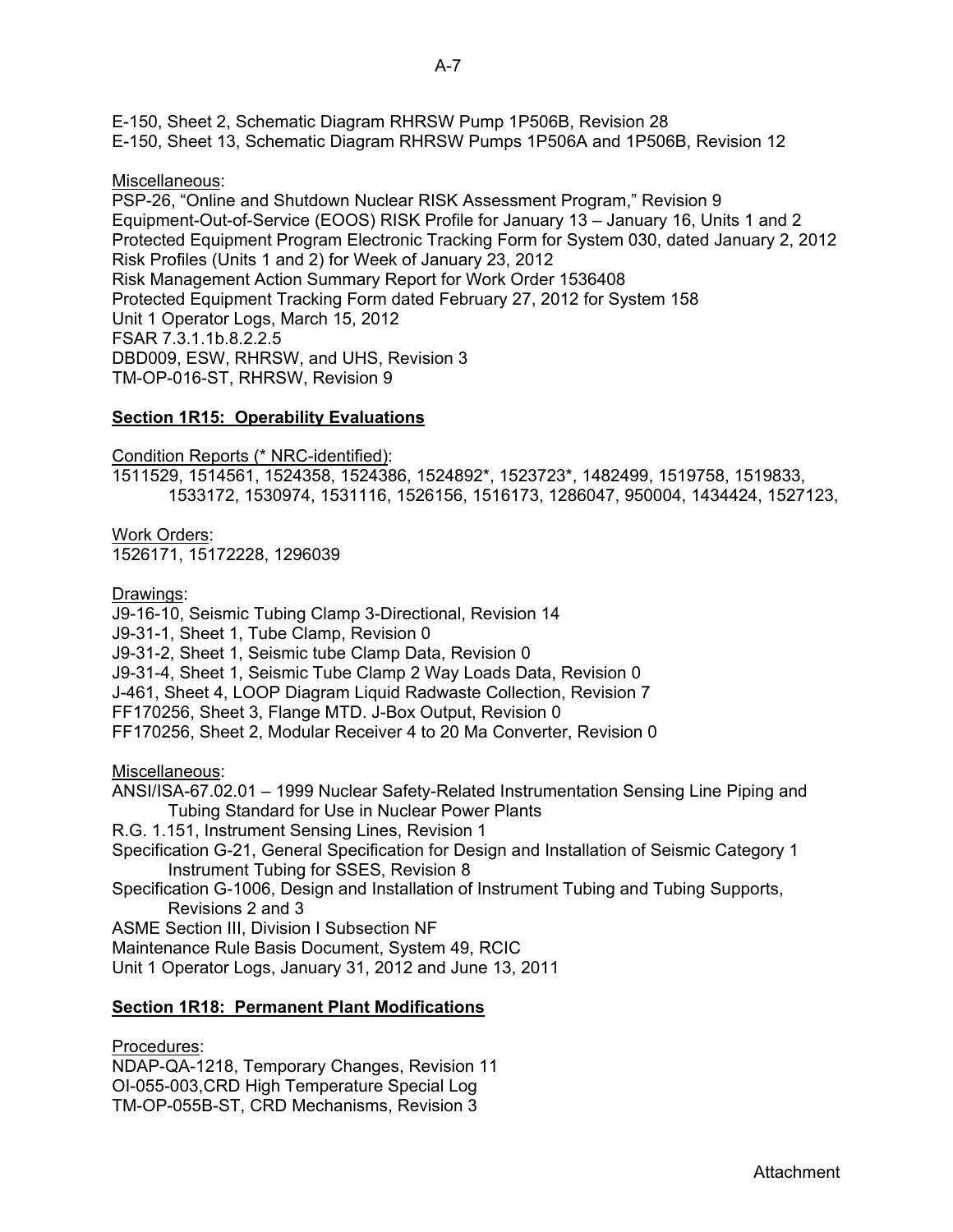E-150, Sheet 2, Schematic Diagram RHRSW Pump 1P506B, Revision 28

E-150, Sheet 13, Schematic Diagram RHRSW Pumps 1P506A and 1P506B, Revision 12

## Miscellaneous:

PSP-26, "Online and Shutdown Nuclear RISK Assessment Program," Revision 9 Equipment-Out-of-Service (EOOS) RISK Profile for January 13 – January 16, Units 1 and 2 Protected Equipment Program Electronic Tracking Form for System 030, dated January 2, 2012 Risk Profiles (Units 1 and 2) for Week of January 23, 2012 Risk Management Action Summary Report for Work Order 1536408 Protected Equipment Tracking Form dated February 27, 2012 for System 158 Unit 1 Operator Logs, March 15, 2012 FSAR 7.3.1.1b.8.2.2.5 DBD009, ESW, RHRSW, and UHS, Revision 3 TM-OP-016-ST, RHRSW, Revision 9

# **Section 1R15: Operability Evaluations**

Condition Reports (\* NRC-identified):

1511529, 1514561, 1524358, 1524386, 1524892\*, 1523723\*, 1482499, 1519758, 1519833, 1533172, 1530974, 1531116, 1526156, 1516173, 1286047, 950004, 1434424, 1527123,

Work Orders: 1526171, 15172228, 1296039

Drawings:

J9-16-10, Seismic Tubing Clamp 3-Directional, Revision 14 J9-31-1, Sheet 1, Tube Clamp, Revision 0 J9-31-2, Sheet 1, Seismic tube Clamp Data, Revision 0 J9-31-4, Sheet 1, Seismic Tube Clamp 2 Way Loads Data, Revision 0 J-461, Sheet 4, LOOP Diagram Liquid Radwaste Collection, Revision 7 FF170256, Sheet 3, Flange MTD. J-Box Output, Revision 0 FF170256, Sheet 2, Modular Receiver 4 to 20 Ma Converter, Revision 0

Miscellaneous:

- ANSI/ISA-67.02.01 1999 Nuclear Safety-Related Instrumentation Sensing Line Piping and Tubing Standard for Use in Nuclear Power Plants
- R.G. 1.151, Instrument Sensing Lines, Revision 1
- Specification G-21, General Specification for Design and Installation of Seismic Category 1 Instrument Tubing for SSES, Revision 8

Specification G-1006, Design and Installation of Instrument Tubing and Tubing Supports, Revisions 2 and 3

ASME Section III, Division I Subsection NF

Maintenance Rule Basis Document, System 49, RCIC

Unit 1 Operator Logs, January 31, 2012 and June 13, 2011

# **Section 1R18: Permanent Plant Modifications**

Procedures:

NDAP-QA-1218, Temporary Changes, Revision 11 OI-055-003,CRD High Temperature Special Log TM-OP-055B-ST, CRD Mechanisms, Revision 3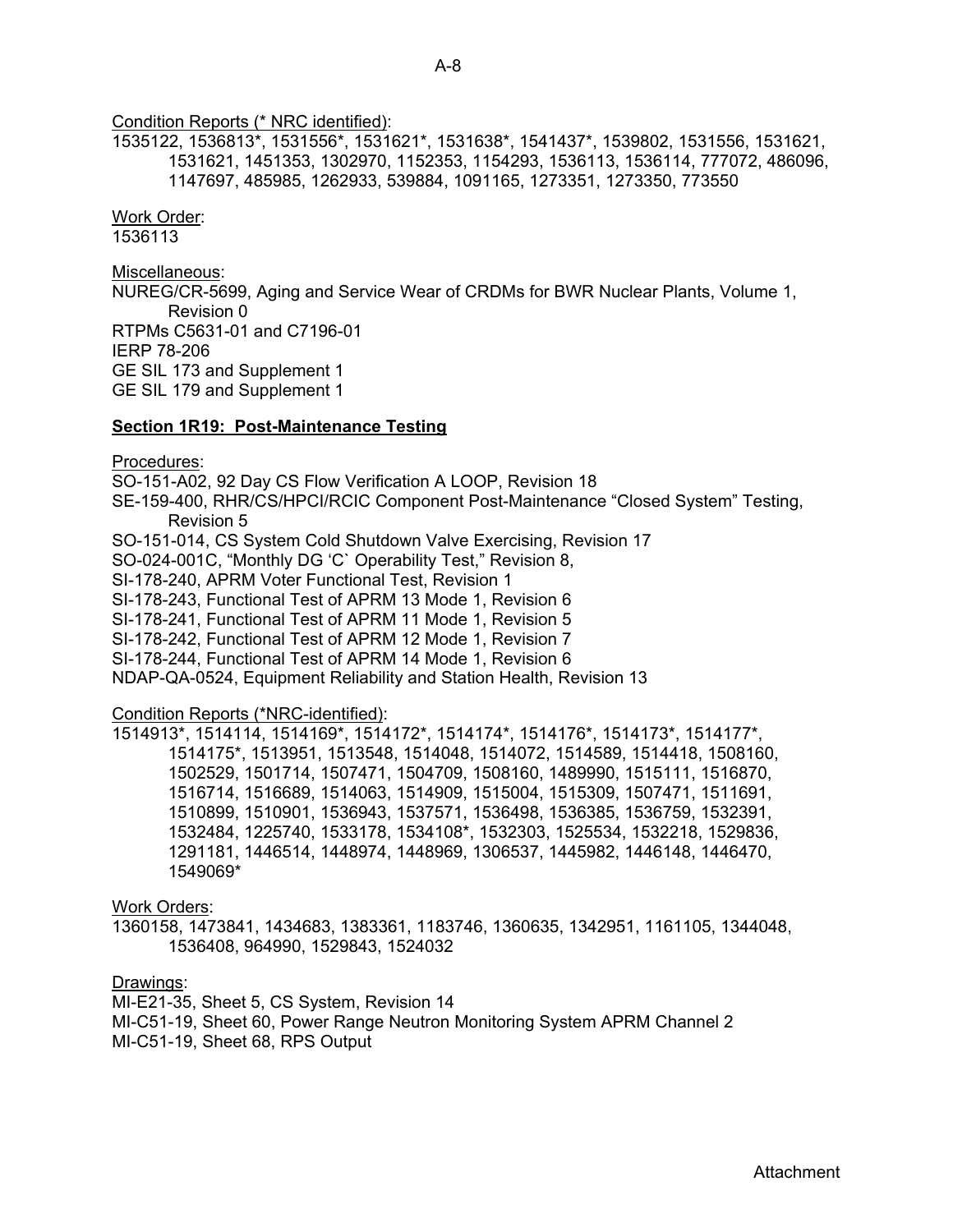# Condition Reports (\* NRC identified):

1535122, 1536813\*, 1531556\*, 1531621\*, 1531638\*, 1541437\*, 1539802, 1531556, 1531621, 1531621, 1451353, 1302970, 1152353, 1154293, 1536113, 1536114, 777072, 486096, 1147697, 485985, 1262933, 539884, 1091165, 1273351, 1273350, 773550

## Work Order:

1536113

## Miscellaneous:

NUREG/CR-5699, Aging and Service Wear of CRDMs for BWR Nuclear Plants, Volume 1, Revision 0 RTPMs C5631-01 and C7196-01 IERP 78-206 GE SIL 173 and Supplement 1 GE SIL 179 and Supplement 1

## **Section 1R19: Post-Maintenance Testing**

## Procedures:

SO-151-A02, 92 Day CS Flow Verification A LOOP, Revision 18 SE-159-400, RHR/CS/HPCI/RCIC Component Post-Maintenance "Closed System" Testing, Revision 5 SO-151-014, CS System Cold Shutdown Valve Exercising, Revision 17 SO-024-001C, "Monthly DG 'C` Operability Test," Revision 8, SI-178-240, APRM Voter Functional Test, Revision 1 SI-178-243, Functional Test of APRM 13 Mode 1, Revision 6 SI-178-241, Functional Test of APRM 11 Mode 1, Revision 5 SI-178-242, Functional Test of APRM 12 Mode 1, Revision 7 SI-178-244, Functional Test of APRM 14 Mode 1, Revision 6 NDAP-QA-0524, Equipment Reliability and Station Health, Revision 13

## Condition Reports (\*NRC-identified):

1514913\*, 1514114, 1514169\*, 1514172\*, 1514174\*, 1514176\*, 1514173\*, 1514177\*, 1514175\*, 1513951, 1513548, 1514048, 1514072, 1514589, 1514418, 1508160, 1502529, 1501714, 1507471, 1504709, 1508160, 1489990, 1515111, 1516870, 1516714, 1516689, 1514063, 1514909, 1515004, 1515309, 1507471, 1511691, 1510899, 1510901, 1536943, 1537571, 1536498, 1536385, 1536759, 1532391, 1532484, 1225740, 1533178, 1534108\*, 1532303, 1525534, 1532218, 1529836, 1291181, 1446514, 1448974, 1448969, 1306537, 1445982, 1446148, 1446470, 1549069\*

#### Work Orders:

1360158, 1473841, 1434683, 1383361, 1183746, 1360635, 1342951, 1161105, 1344048, 1536408, 964990, 1529843, 1524032

#### Drawings:

MI-E21-35, Sheet 5, CS System, Revision 14

MI-C51-19, Sheet 60, Power Range Neutron Monitoring System APRM Channel 2

MI-C51-19, Sheet 68, RPS Output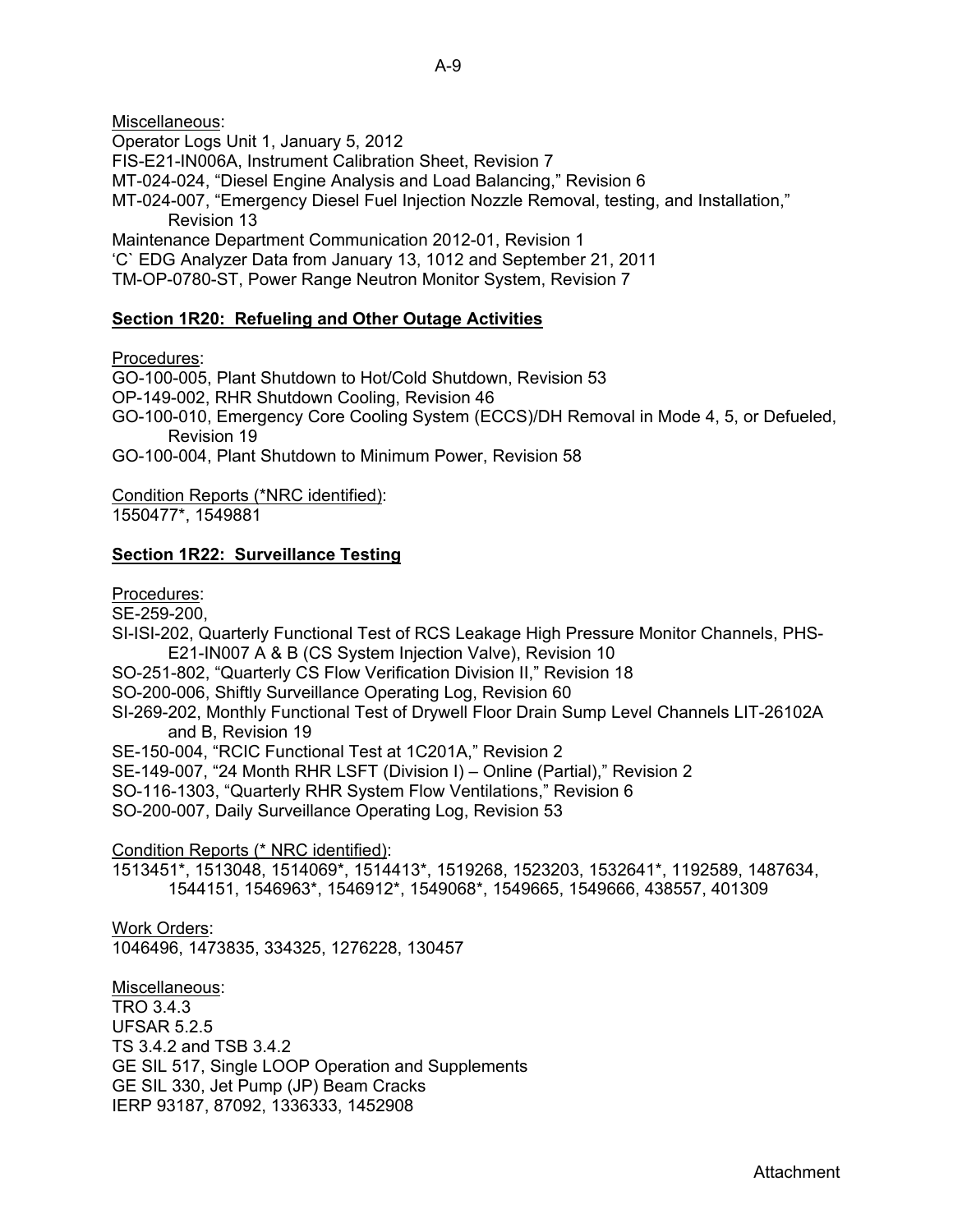Miscellaneous: Operator Logs Unit 1, January 5, 2012 FIS-E21-IN006A, Instrument Calibration Sheet, Revision 7 MT-024-024, "Diesel Engine Analysis and Load Balancing," Revision 6 MT-024-007, "Emergency Diesel Fuel Injection Nozzle Removal, testing, and Installation," Revision 13 Maintenance Department Communication 2012-01, Revision 1 'C` EDG Analyzer Data from January 13, 1012 and September 21, 2011 TM-OP-0780-ST, Power Range Neutron Monitor System, Revision 7

## **Section 1R20: Refueling and Other Outage Activities**

Procedures:

GO-100-005, Plant Shutdown to Hot/Cold Shutdown, Revision 53 OP-149-002, RHR Shutdown Cooling, Revision 46 GO-100-010, Emergency Core Cooling System (ECCS)/DH Removal in Mode 4, 5, or Defueled, Revision 19 GO-100-004, Plant Shutdown to Minimum Power, Revision 58

Condition Reports (\*NRC identified): 1550477\*, 1549881

## **Section 1R22: Surveillance Testing**

Procedures:

SE-259-200,

SI-ISI-202, Quarterly Functional Test of RCS Leakage High Pressure Monitor Channels, PHS-E21-IN007 A & B (CS System Injection Valve), Revision 10

SO-251-802, "Quarterly CS Flow Verification Division II," Revision 18

SO-200-006, Shiftly Surveillance Operating Log, Revision 60

SI-269-202, Monthly Functional Test of Drywell Floor Drain Sump Level Channels LIT-26102A and B, Revision 19

SE-150-004, "RCIC Functional Test at 1C201A," Revision 2

SE-149-007, "24 Month RHR LSFT (Division I) – Online (Partial)," Revision 2

SO-116-1303, "Quarterly RHR System Flow Ventilations," Revision 6

SO-200-007, Daily Surveillance Operating Log, Revision 53

Condition Reports (\* NRC identified):

1513451\*, 1513048, 1514069\*, 1514413\*, 1519268, 1523203, 1532641\*, 1192589, 1487634, 1544151, 1546963\*, 1546912\*, 1549068\*, 1549665, 1549666, 438557, 401309

Work Orders: 1046496, 1473835, 334325, 1276228, 130457

Miscellaneous: TRO 3.4.3 UFSAR 5.2.5 TS 3.4.2 and TSB 3.4.2 GE SIL 517, Single LOOP Operation and Supplements GE SIL 330, Jet Pump (JP) Beam Cracks IERP 93187, 87092, 1336333, 1452908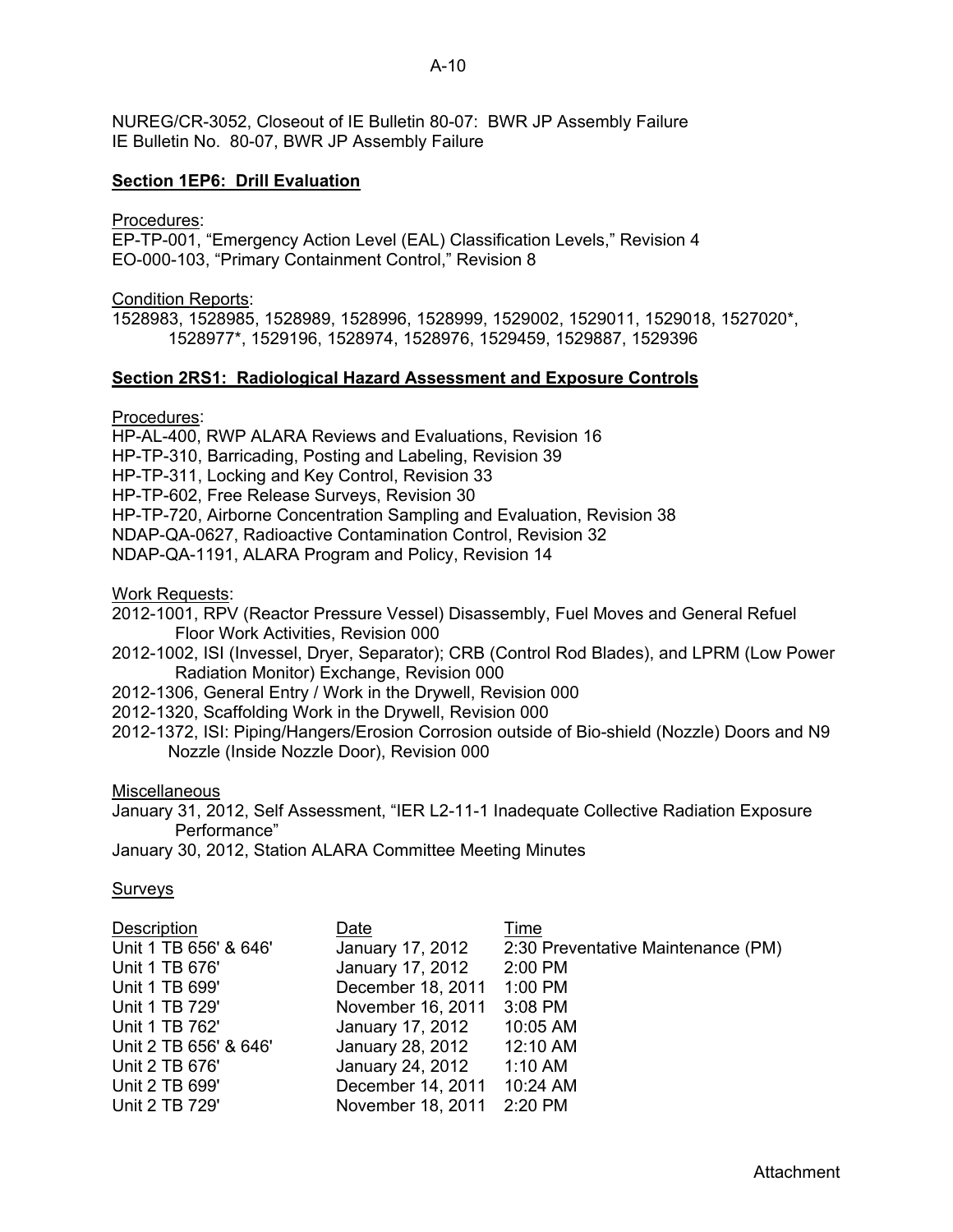NUREG/CR-3052, Closeout of IE Bulletin 80-07: BWR JP Assembly Failure IE Bulletin No. 80-07, BWR JP Assembly Failure

## **Section 1EP6: Drill Evaluation**

Procedures:

EP-TP-001, "Emergency Action Level (EAL) Classification Levels," Revision 4 EO-000-103, "Primary Containment Control," Revision 8

Condition Reports:

1528983, 1528985, 1528989, 1528996, 1528999, 1529002, 1529011, 1529018, 1527020\*, 1528977\*, 1529196, 1528974, 1528976, 1529459, 1529887, 1529396

#### **Section 2RS1: Radiological Hazard Assessment and Exposure Controls**

Procedures:

HP-AL-400, RWP ALARA Reviews and Evaluations, Revision 16

HP-TP-310, Barricading, Posting and Labeling, Revision 39

HP-TP-311, Locking and Key Control, Revision 33

HP-TP-602, Free Release Surveys, Revision 30

HP-TP-720, Airborne Concentration Sampling and Evaluation, Revision 38

NDAP-QA-0627, Radioactive Contamination Control, Revision 32

NDAP-QA-1191, ALARA Program and Policy, Revision 14

Work Requests:

2012-1001, RPV (Reactor Pressure Vessel) Disassembly, Fuel Moves and General Refuel Floor Work Activities, Revision 000

- 2012-1002, ISI (Invessel, Dryer, Separator); CRB (Control Rod Blades), and LPRM (Low Power Radiation Monitor) Exchange, Revision 000
- 2012-1306, General Entry / Work in the Drywell, Revision 000
- 2012-1320, Scaffolding Work in the Drywell, Revision 000
- 2012-1372, ISI: Piping/Hangers/Erosion Corrosion outside of Bio-shield (Nozzle) Doors and N9 Nozzle (Inside Nozzle Door), Revision 000

**Miscellaneous** 

January 31, 2012, Self Assessment, "IER L2-11-1 Inadequate Collective Radiation Exposure Performance"

January 30, 2012, Station ALARA Committee Meeting Minutes

## **Surveys**

| <b>Description</b>    | Date                      | Time                               |
|-----------------------|---------------------------|------------------------------------|
| Unit 1 TB 656' & 646' | January 17, 2012          | 2:30 Preventative Maintenance (PM) |
| Unit 1 TB 676'        | January 17, 2012          | $2:00$ PM                          |
| Unit 1 TB 699'        | December 18, 2011         | 1:00 PM                            |
| Unit 1 TB 729'        | November 16, 2011         | 3:08 PM                            |
| Unit 1 TB 762'        | January 17, 2012          | 10:05 AM                           |
| Unit 2 TB 656' & 646' | January 28, 2012          | 12:10 AM                           |
| Unit 2 TB 676'        | January 24, 2012          | $1:10$ AM                          |
| Unit 2 TB 699'        | December 14, 2011         | 10:24 AM                           |
| Unit 2 TB 729'        | November 18, 2011 2:20 PM |                                    |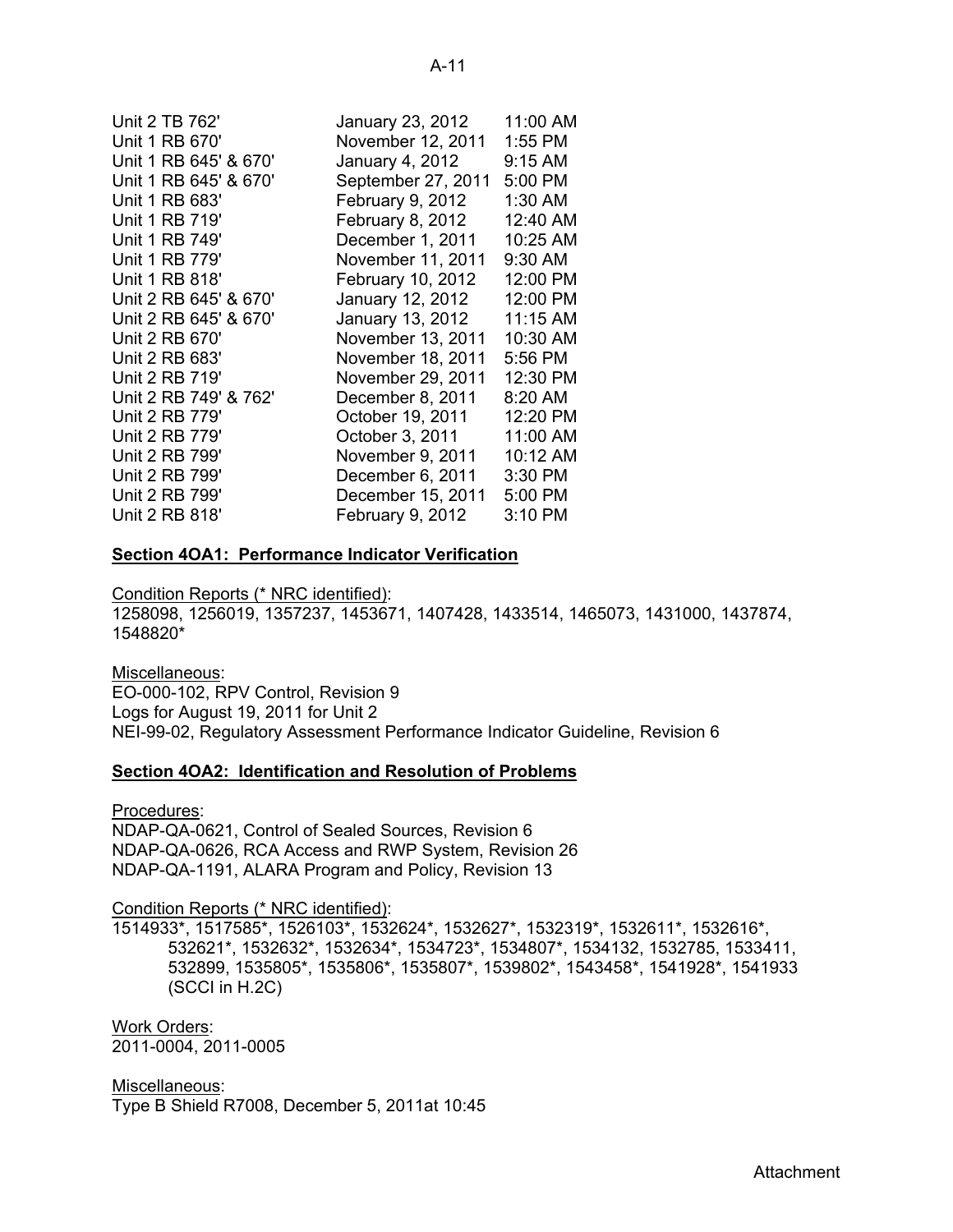| Unit 2 TB 762'        | January 23, 2012   | 11:00 AM |
|-----------------------|--------------------|----------|
| Unit 1 RB 670'        | November 12, 2011  | 1:55 PM  |
| Unit 1 RB 645' & 670' | January 4, 2012    | 9:15 AM  |
| Unit 1 RB 645' & 670' | September 27, 2011 | 5:00 PM  |
| Unit 1 RB 683'        | February 9, 2012   | 1:30 AM  |
| Unit 1 RB 719'        | February 8, 2012   | 12:40 AM |
| Unit 1 RB 749'        | December 1, 2011   | 10:25 AM |
| Unit 1 RB 779'        | November 11, 2011  | 9:30 AM  |
| Unit 1 RB 818'        | February 10, 2012  | 12:00 PM |
| Unit 2 RB 645' & 670' | January 12, 2012   | 12:00 PM |
| Unit 2 RB 645' & 670' | January 13, 2012   | 11:15 AM |
| Unit 2 RB 670'        | November 13, 2011  | 10:30 AM |
| Unit 2 RB 683'        | November 18, 2011  | 5:56 PM  |
| Unit 2 RB 719'        | November 29, 2011  | 12:30 PM |
| Unit 2 RB 749' & 762' | December 8, 2011   | 8:20 AM  |
| Unit 2 RB 779'        | October 19, 2011   | 12:20 PM |
| Unit 2 RB 779'        | October 3, 2011    | 11:00 AM |
| Unit 2 RB 799'        | November 9, 2011   | 10:12 AM |
| Unit 2 RB 799'        | December 6, 2011   | 3:30 PM  |
| Unit 2 RB 799'        | December 15, 2011  | 5:00 PM  |
| Unit 2 RB 818'        | February 9, 2012   | 3:10 PM  |

## **Section 4OA1: Performance Indicator Verification**

Condition Reports (\* NRC identified): 1258098, 1256019, 1357237, 1453671, 1407428, 1433514, 1465073, 1431000, 1437874, 1548820\*

Miscellaneous: EO-000-102, RPV Control, Revision 9 Logs for August 19, 2011 for Unit 2 NEI-99-02, Regulatory Assessment Performance Indicator Guideline, Revision 6

#### **Section 4OA2: Identification and Resolution of Problems**

Procedures: NDAP-QA-0621, Control of Sealed Sources, Revision 6 NDAP-QA-0626, RCA Access and RWP System, Revision 26 NDAP-QA-1191, ALARA Program and Policy, Revision 13

## Condition Reports (\* NRC identified):

1514933\*, 1517585\*, 1526103\*, 1532624\*, 1532627\*, 1532319\*, 1532611\*, 1532616\*, 532621\*, 1532632\*, 1532634\*, 1534723\*, 1534807\*, 1534132, 1532785, 1533411, 532899, 1535805\*, 1535806\*, 1535807\*, 1539802\*, 1543458\*, 1541928\*, 1541933 (SCCI in H.2C)

Work Orders: 2011-0004, 2011-0005

Miscellaneous: Type B Shield R7008, December 5, 2011at 10:45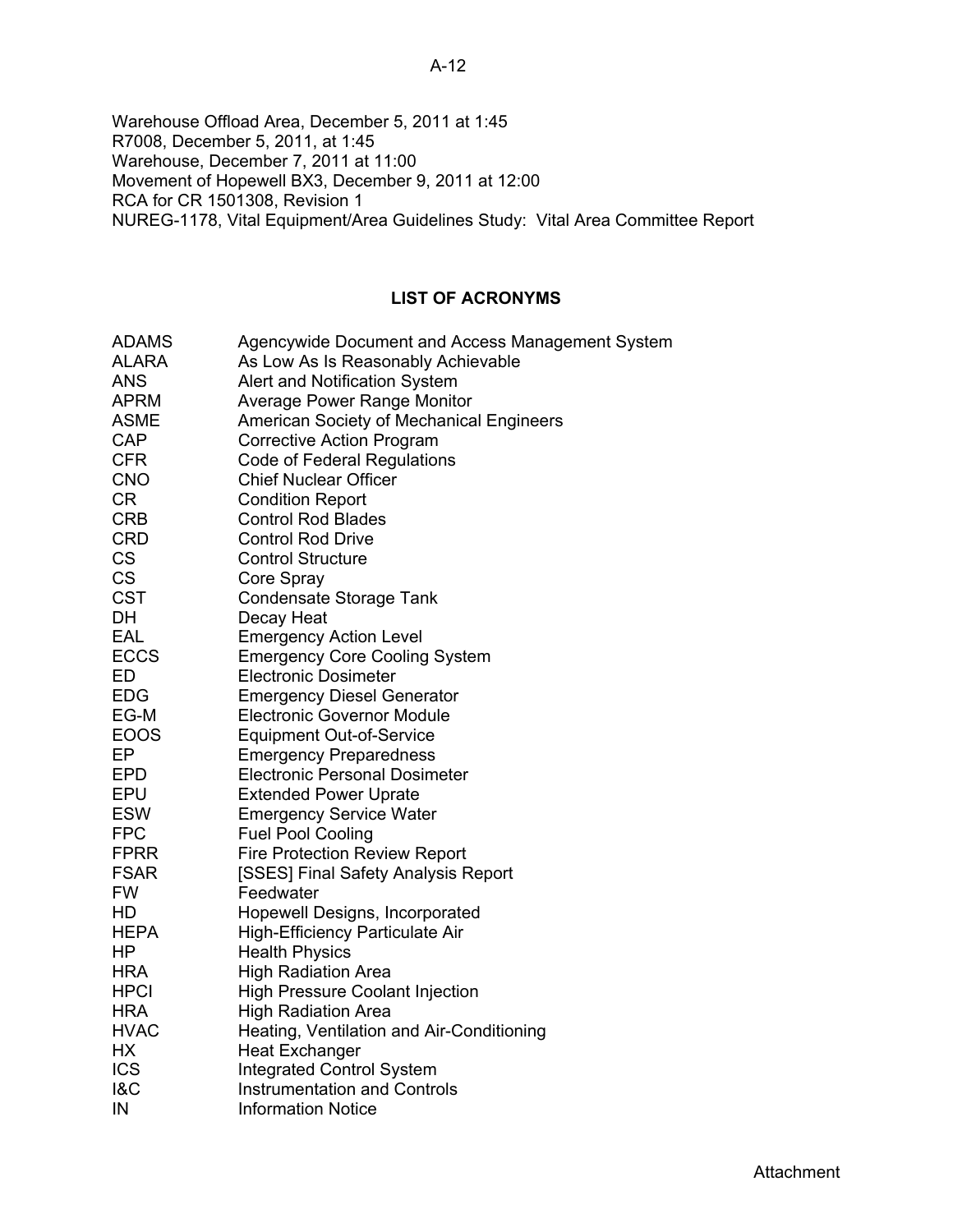# A-12

Warehouse Offload Area, December 5, 2011 at 1:45 R7008, December 5, 2011, at 1:45 Warehouse, December 7, 2011 at 11:00 Movement of Hopewell BX3, December 9, 2011 at 12:00 RCA for CR 1501308, Revision 1 NUREG-1178, Vital Equipment/Area Guidelines Study: Vital Area Committee Report

# **LIST OF ACRONYMS**

| <b>ADAMS</b>   | Agencywide Document and Access Management System |
|----------------|--------------------------------------------------|
| <b>ALARA</b>   | As Low As Is Reasonably Achievable               |
| <b>ANS</b>     | Alert and Notification System                    |
| <b>APRM</b>    | <b>Average Power Range Monitor</b>               |
| <b>ASME</b>    | <b>American Society of Mechanical Engineers</b>  |
| <b>CAP</b>     | <b>Corrective Action Program</b>                 |
| <b>CFR</b>     | <b>Code of Federal Regulations</b>               |
| <b>CNO</b>     | <b>Chief Nuclear Officer</b>                     |
| <b>CR</b>      | <b>Condition Report</b>                          |
| <b>CRB</b>     | <b>Control Rod Blades</b>                        |
| <b>CRD</b>     | <b>Control Rod Drive</b>                         |
| <b>CS</b>      | <b>Control Structure</b>                         |
| <b>CS</b>      | Core Spray                                       |
| <b>CST</b>     | <b>Condensate Storage Tank</b>                   |
| DH             | Decay Heat                                       |
| EAL            | <b>Emergency Action Level</b>                    |
| <b>ECCS</b>    | <b>Emergency Core Cooling System</b>             |
| ED             | <b>Electronic Dosimeter</b>                      |
| <b>EDG</b>     | <b>Emergency Diesel Generator</b>                |
| EG-M           | <b>Electronic Governor Module</b>                |
| <b>EOOS</b>    | <b>Equipment Out-of-Service</b>                  |
| EP             | <b>Emergency Preparedness</b>                    |
| <b>EPD</b>     | <b>Electronic Personal Dosimeter</b>             |
| <b>EPU</b>     | <b>Extended Power Uprate</b>                     |
| <b>ESW</b>     | <b>Emergency Service Water</b>                   |
| <b>FPC</b>     | <b>Fuel Pool Cooling</b>                         |
| <b>FPRR</b>    | <b>Fire Protection Review Report</b>             |
| <b>FSAR</b>    | [SSES] Final Safety Analysis Report              |
| <b>FW</b>      | Feedwater                                        |
| HD             | Hopewell Designs, Incorporated                   |
| <b>HEPA</b>    | High-Efficiency Particulate Air                  |
| HP             | <b>Health Physics</b>                            |
| <b>HRA</b>     | <b>High Radiation Area</b>                       |
| <b>HPCI</b>    | High Pressure Coolant Injection                  |
| <b>HRA</b>     | <b>High Radiation Area</b>                       |
| <b>HVAC</b>    | Heating, Ventilation and Air-Conditioning        |
| HX             | <b>Heat Exchanger</b>                            |
| <b>ICS</b>     | <b>Integrated Control System</b>                 |
| <b>1&amp;C</b> | <b>Instrumentation and Controls</b>              |
| IN             | <b>Information Notice</b>                        |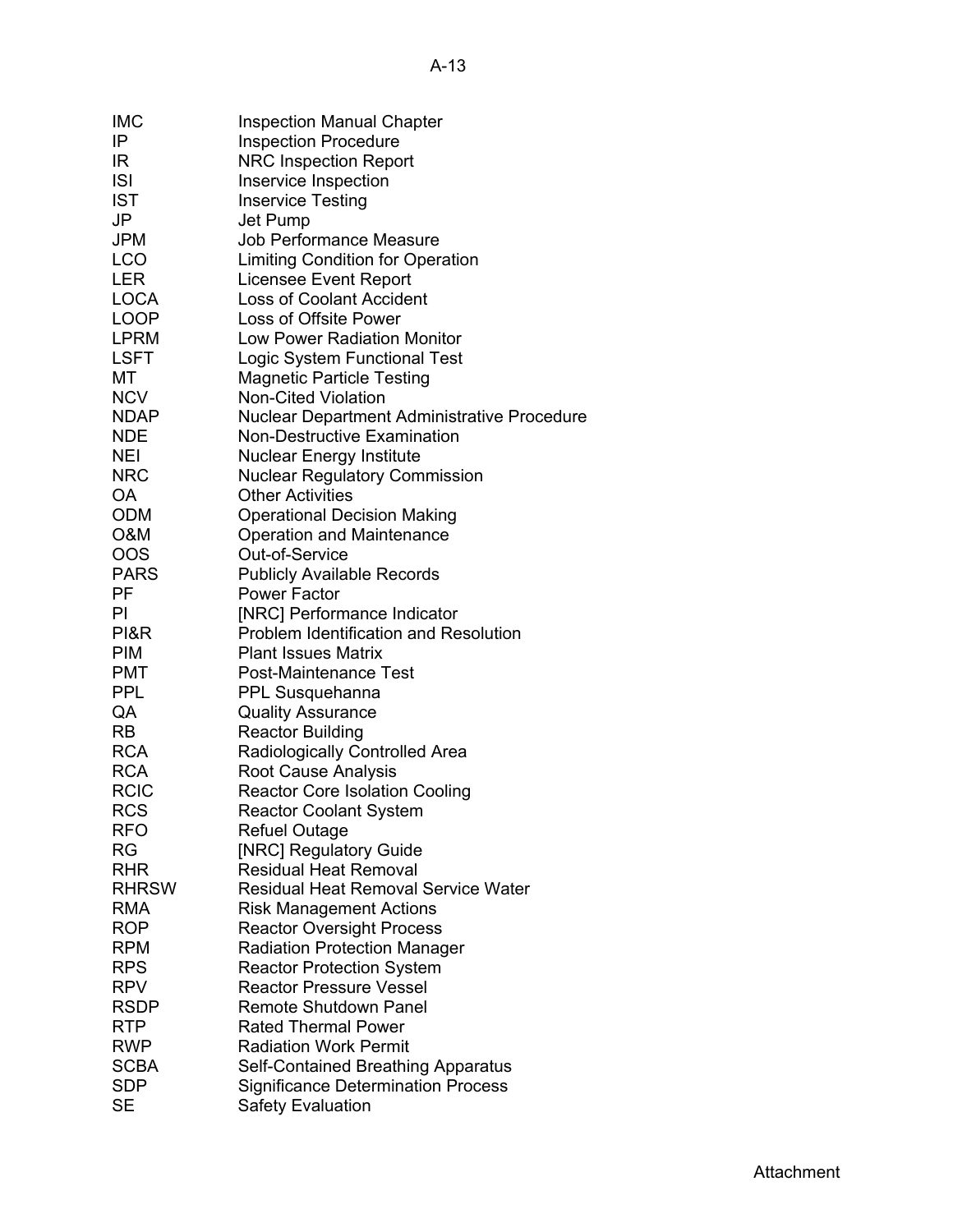| <b>IMC</b>   | <b>Inspection Manual Chapter</b>            |
|--------------|---------------------------------------------|
| IP           | <b>Inspection Procedure</b>                 |
| IR           | <b>NRC Inspection Report</b>                |
| <b>ISI</b>   | Inservice Inspection                        |
| <b>IST</b>   | <b>Inservice Testing</b>                    |
| JP           | Jet Pump                                    |
| <b>JPM</b>   | <b>Job Performance Measure</b>              |
| <b>LCO</b>   | Limiting Condition for Operation            |
| <b>LER</b>   |                                             |
|              | Licensee Event Report                       |
| <b>LOCA</b>  | <b>Loss of Coolant Accident</b>             |
| <b>LOOP</b>  | Loss of Offsite Power                       |
| <b>LPRM</b>  | <b>Low Power Radiation Monitor</b>          |
| <b>LSFT</b>  | Logic System Functional Test                |
| МT           | <b>Magnetic Particle Testing</b>            |
| <b>NCV</b>   | <b>Non-Cited Violation</b>                  |
| <b>NDAP</b>  | Nuclear Department Administrative Procedure |
| <b>NDE</b>   | <b>Non-Destructive Examination</b>          |
| <b>NEI</b>   | <b>Nuclear Energy Institute</b>             |
| <b>NRC</b>   | <b>Nuclear Regulatory Commission</b>        |
| <b>OA</b>    | <b>Other Activities</b>                     |
| <b>ODM</b>   | <b>Operational Decision Making</b>          |
| O&M          | Operation and Maintenance                   |
| <b>OOS</b>   | Out-of-Service                              |
| <b>PARS</b>  | <b>Publicly Available Records</b>           |
| <b>PF</b>    | <b>Power Factor</b>                         |
| PI           | [NRC] Performance Indicator                 |
| PI&R         | Problem Identification and Resolution       |
| <b>PIM</b>   | <b>Plant Issues Matrix</b>                  |
| <b>PMT</b>   | <b>Post-Maintenance Test</b>                |
| <b>PPL</b>   |                                             |
| QA           | PPL Susquehanna                             |
|              | <b>Quality Assurance</b>                    |
| <b>RB</b>    | <b>Reactor Building</b>                     |
| <b>RCA</b>   | Radiologically Controlled Area              |
| <b>RCA</b>   | Root Cause Analysis                         |
| <b>RCIC</b>  | <b>Reactor Core Isolation Cooling</b>       |
| <b>RCS</b>   | <b>Reactor Coolant System</b>               |
| <b>RFO</b>   | <b>Refuel Outage</b>                        |
| <b>RG</b>    | [NRC] Regulatory Guide                      |
| <b>RHR</b>   | <b>Residual Heat Removal</b>                |
| <b>RHRSW</b> | <b>Residual Heat Removal Service Water</b>  |
| <b>RMA</b>   | <b>Risk Management Actions</b>              |
| <b>ROP</b>   | <b>Reactor Oversight Process</b>            |
| <b>RPM</b>   | <b>Radiation Protection Manager</b>         |
| <b>RPS</b>   | <b>Reactor Protection System</b>            |
| <b>RPV</b>   | <b>Reactor Pressure Vessel</b>              |
| <b>RSDP</b>  | Remote Shutdown Panel                       |
| <b>RTP</b>   | <b>Rated Thermal Power</b>                  |
| <b>RWP</b>   | <b>Radiation Work Permit</b>                |
| <b>SCBA</b>  | Self-Contained Breathing Apparatus          |
| <b>SDP</b>   | <b>Significance Determination Process</b>   |
| <b>SE</b>    | <b>Safety Evaluation</b>                    |